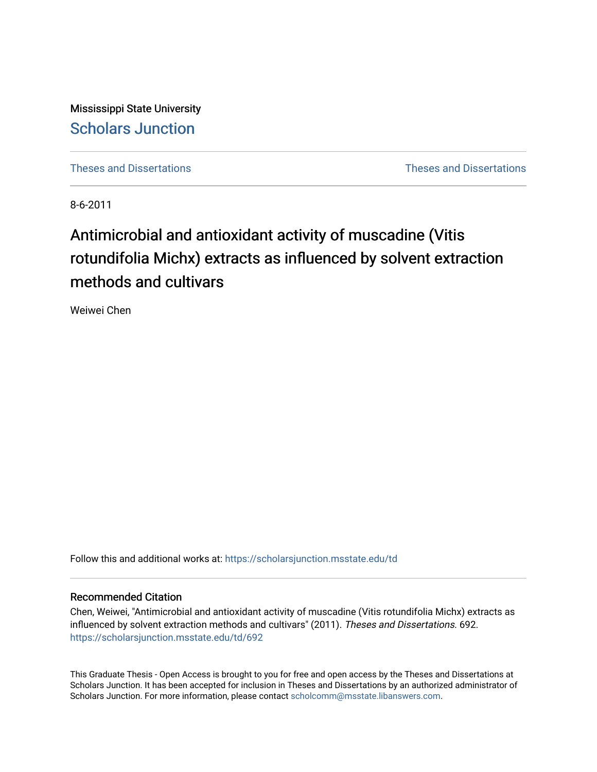Mississippi State University [Scholars Junction](https://scholarsjunction.msstate.edu/) 

[Theses and Dissertations](https://scholarsjunction.msstate.edu/td) [Theses and Dissertations](https://scholarsjunction.msstate.edu/theses-dissertations) 

8-6-2011

# Antimicrobial and antioxidant activity of muscadine (Vitis rotundifolia Michx) extracts as influenced by solvent extraction methods and cultivars

Weiwei Chen

Follow this and additional works at: [https://scholarsjunction.msstate.edu/td](https://scholarsjunction.msstate.edu/td?utm_source=scholarsjunction.msstate.edu%2Ftd%2F692&utm_medium=PDF&utm_campaign=PDFCoverPages) 

#### Recommended Citation

Chen, Weiwei, "Antimicrobial and antioxidant activity of muscadine (Vitis rotundifolia Michx) extracts as influenced by solvent extraction methods and cultivars" (2011). Theses and Dissertations. 692. [https://scholarsjunction.msstate.edu/td/692](https://scholarsjunction.msstate.edu/td/692?utm_source=scholarsjunction.msstate.edu%2Ftd%2F692&utm_medium=PDF&utm_campaign=PDFCoverPages) 

This Graduate Thesis - Open Access is brought to you for free and open access by the Theses and Dissertations at Scholars Junction. It has been accepted for inclusion in Theses and Dissertations by an authorized administrator of Scholars Junction. For more information, please contact [scholcomm@msstate.libanswers.com.](mailto:scholcomm@msstate.libanswers.com)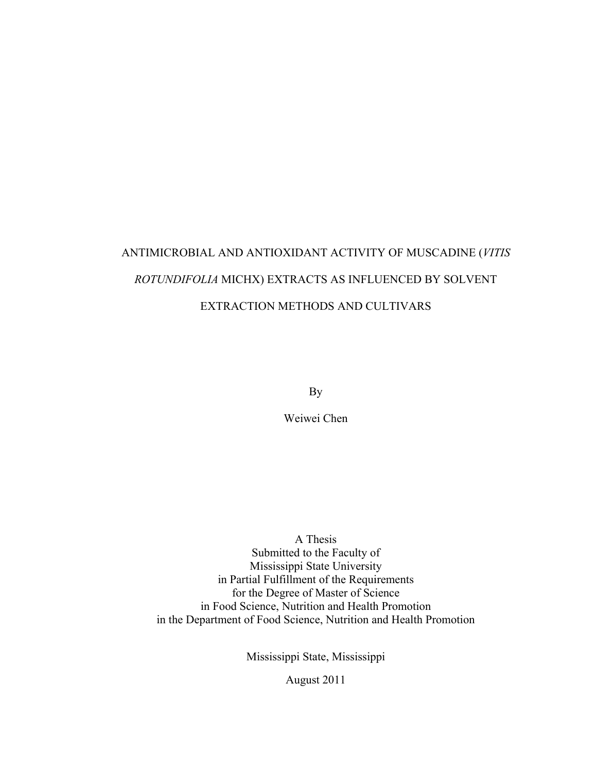# ANTIMICROBIAL AND ANTIOXIDANT ACTIVITY OF MUSCADINE (*VITIS ROTUNDIFOLIA* MICHX) EXTRACTS AS INFLUENCED BY SOLVENT EXTRACTION METHODS AND CULTIVARS

By

Weiwei Chen

A Thesis Submitted to the Faculty of Mississippi State University in Partial Fulfillment of the Requirements for the Degree of Master of Science in Food Science, Nutrition and Health Promotion in the Department of Food Science, Nutrition and Health Promotion

Mississippi State, Mississippi

August 2011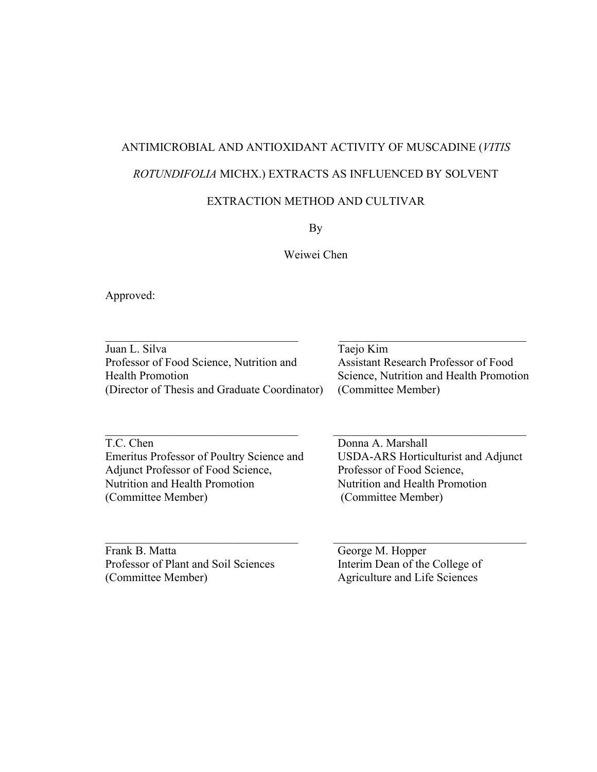## ANTIMICROBIAL AND ANTIOXIDANT ACTIVITY OF MUSCADINE (*VITIS ROTUNDIFOLIA* MICHX.) EXTRACTS AS INFLUENCED BY SOLVENT

### EXTRACTION METHOD AND CULTIVAR

By

Weiwei Chen

Approved:

| Juan L. Silva                                 | Taejo Kim                               |
|-----------------------------------------------|-----------------------------------------|
| Professor of Food Science, Nutrition and      | Assistant Research Professor of Food    |
| <b>Health Promotion</b>                       | Science, Nutrition and Health Promotion |
| (Director of Thesis and Graduate Coordinator) | (Committee Member)                      |

 $\_$  , and the set of the set of the set of the set of the set of the set of the set of the set of the set of the set of the set of the set of the set of the set of the set of the set of the set of the set of the set of th

 $\_$  , and the contribution of the contribution of  $\mathcal{L}_\mathcal{L}$  , and the contribution of  $\mathcal{L}_\mathcal{L}$ 

T.C. Chen Donna A. Marshall Emeritus Professor of Poultry Science and USDA-ARS Horticulturist and Adjunct Adjunct Professor of Food Science, Professor of Food Science, Nutrition and Health Promotion Nutrition and Health Promotion (Committee Member) (Committee Member)

Frank B. Matta<br>
Professor of Plant and Soil Sciences<br>
Interim Dean of the College of Professor of Plant and Soil Sciences (Committee Member) Agriculture and Life Sciences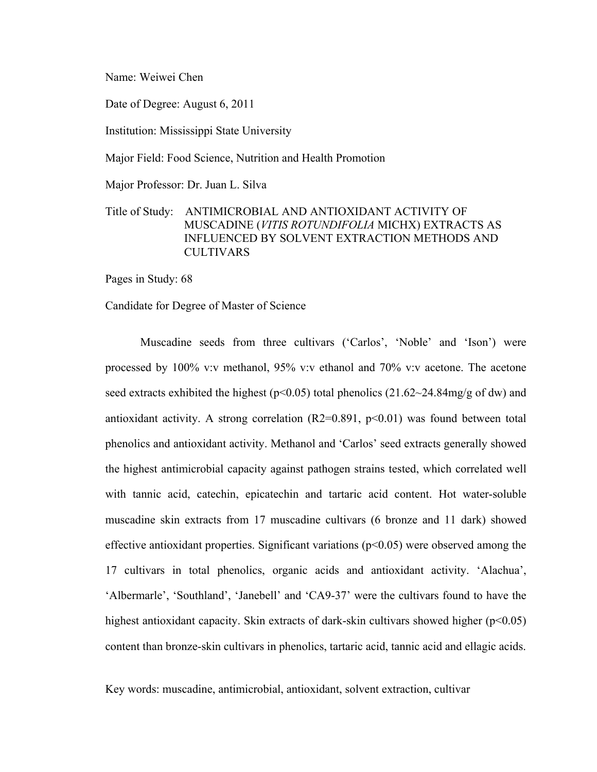Name: Weiwei Chen

Date of Degree: August 6, 2011

Institution: Mississippi State University

Major Field: Food Science, Nutrition and Health Promotion

Major Professor: Dr. Juan L. Silva

#### Title of Study: ANTIMICROBIAL AND ANTIOXIDANT ACTIVITY OF MUSCADINE (*VITIS ROTUNDIFOLIA* MICHX) EXTRACTS AS INFLUENCED BY SOLVENT EXTRACTION METHODS AND CULTIVARS

Pages in Study: 68

Candidate for Degree of Master of Science

Muscadine seeds from three cultivars ('Carlos', 'Noble' and 'Ison') were processed by 100% v:v methanol, 95% v:v ethanol and 70% v:v acetone. The acetone seed extracts exhibited the highest ( $p<0.05$ ) total phenolics (21.62~24.84mg/g of dw) and antioxidant activity. A strong correlation  $(R2=0.891, p<0.01)$  was found between total phenolics and antioxidant activity. Methanol and 'Carlos' seed extracts generally showed the highest antimicrobial capacity against pathogen strains tested, which correlated well with tannic acid, catechin, epicatechin and tartaric acid content. Hot water-soluble muscadine skin extracts from 17 muscadine cultivars (6 bronze and 11 dark) showed effective antioxidant properties. Significant variations  $(p<0.05)$  were observed among the 17 cultivars in total phenolics, organic acids and antioxidant activity. 'Alachua', 'Albermarle', 'Southland', 'Janebell' and 'CA9-37' were the cultivars found to have the highest antioxidant capacity. Skin extracts of dark-skin cultivars showed higher  $(p<0.05)$ content than bronze-skin cultivars in phenolics, tartaric acid, tannic acid and ellagic acids.

Key words: muscadine, antimicrobial, antioxidant, solvent extraction, cultivar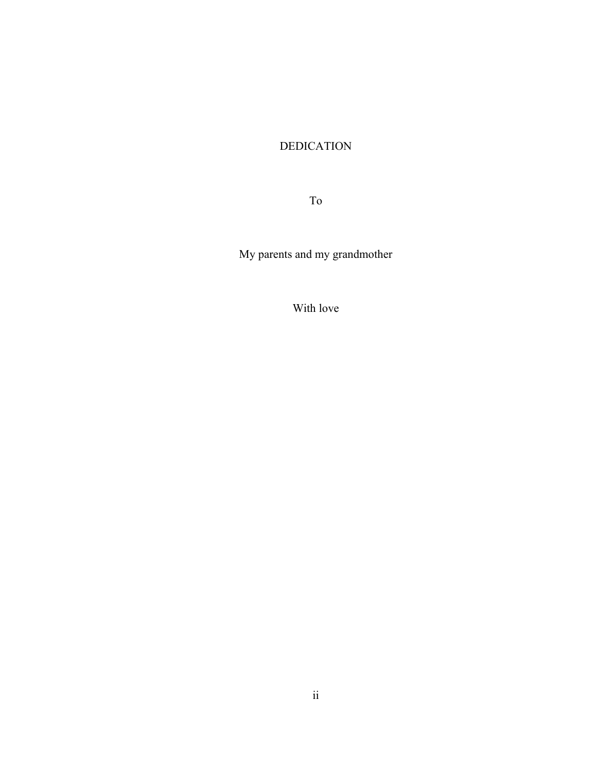## DEDICATION

To

My parents and my grandmother

With love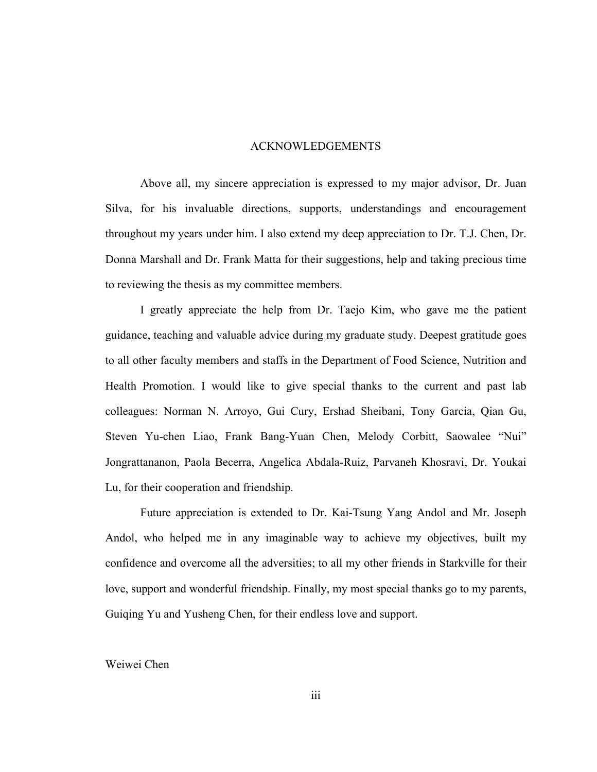#### ACKNOWLEDGEMENTS

Above all, my sincere appreciation is expressed to my major advisor, Dr. Juan Silva, for his invaluable directions, supports, understandings and encouragement throughout my years under him. I also extend my deep appreciation to Dr. T.J. Chen, Dr. Donna Marshall and Dr. Frank Matta for their suggestions, help and taking precious time to reviewing the thesis as my committee members.

I greatly appreciate the help from Dr. Taejo Kim, who gave me the patient guidance, teaching and valuable advice during my graduate study. Deepest gratitude goes to all other faculty members and staffs in the Department of Food Science, Nutrition and Health Promotion. I would like to give special thanks to the current and past lab colleagues: Norman N. Arroyo, Gui Cury, Ershad Sheibani, Tony Garcia, Qian Gu, Steven Yu-chen Liao, Frank Bang-Yuan Chen, Melody Corbitt, Saowalee "Nui" Jongrattananon, Paola Becerra, Angelica Abdala-Ruiz, Parvaneh Khosravi, Dr. Youkai Lu, for their cooperation and friendship.

Future appreciation is extended to Dr. Kai-Tsung Yang Andol and Mr. Joseph Andol, who helped me in any imaginable way to achieve my objectives, built my confidence and overcome all the adversities; to all my other friends in Starkville for their love, support and wonderful friendship. Finally, my most special thanks go to my parents, Guiqing Yu and Yusheng Chen, for their endless love and support.

#### Weiwei Chen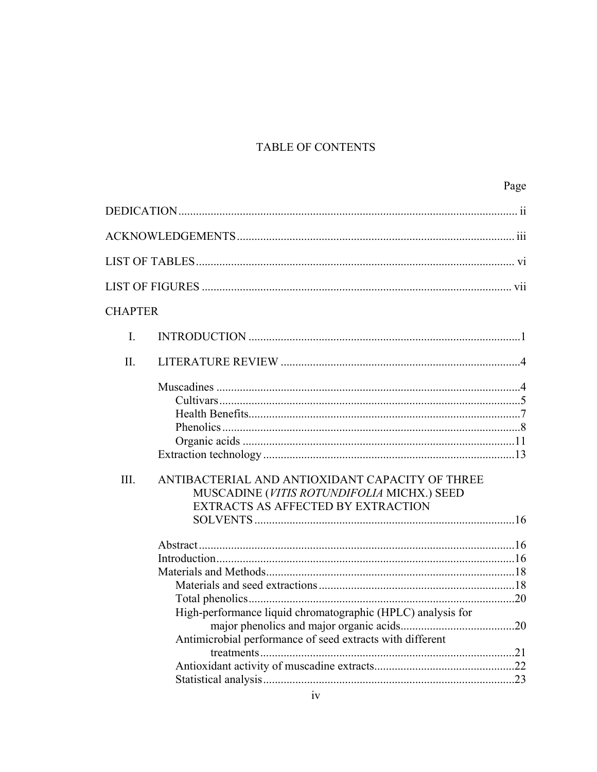## TABLE OF CONTENTS

|                |                                                                                                                                     | Page |
|----------------|-------------------------------------------------------------------------------------------------------------------------------------|------|
|                |                                                                                                                                     |      |
|                |                                                                                                                                     |      |
|                |                                                                                                                                     |      |
|                |                                                                                                                                     |      |
| <b>CHAPTER</b> |                                                                                                                                     |      |
| $\mathbf{I}$ . |                                                                                                                                     |      |
| II.            |                                                                                                                                     |      |
| III.           | ANTIBACTERIAL AND ANTIOXIDANT CAPACITY OF THREE<br>MUSCADINE (VITIS ROTUNDIFOLIA MICHX.) SEED<br>EXTRACTS AS AFFECTED BY EXTRACTION |      |
|                | High-performance liquid chromatographic (HPLC) analysis for<br>Antimicrobial performance of seed extracts with different            |      |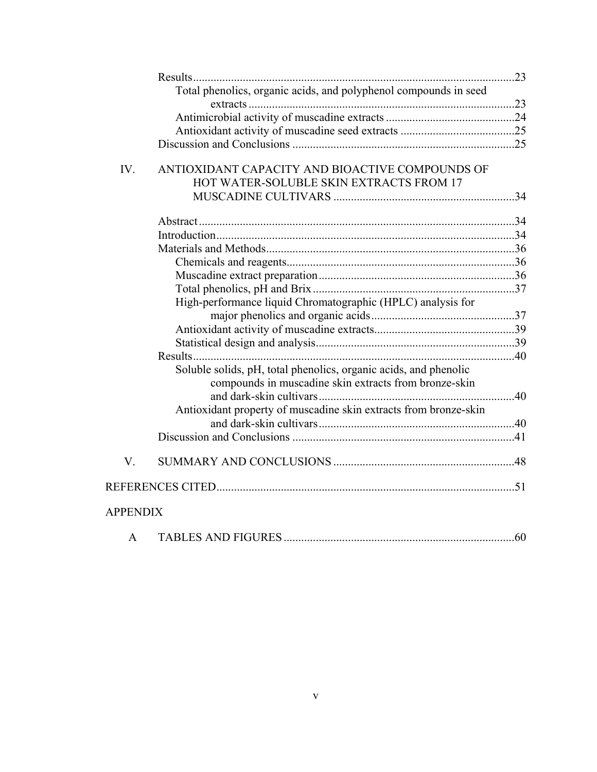|                 | Total phenolics, organic acids, and polyphenol compounds in seed                                                          |  |
|-----------------|---------------------------------------------------------------------------------------------------------------------------|--|
|                 |                                                                                                                           |  |
|                 |                                                                                                                           |  |
|                 |                                                                                                                           |  |
| IV.             | ANTIOXIDANT CAPACITY AND BIOACTIVE COMPOUNDS OF                                                                           |  |
|                 | HOT WATER-SOLUBLE SKIN EXTRACTS FROM 17                                                                                   |  |
|                 |                                                                                                                           |  |
|                 |                                                                                                                           |  |
|                 |                                                                                                                           |  |
|                 |                                                                                                                           |  |
|                 |                                                                                                                           |  |
|                 |                                                                                                                           |  |
|                 |                                                                                                                           |  |
|                 | High-performance liquid Chromatographic (HPLC) analysis for                                                               |  |
|                 |                                                                                                                           |  |
|                 |                                                                                                                           |  |
|                 |                                                                                                                           |  |
|                 |                                                                                                                           |  |
|                 | Soluble solids, pH, total phenolics, organic acids, and phenolic<br>compounds in muscadine skin extracts from bronze-skin |  |
|                 |                                                                                                                           |  |
|                 | Antioxidant property of muscadine skin extracts from bronze-skin                                                          |  |
|                 |                                                                                                                           |  |
| V.              |                                                                                                                           |  |
|                 |                                                                                                                           |  |
| <b>APPENDIX</b> |                                                                                                                           |  |

|--|--|--|--|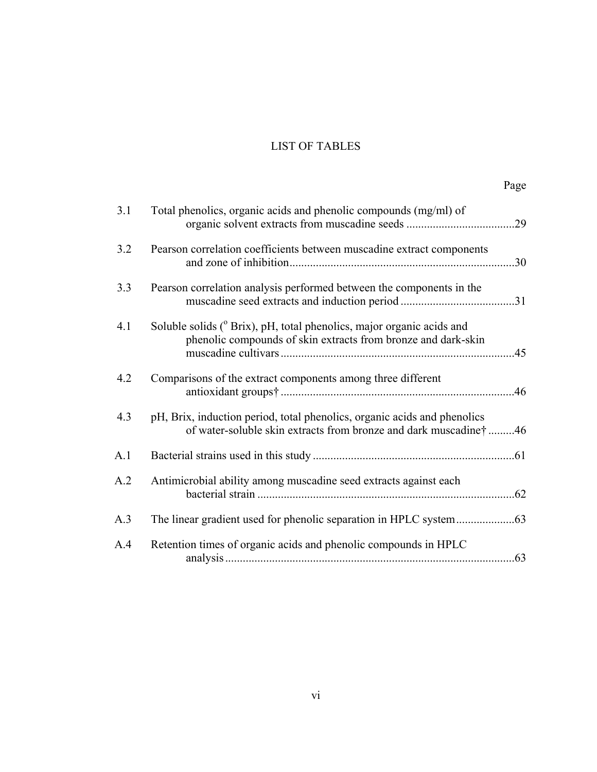### LIST OF TABLES

|--|

| 3.1 | Total phenolics, organic acids and phenolic compounds (mg/ml) of                                                                                   |     |
|-----|----------------------------------------------------------------------------------------------------------------------------------------------------|-----|
| 3.2 | Pearson correlation coefficients between muscadine extract components                                                                              | .30 |
| 3.3 | Pearson correlation analysis performed between the components in the                                                                               |     |
| 4.1 | Soluble solids ( <sup>o</sup> Brix), pH, total phenolics, major organic acids and<br>phenolic compounds of skin extracts from bronze and dark-skin | .45 |
| 4.2 | Comparisons of the extract components among three different                                                                                        | .46 |
| 4.3 | pH, Brix, induction period, total phenolics, organic acids and phenolics<br>of water-soluble skin extracts from bronze and dark muscadine†46       |     |
| A.1 |                                                                                                                                                    |     |
| A.2 | Antimicrobial ability among muscadine seed extracts against each                                                                                   |     |
| A.3 |                                                                                                                                                    |     |
| A.4 | Retention times of organic acids and phenolic compounds in HPLC                                                                                    | .63 |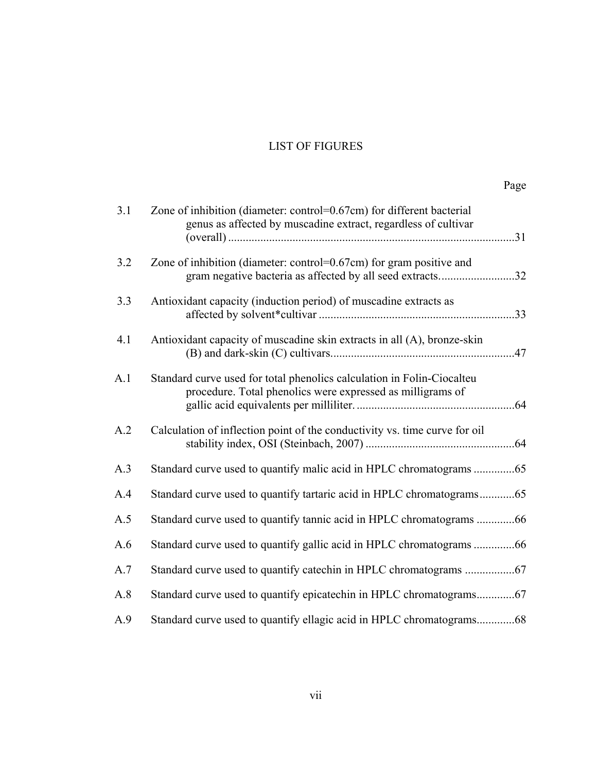#### LIST OF FIGURES

|--|

| 3.1 | Zone of inhibition (diameter: control=0.67cm) for different bacterial<br>genus as affected by muscadine extract, regardless of cultivar |  |
|-----|-----------------------------------------------------------------------------------------------------------------------------------------|--|
|     |                                                                                                                                         |  |
| 3.2 | Zone of inhibition (diameter: control=0.67cm) for gram positive and<br>gram negative bacteria as affected by all seed extracts32        |  |
| 3.3 | Antioxidant capacity (induction period) of muscadine extracts as                                                                        |  |
| 4.1 | Antioxidant capacity of muscadine skin extracts in all (A), bronze-skin                                                                 |  |
| A.1 | Standard curve used for total phenolics calculation in Folin-Ciocalteu<br>procedure. Total phenolics were expressed as milligrams of    |  |
| A.2 | Calculation of inflection point of the conductivity vs. time curve for oil                                                              |  |
| A.3 | Standard curve used to quantify malic acid in HPLC chromatograms 65                                                                     |  |
| A.4 | Standard curve used to quantify tartaric acid in HPLC chromatograms65                                                                   |  |
| A.5 | Standard curve used to quantify tannic acid in HPLC chromatograms 66                                                                    |  |
| A.6 | Standard curve used to quantify gallic acid in HPLC chromatograms 66                                                                    |  |
| A.7 |                                                                                                                                         |  |
| A.8 | Standard curve used to quantify epicatechin in HPLC chromatograms67                                                                     |  |
| A.9 | Standard curve used to quantify ellagic acid in HPLC chromatograms68                                                                    |  |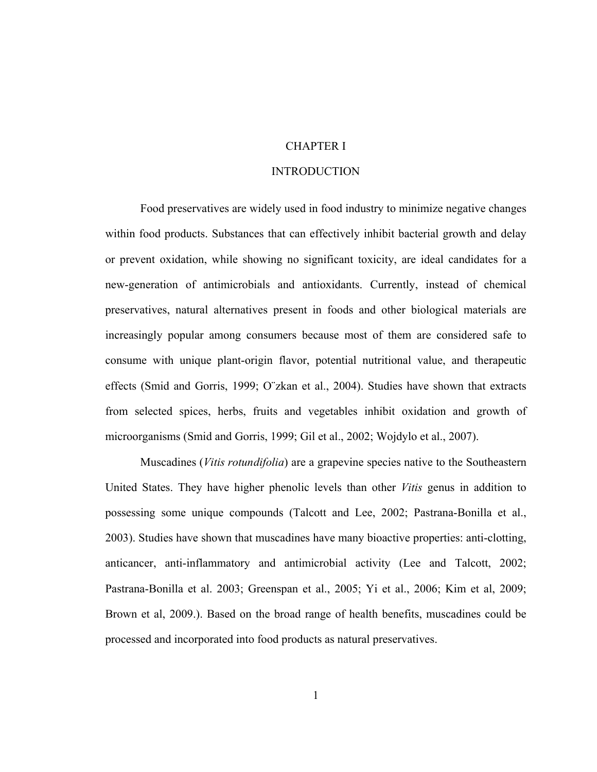#### CHAPTER I

#### INTRODUCTION

Food preservatives are widely used in food industry to minimize negative changes within food products. Substances that can effectively inhibit bacterial growth and delay or prevent oxidation, while showing no significant toxicity, are ideal candidates for a new-generation of antimicrobials and antioxidants. Currently, instead of chemical preservatives, natural alternatives present in foods and other biological materials are increasingly popular among consumers because most of them are considered safe to consume with unique plant-origin flavor, potential nutritional value, and therapeutic effects (Smid and Gorris, 1999; O¨zkan et al., 2004). Studies have shown that extracts from selected spices, herbs, fruits and vegetables inhibit oxidation and growth of microorganisms (Smid and Gorris, 1999; Gil et al., 2002; Wojdylo et al., 2007).

Muscadines (*Vitis rotundifolia*) are a grapevine species native to the Southeastern United States. They have higher phenolic levels than other *Vitis* genus in addition to possessing some unique compounds (Talcott and Lee, 2002; Pastrana-Bonilla et al., 2003). Studies have shown that muscadines have many bioactive properties: anti-clotting, anticancer, anti-inflammatory and antimicrobial activity (Lee and Talcott, 2002; Pastrana-Bonilla et al. 2003; Greenspan et al., 2005; Yi et al., 2006; Kim et al, 2009; Brown et al, 2009.). Based on the broad range of health benefits, muscadines could be processed and incorporated into food products as natural preservatives.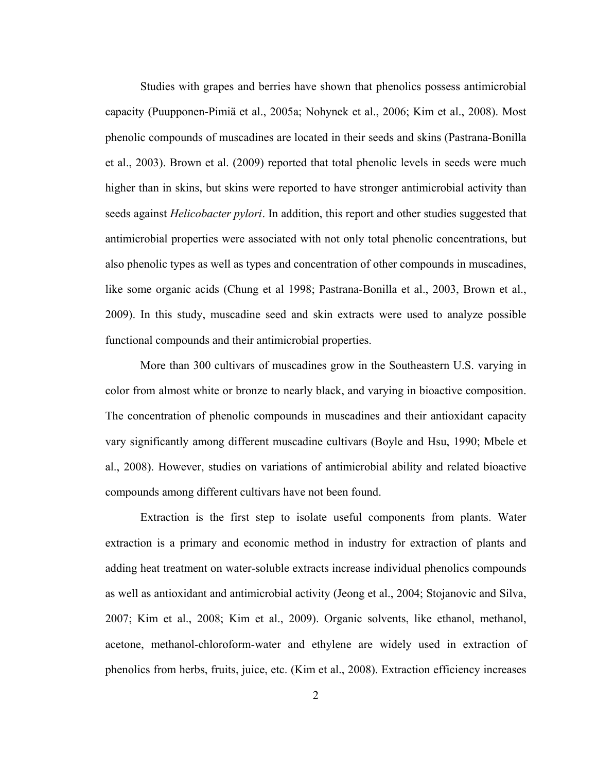Studies with grapes and berries have shown that phenolics possess antimicrobial capacity (Puupponen-Pimiä et al., 2005a; Nohynek et al., 2006; Kim et al., 2008). Most phenolic compounds of muscadines are located in their seeds and skins (Pastrana-Bonilla et al., 2003). Brown et al. (2009) reported that total phenolic levels in seeds were much higher than in skins, but skins were reported to have stronger antimicrobial activity than seeds against *Helicobacter pylori*. In addition, this report and other studies suggested that antimicrobial properties were associated with not only total phenolic concentrations, but also phenolic types as well as types and concentration of other compounds in muscadines, like some organic acids (Chung et al 1998; Pastrana-Bonilla et al., 2003, Brown et al., 2009). In this study, muscadine seed and skin extracts were used to analyze possible functional compounds and their antimicrobial properties.

More than 300 cultivars of muscadines grow in the Southeastern U.S. varying in color from almost white or bronze to nearly black, and varying in bioactive composition. The concentration of phenolic compounds in muscadines and their antioxidant capacity vary significantly among different muscadine cultivars (Boyle and Hsu, 1990; Mbele et al., 2008). However, studies on variations of antimicrobial ability and related bioactive compounds among different cultivars have not been found.

Extraction is the first step to isolate useful components from plants. Water extraction is a primary and economic method in industry for extraction of plants and adding heat treatment on water-soluble extracts increase individual phenolics compounds as well as antioxidant and antimicrobial activity (Jeong et al., 2004; Stojanovic and Silva, 2007; Kim et al., 2008; Kim et al., 2009). Organic solvents, like ethanol, methanol, acetone, methanol-chloroform-water and ethylene are widely used in extraction of phenolics from herbs, fruits, juice, etc. (Kim et al., 2008). Extraction efficiency increases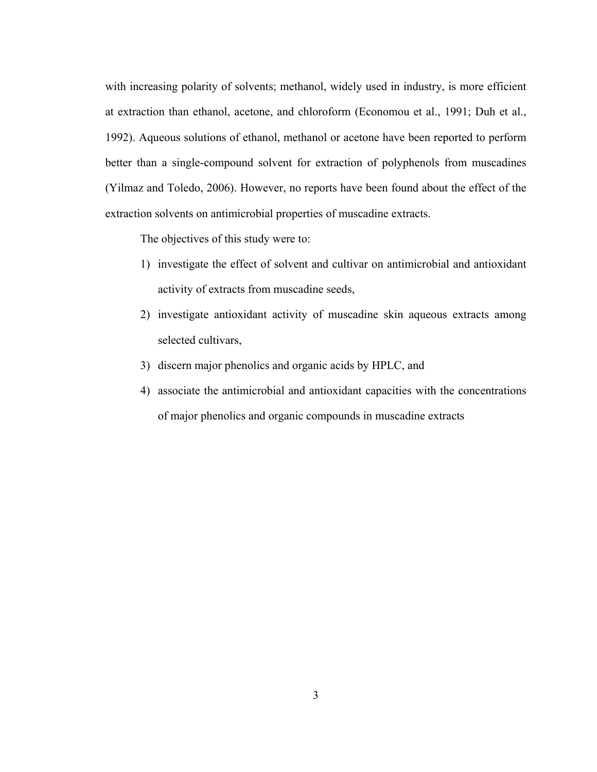with increasing polarity of solvents; methanol, widely used in industry, is more efficient at extraction than ethanol, acetone, and chloroform (Economou et al., 1991; Duh et al., 1992). Aqueous solutions of ethanol, methanol or acetone have been reported to perform better than a single-compound solvent for extraction of polyphenols from muscadines (Yilmaz and Toledo, 2006). However, no reports have been found about the effect of the extraction solvents on antimicrobial properties of muscadine extracts.

The objectives of this study were to:

- 1) investigate the effect of solvent and cultivar on antimicrobial and antioxidant activity of extracts from muscadine seeds,
- 2) investigate antioxidant activity of muscadine skin aqueous extracts among selected cultivars,
- 3) discern major phenolics and organic acids by HPLC, and
- 4) associate the antimicrobial and antioxidant capacities with the concentrations of major phenolics and organic compounds in muscadine extracts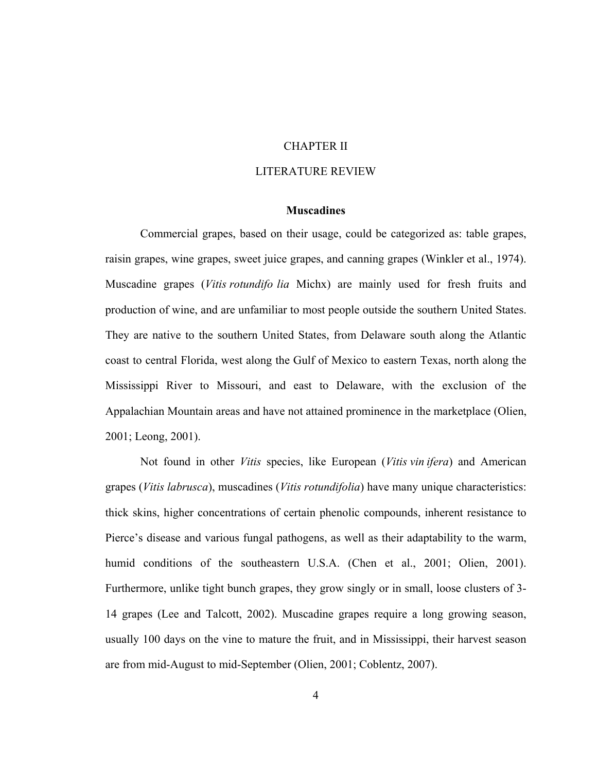#### CHAPTER II

#### LITERATURE REVIEW

#### **Muscadines**

Commercial grapes, based on their usage, could be categorized as: table grapes, raisin grapes, wine grapes, sweet juice grapes, and canning grapes (Winkler et al., 1974). Muscadine grapes (*Vitis rotundifo lia* Michx) are mainly used for fresh fruits and production of wine, and are unfamiliar to most people outside the southern United States. They are native to the southern United States, from Delaware south along the Atlantic coast to central Florida, west along the Gulf of Mexico to eastern Texas, north along the Mississippi River to Missouri, and east to Delaware, with the exclusion of the Appalachian Mountain areas and have not attained prominence in the marketplace (Olien, 2001; Leong, 2001).

Not found in other *Vitis* species, like European (*Vitis vin ifera*) and American grapes (*Vitis labrusca*), muscadines (*Vitis rotundifolia*) have many unique characteristics: thick skins, higher concentrations of certain phenolic compounds, inherent resistance to Pierce's disease and various fungal pathogens, as well as their adaptability to the warm, humid conditions of the southeastern U.S.A. (Chen et al., 2001; Olien, 2001). Furthermore, unlike tight bunch grapes, they grow singly or in small, loose clusters of 3- 14 grapes (Lee and Talcott, 2002). Muscadine grapes require a long growing season, usually 100 days on the vine to mature the fruit, and in Mississippi, their harvest season are from mid-August to mid-September (Olien, 2001; Coblentz, 2007).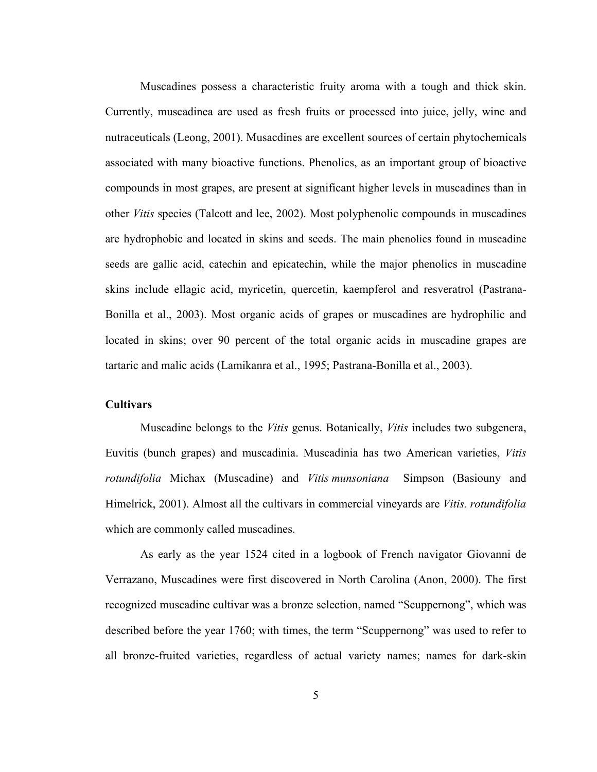Muscadines possess a characteristic fruity aroma with a tough and thick skin. Currently, muscadinea are used as fresh fruits or processed into juice, jelly, wine and nutraceuticals (Leong, 2001). Musacdines are excellent sources of certain phytochemicals associated with many bioactive functions. Phenolics, as an important group of bioactive compounds in most grapes, are present at significant higher levels in muscadines than in other *Vitis* species (Talcott and lee, 2002). Most polyphenolic compounds in muscadines are hydrophobic and located in skins and seeds. The main phenolics found in muscadine seeds are gallic acid, catechin and epicatechin, while the major phenolics in muscadine skins include ellagic acid, myricetin, quercetin, kaempferol and resveratrol (Pastrana-Bonilla et al., 2003). Most organic acids of grapes or muscadines are hydrophilic and located in skins; over 90 percent of the total organic acids in muscadine grapes are tartaric and malic acids (Lamikanra et al., 1995; Pastrana-Bonilla et al., 2003).

#### **Cultivars**

Muscadine belongs to the *Vitis* genus. Botanically, *Vitis* includes two subgenera, Euvitis (bunch grapes) and muscadinia. Muscadinia has two American varieties, *Vitis rotundifolia* Michax (Muscadine) and *Vitis munsoniana* Simpson (Basiouny and Himelrick, 2001). Almost all the cultivars in commercial vineyards are *Vitis. rotundifolia* which are commonly called muscadines.

As early as the year 1524 cited in a logbook of French navigator Giovanni de Verrazano, Muscadines were first discovered in North Carolina (Anon, 2000). The first recognized muscadine cultivar was a bronze selection, named "Scuppernong", which was described before the year 1760; with times, the term "Scuppernong" was used to refer to all bronze-fruited varieties, regardless of actual variety names; names for dark-skin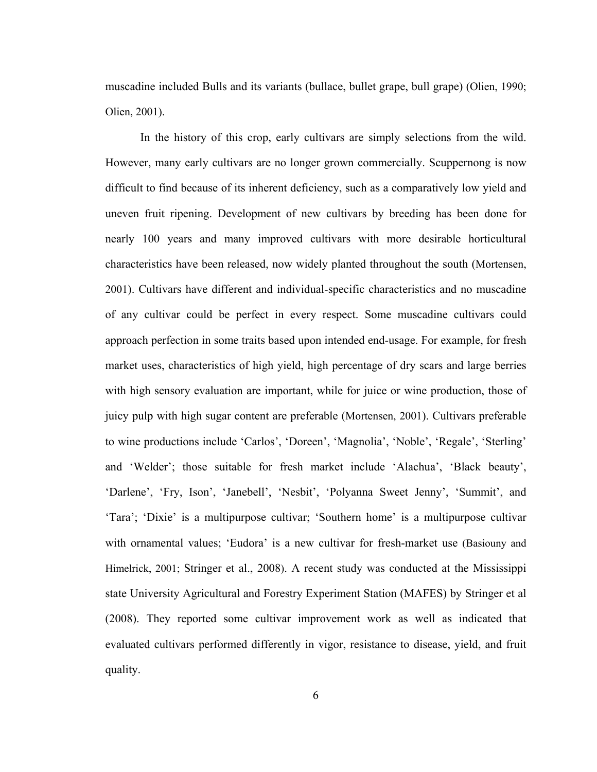muscadine included Bulls and its variants (bullace, bullet grape, bull grape) (Olien, 1990; Olien, 2001).

In the history of this crop, early cultivars are simply selections from the wild. However, many early cultivars are no longer grown commercially. Scuppernong is now difficult to find because of its inherent deficiency, such as a comparatively low yield and uneven fruit ripening. Development of new cultivars by breeding has been done for nearly 100 years and many improved cultivars with more desirable horticultural characteristics have been released, now widely planted throughout the south (Mortensen, 2001). Cultivars have different and individual-specific characteristics and no muscadine of any cultivar could be perfect in every respect. Some muscadine cultivars could approach perfection in some traits based upon intended end-usage. For example, for fresh market uses, characteristics of high yield, high percentage of dry scars and large berries with high sensory evaluation are important, while for juice or wine production, those of juicy pulp with high sugar content are preferable (Mortensen, 2001). Cultivars preferable to wine productions include 'Carlos', 'Doreen', 'Magnolia', 'Noble', 'Regale', 'Sterling' and 'Welder'; those suitable for fresh market include 'Alachua', 'Black beauty', 'Darlene', 'Fry, Ison', 'Janebell', 'Nesbit', 'Polyanna Sweet Jenny', 'Summit', and 'Tara'; 'Dixie' is a multipurpose cultivar; 'Southern home' is a multipurpose cultivar with ornamental values; 'Eudora' is a new cultivar for fresh-market use (Basiouny and Himelrick, 2001; Stringer et al., 2008). A recent study was conducted at the Mississippi state University Agricultural and Forestry Experiment Station (MAFES) by Stringer et al (2008). They reported some cultivar improvement work as well as indicated that evaluated cultivars performed differently in vigor, resistance to disease, yield, and fruit quality.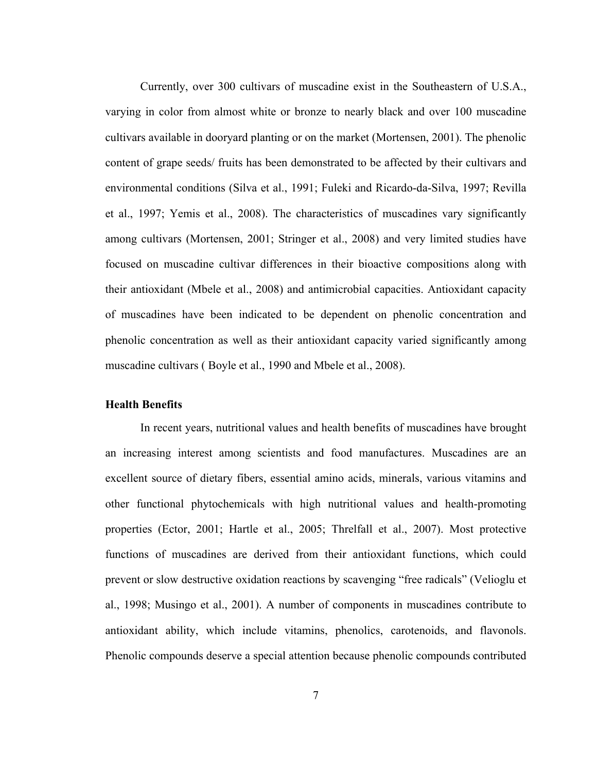Currently, over 300 cultivars of muscadine exist in the Southeastern of U.S.A., varying in color from almost white or bronze to nearly black and over 100 muscadine cultivars available in dooryard planting or on the market (Mortensen, 2001). The phenolic content of grape seeds/ fruits has been demonstrated to be affected by their cultivars and environmental conditions (Silva et al., 1991; Fuleki and Ricardo-da-Silva, 1997; Revilla et al., 1997; Yemis et al., 2008). The characteristics of muscadines vary significantly among cultivars (Mortensen, 2001; Stringer et al., 2008) and very limited studies have focused on muscadine cultivar differences in their bioactive compositions along with their antioxidant (Mbele et al., 2008) and antimicrobial capacities. Antioxidant capacity of muscadines have been indicated to be dependent on phenolic concentration and phenolic concentration as well as their antioxidant capacity varied significantly among muscadine cultivars ( Boyle et al., 1990 and Mbele et al., 2008).

#### **Health Benefits**

In recent years, nutritional values and health benefits of muscadines have brought an increasing interest among scientists and food manufactures. Muscadines are an excellent source of dietary fibers, essential amino acids, minerals, various vitamins and other functional phytochemicals with high nutritional values and health-promoting properties (Ector, 2001; Hartle et al., 2005; Threlfall et al., 2007). Most protective functions of muscadines are derived from their antioxidant functions, which could prevent or slow destructive oxidation reactions by scavenging "free radicals" (Velioglu et al., 1998; Musingo et al., 2001). A number of components in muscadines contribute to antioxidant ability, which include vitamins, phenolics, carotenoids, and flavonols. Phenolic compounds deserve a special attention because phenolic compounds contributed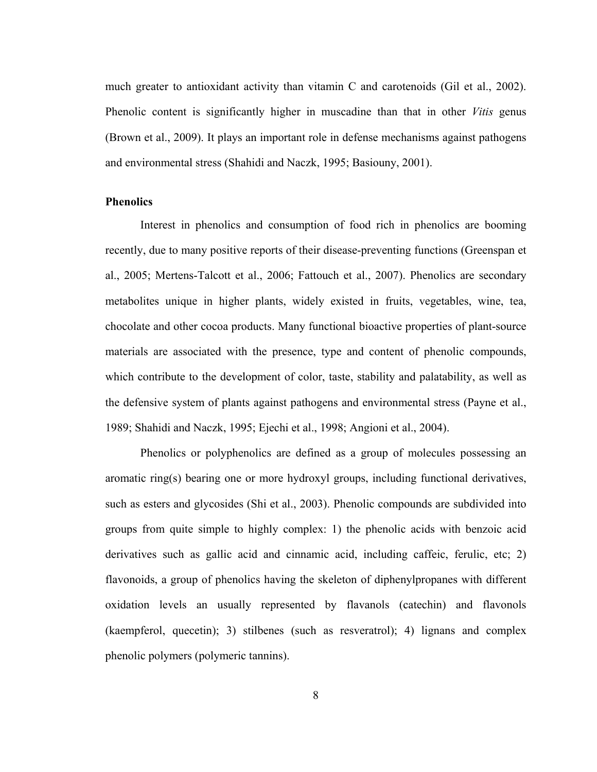much greater to antioxidant activity than vitamin C and carotenoids (Gil et al., 2002). Phenolic content is significantly higher in muscadine than that in other *Vitis* genus (Brown et al., 2009). It plays an important role in defense mechanisms against pathogens and environmental stress (Shahidi and Naczk, 1995; Basiouny, 2001).

#### **Phenolics**

Interest in phenolics and consumption of food rich in phenolics are booming recently, due to many positive reports of their disease-preventing functions (Greenspan et al., 2005; Mertens-Talcott et al., 2006; Fattouch et al., 2007). Phenolics are secondary metabolites unique in higher plants, widely existed in fruits, vegetables, wine, tea, chocolate and other cocoa products. Many functional bioactive properties of plant-source materials are associated with the presence, type and content of phenolic compounds, which contribute to the development of color, taste, stability and palatability, as well as the defensive system of plants against pathogens and environmental stress (Payne et al., 1989; Shahidi and Naczk, 1995; Ejechi et al., 1998; Angioni et al., 2004).

Phenolics or polyphenolics are defined as a group of molecules possessing an aromatic ring(s) bearing one or more hydroxyl groups, including functional derivatives, such as esters and glycosides (Shi et al., 2003). Phenolic compounds are subdivided into groups from quite simple to highly complex: 1) the phenolic acids with benzoic acid derivatives such as gallic acid and cinnamic acid, including caffeic, ferulic, etc; 2) flavonoids, a group of phenolics having the skeleton of diphenylpropanes with different oxidation levels an usually represented by flavanols (catechin) and flavonols (kaempferol, quecetin); 3) stilbenes (such as resveratrol); 4) lignans and complex phenolic polymers (polymeric tannins).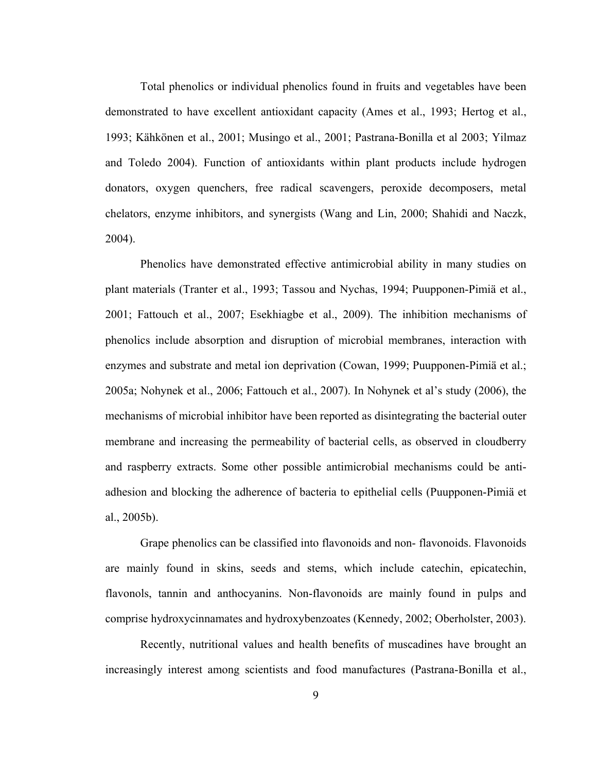Total phenolics or individual phenolics found in fruits and vegetables have been demonstrated to have excellent antioxidant capacity (Ames et al., 1993; Hertog et al., 1993; Kähkönen et al., 2001; Musingo et al., 2001; Pastrana-Bonilla et al 2003; Yilmaz and Toledo 2004). Function of antioxidants within plant products include hydrogen donators, oxygen quenchers, free radical scavengers, peroxide decomposers, metal chelators, enzyme inhibitors, and synergists (Wang and Lin, 2000; Shahidi and Naczk, 2004).

Phenolics have demonstrated effective antimicrobial ability in many studies on plant materials (Tranter et al., 1993; Tassou and Nychas, 1994; Puupponen-Pimiä et al., 2001; Fattouch et al., 2007; Esekhiagbe et al., 2009). The inhibition mechanisms of phenolics include absorption and disruption of microbial membranes, interaction with enzymes and substrate and metal ion deprivation (Cowan, 1999; Puupponen-Pimiä et al.; 2005a; Nohynek et al., 2006; Fattouch et al., 2007). In Nohynek et al's study (2006), the mechanisms of microbial inhibitor have been reported as disintegrating the bacterial outer membrane and increasing the permeability of bacterial cells, as observed in cloudberry and raspberry extracts. Some other possible antimicrobial mechanisms could be antiadhesion and blocking the adherence of bacteria to epithelial cells (Puupponen-Pimiä et al., 2005b).

Grape phenolics can be classified into flavonoids and non- flavonoids. Flavonoids are mainly found in skins, seeds and stems, which include catechin, epicatechin, flavonols, tannin and anthocyanins. Non-flavonoids are mainly found in pulps and comprise hydroxycinnamates and hydroxybenzoates (Kennedy, 2002; Oberholster, 2003).

Recently, nutritional values and health benefits of muscadines have brought an increasingly interest among scientists and food manufactures (Pastrana-Bonilla et al.,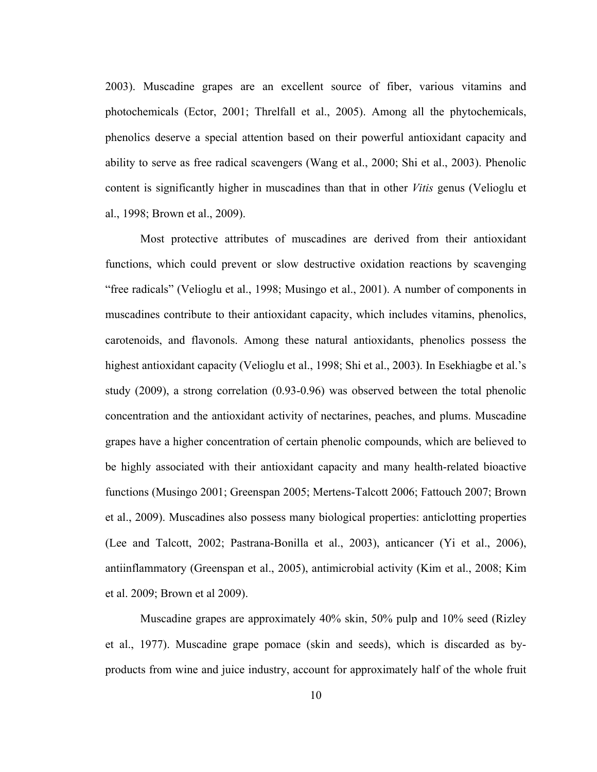2003). Muscadine grapes are an excellent source of fiber, various vitamins and photochemicals (Ector, 2001; Threlfall et al., 2005). Among all the phytochemicals, phenolics deserve a special attention based on their powerful antioxidant capacity and ability to serve as free radical scavengers (Wang et al., 2000; Shi et al., 2003). Phenolic content is significantly higher in muscadines than that in other *Vitis* genus (Velioglu et al., 1998; Brown et al., 2009).

Most protective attributes of muscadines are derived from their antioxidant functions, which could prevent or slow destructive oxidation reactions by scavenging "free radicals" (Velioglu et al., 1998; Musingo et al., 2001). A number of components in muscadines contribute to their antioxidant capacity, which includes vitamins, phenolics, carotenoids, and flavonols. Among these natural antioxidants, phenolics possess the highest antioxidant capacity (Velioglu et al., 1998; Shi et al., 2003). In Esekhiagbe et al.'s study (2009), a strong correlation (0.93-0.96) was observed between the total phenolic concentration and the antioxidant activity of nectarines, peaches, and plums. Muscadine grapes have a higher concentration of certain phenolic compounds, which are believed to be highly associated with their antioxidant capacity and many health-related bioactive functions (Musingo 2001; Greenspan 2005; Mertens-Talcott 2006; Fattouch 2007; Brown et al., 2009). Muscadines also possess many biological properties: anticlotting properties (Lee and Talcott, 2002; Pastrana-Bonilla et al., 2003), anticancer (Yi et al., 2006), antiinflammatory (Greenspan et al., 2005), antimicrobial activity (Kim et al., 2008; Kim et al. 2009; Brown et al 2009).

Muscadine grapes are approximately 40% skin, 50% pulp and 10% seed (Rizley et al., 1977). Muscadine grape pomace (skin and seeds), which is discarded as byproducts from wine and juice industry, account for approximately half of the whole fruit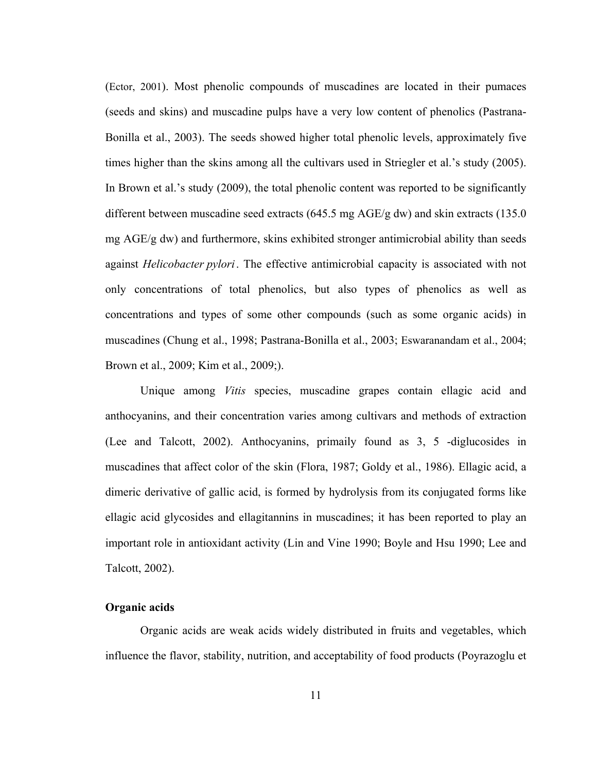(Ector, 2001). Most phenolic compounds of muscadines are located in their pumaces (seeds and skins) and muscadine pulps have a very low content of phenolics (Pastrana-Bonilla et al., 2003). The seeds showed higher total phenolic levels, approximately five times higher than the skins among all the cultivars used in Striegler et al.'s study (2005). In Brown et al.'s study (2009), the total phenolic content was reported to be significantly different between muscadine seed extracts (645.5 mg AGE/g dw) and skin extracts (135.0 mg AGE/g dw) and furthermore, skins exhibited stronger antimicrobial ability than seeds against *Helicobacter pylori*. The effective antimicrobial capacity is associated with not only concentrations of total phenolics, but also types of phenolics as well as concentrations and types of some other compounds (such as some organic acids) in muscadines (Chung et al., 1998; Pastrana-Bonilla et al., 2003; Eswaranandam et al., 2004; Brown et al., 2009; Kim et al., 2009;).

Unique among *Vitis* species, muscadine grapes contain ellagic acid and anthocyanins, and their concentration varies among cultivars and methods of extraction (Lee and Talcott, 2002). Anthocyanins, primaily found as 3, 5 -diglucosides in muscadines that affect color of the skin (Flora, 1987; Goldy et al., 1986). Ellagic acid, a dimeric derivative of gallic acid, is formed by hydrolysis from its conjugated forms like ellagic acid glycosides and ellagitannins in muscadines; it has been reported to play an important role in antioxidant activity (Lin and Vine 1990; Boyle and Hsu 1990; Lee and Talcott, 2002).

#### **Organic acids**

Organic acids are weak acids widely distributed in fruits and vegetables, which influence the flavor, stability, nutrition, and acceptability of food products (Poyrazoglu et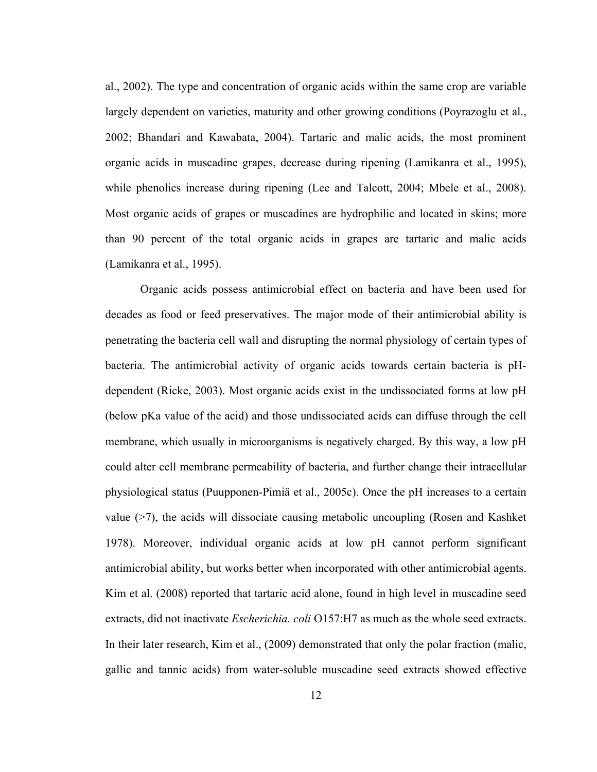al., 2002). The type and concentration of organic acids within the same crop are variable largely dependent on varieties, maturity and other growing conditions (Poyrazoglu et al., 2002; Bhandari and Kawabata, 2004). Tartaric and malic acids, the most prominent organic acids in muscadine grapes, decrease during ripening (Lamikanra et al., 1995), while phenolics increase during ripening (Lee and Talcott, 2004; Mbele et al., 2008). Most organic acids of grapes or muscadines are hydrophilic and located in skins; more than 90 percent of the total organic acids in grapes are tartaric and malic acids (Lamikanra et al., 1995).

Organic acids possess antimicrobial effect on bacteria and have been used for decades as food or feed preservatives. The major mode of their antimicrobial ability is penetrating the bacteria cell wall and disrupting the normal physiology of certain types of bacteria. The antimicrobial activity of organic acids towards certain bacteria is pHdependent (Ricke, 2003). Most organic acids exist in the undissociated forms at low pH (below pKa value of the acid) and those undissociated acids can diffuse through the cell membrane, which usually in microorganisms is negatively charged. By this way, a low pH could alter cell membrane permeability of bacteria, and further change their intracellular physiological status (Puupponen-Pimiä et al., 2005c). Once the pH increases to a certain value (>7), the acids will dissociate causing metabolic uncoupling (Rosen and Kashket 1978). Moreover, individual organic acids at low pH cannot perform significant antimicrobial ability, but works better when incorporated with other antimicrobial agents. Kim et al. (2008) reported that tartaric acid alone, found in high level in muscadine seed extracts, did not inactivate *Escherichia. coli* O157:H7 as much as the whole seed extracts. In their later research, Kim et al., (2009) demonstrated that only the polar fraction (malic, gallic and tannic acids) from water-soluble muscadine seed extracts showed effective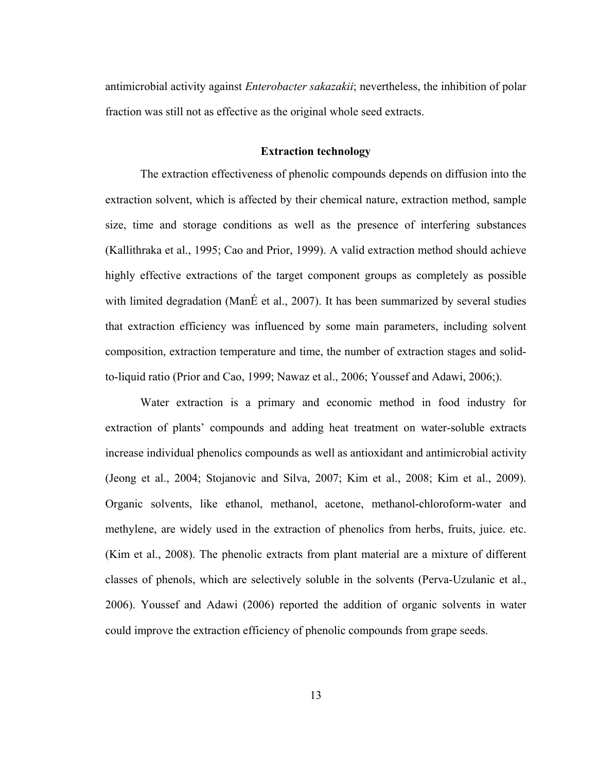antimicrobial activity against *Enterobacter sakazakii*; nevertheless, the inhibition of polar fraction was still not as effective as the original whole seed extracts.

#### **Extraction technology**

The extraction effectiveness of phenolic compounds depends on diffusion into the extraction solvent, which is affected by their chemical nature, extraction method, sample size, time and storage conditions as well as the presence of interfering substances (Kallithraka et al., 1995; Cao and Prior, 1999). A valid extraction method should achieve highly effective extractions of the target component groups as completely as possible with limited degradation (ManÉ et al., 2007). It has been summarized by several studies that extraction efficiency was influenced by some main parameters, including solvent composition, extraction temperature and time, the number of extraction stages and solidto-liquid ratio (Prior and Cao, 1999; Nawaz et al., 2006; Youssef and Adawi, 2006;).

Water extraction is a primary and economic method in food industry for extraction of plants' compounds and adding heat treatment on water-soluble extracts increase individual phenolics compounds as well as antioxidant and antimicrobial activity (Jeong et al., 2004; Stojanovic and Silva, 2007; Kim et al., 2008; Kim et al., 2009). Organic solvents, like ethanol, methanol, acetone, methanol-chloroform-water and methylene, are widely used in the extraction of phenolics from herbs, fruits, juice. etc. (Kim et al., 2008). The phenolic extracts from plant material are a mixture of different classes of phenols, which are selectively soluble in the solvents (Perva-Uzulanic et al., 2006). Youssef and Adawi (2006) reported the addition of organic solvents in water could improve the extraction efficiency of phenolic compounds from grape seeds.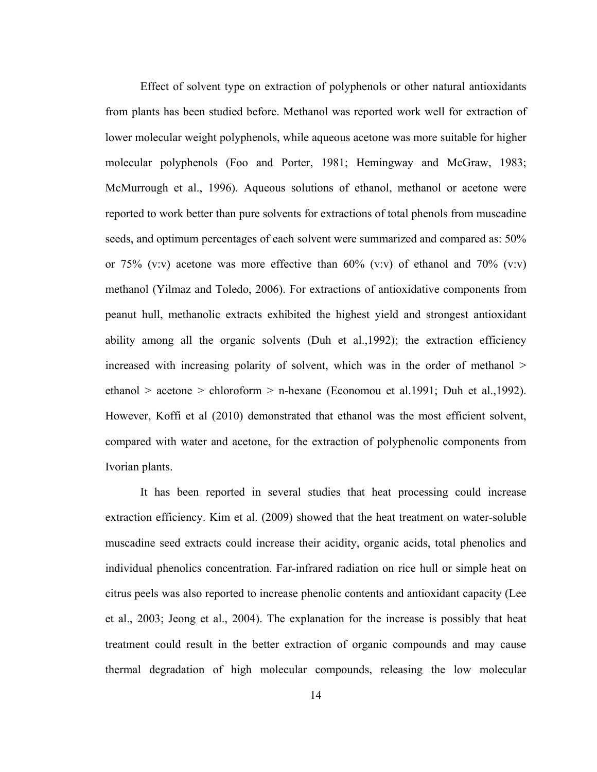Effect of solvent type on extraction of polyphenols or other natural antioxidants from plants has been studied before. Methanol was reported work well for extraction of lower molecular weight polyphenols, while aqueous acetone was more suitable for higher molecular polyphenols (Foo and Porter, 1981; Hemingway and McGraw, 1983; McMurrough et al., 1996). Aqueous solutions of ethanol, methanol or acetone were reported to work better than pure solvents for extractions of total phenols from muscadine seeds, and optimum percentages of each solvent were summarized and compared as: 50% or 75% (v:v) acetone was more effective than  $60\%$  (v:v) of ethanol and 70% (v:v) methanol (Yilmaz and Toledo, 2006). For extractions of antioxidative components from peanut hull, methanolic extracts exhibited the highest yield and strongest antioxidant ability among all the organic solvents (Duh et al.,1992); the extraction efficiency increased with increasing polarity of solvent, which was in the order of methanol > ethanol > acetone > chloroform > n-hexane (Economou et al.1991; Duh et al.,1992). However, Koffi et al (2010) demonstrated that ethanol was the most efficient solvent, compared with water and acetone, for the extraction of polyphenolic components from Ivorian plants.

It has been reported in several studies that heat processing could increase extraction efficiency. Kim et al. (2009) showed that the heat treatment on water-soluble muscadine seed extracts could increase their acidity, organic acids, total phenolics and individual phenolics concentration. Far-infrared radiation on rice hull or simple heat on citrus peels was also reported to increase phenolic contents and antioxidant capacity (Lee et al., 2003; Jeong et al., 2004). The explanation for the increase is possibly that heat treatment could result in the better extraction of organic compounds and may cause thermal degradation of high molecular compounds, releasing the low molecular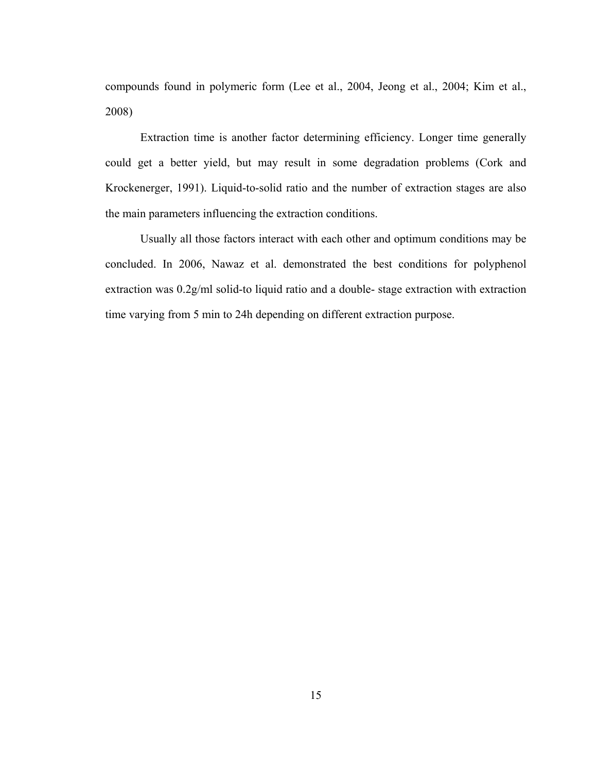compounds found in polymeric form (Lee et al., 2004, Jeong et al., 2004; Kim et al., 2008)

Extraction time is another factor determining efficiency. Longer time generally could get a better yield, but may result in some degradation problems (Cork and Krockenerger, 1991). Liquid-to-solid ratio and the number of extraction stages are also the main parameters influencing the extraction conditions.

Usually all those factors interact with each other and optimum conditions may be concluded. In 2006, Nawaz et al. demonstrated the best conditions for polyphenol extraction was 0.2g/ml solid-to liquid ratio and a double- stage extraction with extraction time varying from 5 min to 24h depending on different extraction purpose.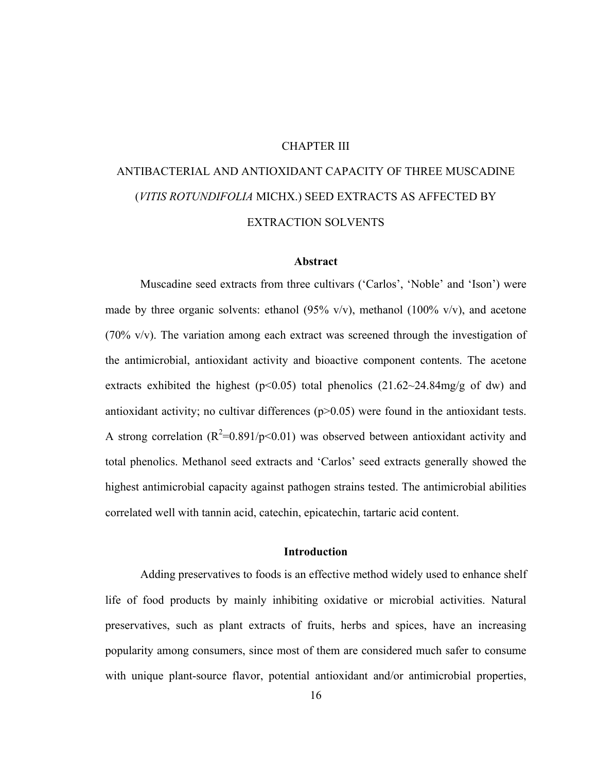#### CHAPTER III

## ANTIBACTERIAL AND ANTIOXIDANT CAPACITY OF THREE MUSCADINE (*VITIS ROTUNDIFOLIA* MICHX.) SEED EXTRACTS AS AFFECTED BY EXTRACTION SOLVENTS

#### **Abstract**

Muscadine seed extracts from three cultivars ('Carlos', 'Noble' and 'Ison') were made by three organic solvents: ethanol (95% v/v), methanol (100% v/v), and acetone (70% v/v). The variation among each extract was screened through the investigation of the antimicrobial, antioxidant activity and bioactive component contents. The acetone extracts exhibited the highest ( $p<0.05$ ) total phenolics (21.62~24.84mg/g of dw) and antioxidant activity; no cultivar differences (p>0.05) were found in the antioxidant tests. A strong correlation ( $R^2=0.891/p<0.01$ ) was observed between antioxidant activity and total phenolics. Methanol seed extracts and 'Carlos' seed extracts generally showed the highest antimicrobial capacity against pathogen strains tested. The antimicrobial abilities correlated well with tannin acid, catechin, epicatechin, tartaric acid content.

#### **Introduction**

Adding preservatives to foods is an effective method widely used to enhance shelf life of food products by mainly inhibiting oxidative or microbial activities. Natural preservatives, such as plant extracts of fruits, herbs and spices, have an increasing popularity among consumers, since most of them are considered much safer to consume with unique plant-source flavor, potential antioxidant and/or antimicrobial properties,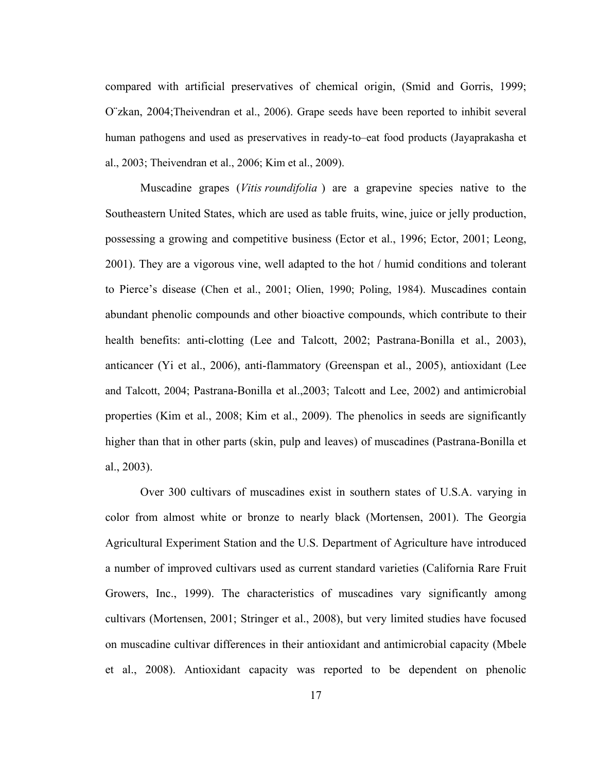compared with artificial preservatives of chemical origin, (Smid and Gorris, 1999; O¨zkan, 2004;Theivendran et al., 2006). Grape seeds have been reported to inhibit several human pathogens and used as preservatives in ready-to–eat food products (Jayaprakasha et al., 2003; Theivendran et al., 2006; Kim et al., 2009).

Muscadine grapes (*Vitis roundifolia* ) are a grapevine species native to the Southeastern United States, which are used as table fruits, wine, juice or jelly production, possessing a growing and competitive business (Ector et al., 1996; Ector, 2001; Leong, 2001). They are a vigorous vine, well adapted to the hot / humid conditions and tolerant to Pierce's disease (Chen et al., 2001; Olien, 1990; Poling, 1984). Muscadines contain abundant phenolic compounds and other bioactive compounds, which contribute to their health benefits: anti-clotting (Lee and Talcott, 2002; Pastrana-Bonilla et al., 2003), anticancer (Yi et al., 2006), anti-flammatory (Greenspan et al., 2005), antioxidant (Lee and Talcott, 2004; Pastrana-Bonilla et al.,2003; Talcott and Lee, 2002) and antimicrobial properties (Kim et al., 2008; Kim et al., 2009). The phenolics in seeds are significantly higher than that in other parts (skin, pulp and leaves) of muscadines (Pastrana-Bonilla et al., 2003).

Over 300 cultivars of muscadines exist in southern states of U.S.A. varying in color from almost white or bronze to nearly black (Mortensen, 2001). The Georgia Agricultural Experiment Station and the U.S. Department of Agriculture have introduced a number of improved cultivars used as current standard varieties (California Rare Fruit Growers, Inc., 1999). The characteristics of muscadines vary significantly among cultivars (Mortensen, 2001; Stringer et al., 2008), but very limited studies have focused on muscadine cultivar differences in their antioxidant and antimicrobial capacity (Mbele et al., 2008). Antioxidant capacity was reported to be dependent on phenolic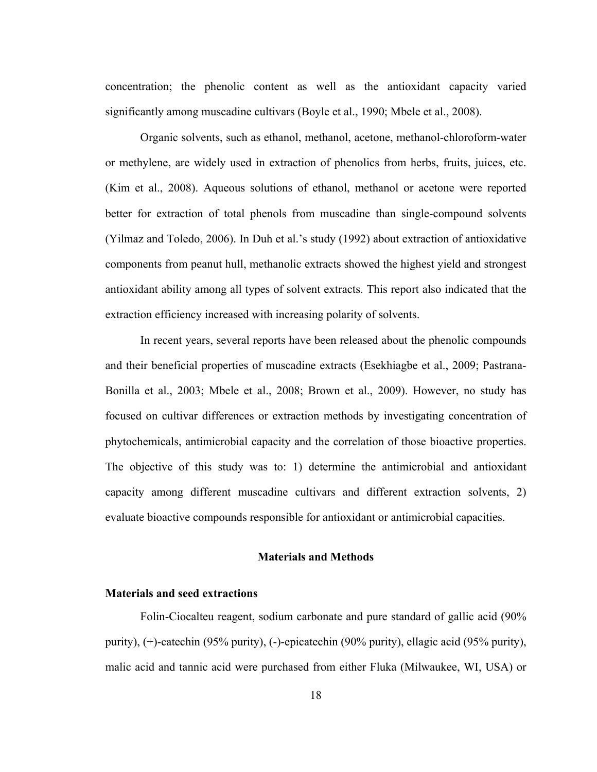concentration; the phenolic content as well as the antioxidant capacity varied significantly among muscadine cultivars (Boyle et al., 1990; Mbele et al., 2008).

Organic solvents, such as ethanol, methanol, acetone, methanol-chloroform-water or methylene, are widely used in extraction of phenolics from herbs, fruits, juices, etc. (Kim et al., 2008). Aqueous solutions of ethanol, methanol or acetone were reported better for extraction of total phenols from muscadine than single-compound solvents (Yilmaz and Toledo, 2006). In Duh et al.'s study (1992) about extraction of antioxidative components from peanut hull, methanolic extracts showed the highest yield and strongest antioxidant ability among all types of solvent extracts. This report also indicated that the extraction efficiency increased with increasing polarity of solvents.

In recent years, several reports have been released about the phenolic compounds and their beneficial properties of muscadine extracts (Esekhiagbe et al., 2009; Pastrana-Bonilla et al., 2003; Mbele et al., 2008; Brown et al., 2009). However, no study has focused on cultivar differences or extraction methods by investigating concentration of phytochemicals, antimicrobial capacity and the correlation of those bioactive properties. The objective of this study was to: 1) determine the antimicrobial and antioxidant capacity among different muscadine cultivars and different extraction solvents, 2) evaluate bioactive compounds responsible for antioxidant or antimicrobial capacities.

#### **Materials and Methods**

#### **Materials and seed extractions**

Folin-Ciocalteu reagent, sodium carbonate and pure standard of gallic acid (90% purity), (+)-catechin (95% purity), (-)-epicatechin (90% purity), ellagic acid (95% purity), malic acid and tannic acid were purchased from either Fluka (Milwaukee, WI, USA) or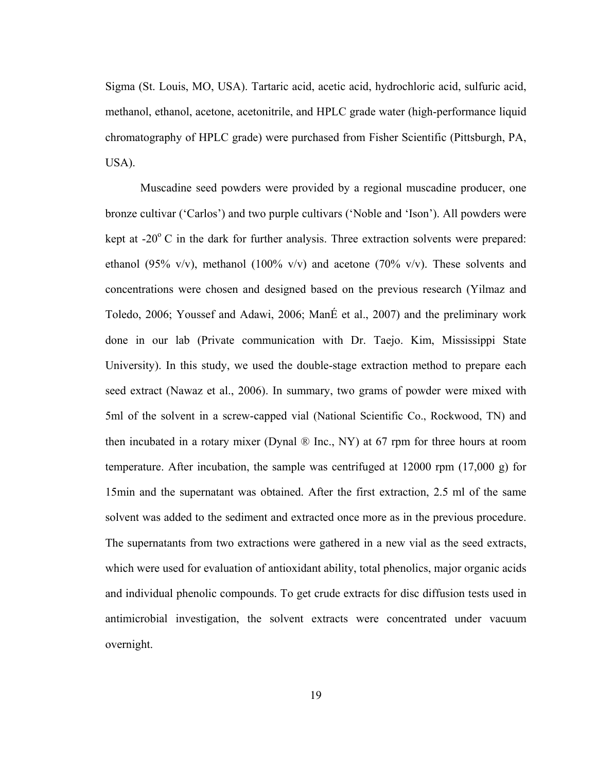Sigma (St. Louis, MO, USA). Tartaric acid, acetic acid, hydrochloric acid, sulfuric acid, methanol, ethanol, acetone, acetonitrile, and HPLC grade water (high-performance liquid chromatography of HPLC grade) were purchased from Fisher Scientific (Pittsburgh, PA, USA).

Muscadine seed powders were provided by a regional muscadine producer, one bronze cultivar ('Carlos') and two purple cultivars ('Noble and 'Ison'). All powders were kept at  $-20^{\circ}$  C in the dark for further analysis. Three extraction solvents were prepared: ethanol (95% v/v), methanol (100% v/v) and acetone (70% v/v). These solvents and concentrations were chosen and designed based on the previous research (Yilmaz and Toledo, 2006; Youssef and Adawi, 2006; ManÉ et al., 2007) and the preliminary work done in our lab (Private communication with Dr. Taejo. Kim, Mississippi State University). In this study, we used the double-stage extraction method to prepare each seed extract (Nawaz et al., 2006). In summary, two grams of powder were mixed with 5ml of the solvent in a screw-capped vial (National Scientific Co., Rockwood, TN) and then incubated in a rotary mixer (Dynal ® Inc., NY) at 67 rpm for three hours at room temperature. After incubation, the sample was centrifuged at 12000 rpm (17,000 g) for 15min and the supernatant was obtained. After the first extraction, 2.5 ml of the same solvent was added to the sediment and extracted once more as in the previous procedure. The supernatants from two extractions were gathered in a new vial as the seed extracts, which were used for evaluation of antioxidant ability, total phenolics, major organic acids and individual phenolic compounds. To get crude extracts for disc diffusion tests used in antimicrobial investigation, the solvent extracts were concentrated under vacuum overnight.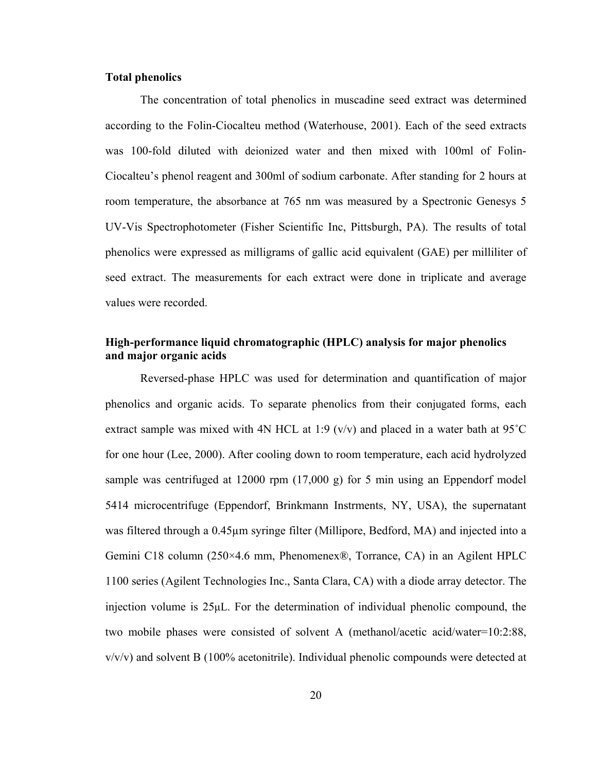#### **Total phenolics**

The concentration of total phenolics in muscadine seed extract was determined according to the Folin-Ciocalteu method (Waterhouse, 2001). Each of the seed extracts was 100-fold diluted with deionized water and then mixed with 100ml of Folin-Ciocalteu's phenol reagent and 300ml of sodium carbonate. After standing for 2 hours at room temperature, the absorbance at 765 nm was measured by a Spectronic Genesys 5 UV-Vis Spectrophotometer (Fisher Scientific Inc, Pittsburgh, PA). The results of total phenolics were expressed as milligrams of gallic acid equivalent (GAE) per milliliter of seed extract. The measurements for each extract were done in triplicate and average values were recorded.

#### **High-performance liquid chromatographic (HPLC) analysis for major phenolics and major organic acids**

Reversed-phase HPLC was used for determination and quantification of major phenolics and organic acids. To separate phenolics from their conjugated forms, each extract sample was mixed with 4N HCL at 1:9 ( $v/v$ ) and placed in a water bath at 95 $^{\circ}$ C for one hour (Lee, 2000). After cooling down to room temperature, each acid hydrolyzed sample was centrifuged at 12000 rpm  $(17,000 \text{ g})$  for 5 min using an Eppendorf model 5414 microcentrifuge (Eppendorf, Brinkmann Instrments, NY, USA), the supernatant was filtered through a 0.45µm syringe filter (Millipore, Bedford, MA) and injected into a Gemini C18 column (250×4.6 mm, Phenomenex®, Torrance, CA) in an Agilent HPLC 1100 series (Agilent Technologies Inc., Santa Clara, CA) with a diode array detector. The injection volume is 25μL. For the determination of individual phenolic compound, the two mobile phases were consisted of solvent A (methanol/acetic acid/water=10:2:88,  $v/v/v$ ) and solvent B (100% acetonitrile). Individual phenolic compounds were detected at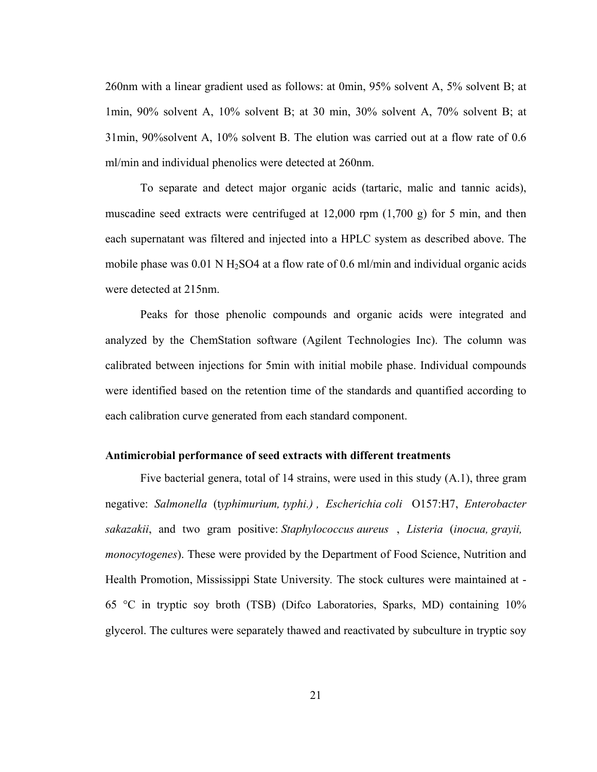260nm with a linear gradient used as follows: at 0min, 95% solvent A, 5% solvent B; at 1min, 90% solvent A, 10% solvent B; at 30 min, 30% solvent A, 70% solvent B; at 31min, 90%solvent A, 10% solvent B. The elution was carried out at a flow rate of 0.6 ml/min and individual phenolics were detected at 260nm.

To separate and detect major organic acids (tartaric, malic and tannic acids), muscadine seed extracts were centrifuged at  $12,000$  rpm  $(1,700 \text{ g})$  for 5 min, and then each supernatant was filtered and injected into a HPLC system as described above. The mobile phase was  $0.01$  N H<sub>2</sub>SO4 at a flow rate of  $0.6$  ml/min and individual organic acids were detected at 215nm.

Peaks for those phenolic compounds and organic acids were integrated and analyzed by the ChemStation software (Agilent Technologies Inc). The column was calibrated between injections for 5min with initial mobile phase. Individual compounds were identified based on the retention time of the standards and quantified according to each calibration curve generated from each standard component.

#### **Antimicrobial performance of seed extracts with different treatments**

Five bacterial genera, total of 14 strains, were used in this study (A.1), three gram negative: *Salmonella* (t*yphimurium, typhi.) , Escherichia coli* O157:H7, *Enterobacter sakazakii*, and two gram positive: *Staphylococcus aureus* , *Listeria* (*inocua, grayii, monocytogenes*). These were provided by the Department of Food Science, Nutrition and Health Promotion, Mississippi State University*.* The stock cultures were maintained at - 65 °C in tryptic soy broth (TSB) (Difco Laboratories, Sparks, MD) containing 10% glycerol. The cultures were separately thawed and reactivated by subculture in tryptic soy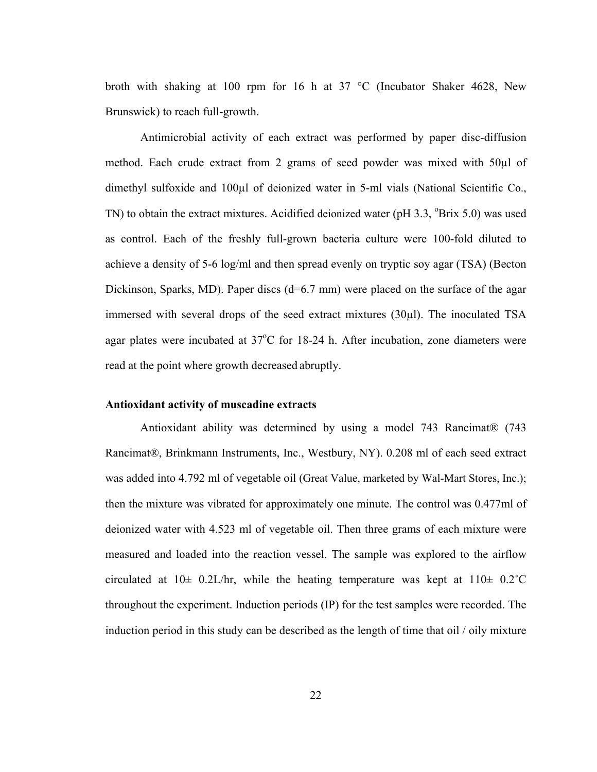broth with shaking at 100 rpm for 16 h at 37 °C (Incubator Shaker 4628, New Brunswick) to reach full-growth.

Antimicrobial activity of each extract was performed by paper disc-diffusion method. Each crude extract from 2 grams of seed powder was mixed with 50µl of dimethyl sulfoxide and 100µl of deionized water in 5-ml vials (National Scientific Co., TN) to obtain the extract mixtures. Acidified deionized water ( $pH$  3.3,  $^{\circ}Brix$  5.0) was used as control. Each of the freshly full-grown bacteria culture were 100-fold diluted to achieve a density of 5-6 log/ml and then spread evenly on tryptic soy agar (TSA) (Becton Dickinson, Sparks, MD). Paper discs (d=6.7 mm) were placed on the surface of the agar immersed with several drops of the seed extract mixtures (30µl). The inoculated TSA agar plates were incubated at  $37^{\circ}$ C for 18-24 h. After incubation, zone diameters were read at the point where growth decreased abruptly.

#### **Antioxidant activity of muscadine extracts**

Antioxidant ability was determined by using a model 743 Rancimat® (743 Rancimat®, Brinkmann Instruments, Inc., Westbury, NY). 0.208 ml of each seed extract was added into 4.792 ml of vegetable oil (Great Value, marketed by Wal-Mart Stores, Inc.); then the mixture was vibrated for approximately one minute. The control was 0.477ml of deionized water with 4.523 ml of vegetable oil. Then three grams of each mixture were measured and loaded into the reaction vessel. The sample was explored to the airflow circulated at  $10\pm 0.2$ L/hr, while the heating temperature was kept at  $110\pm 0.2$ °C throughout the experiment. Induction periods (IP) for the test samples were recorded. The induction period in this study can be described as the length of time that oil / oily mixture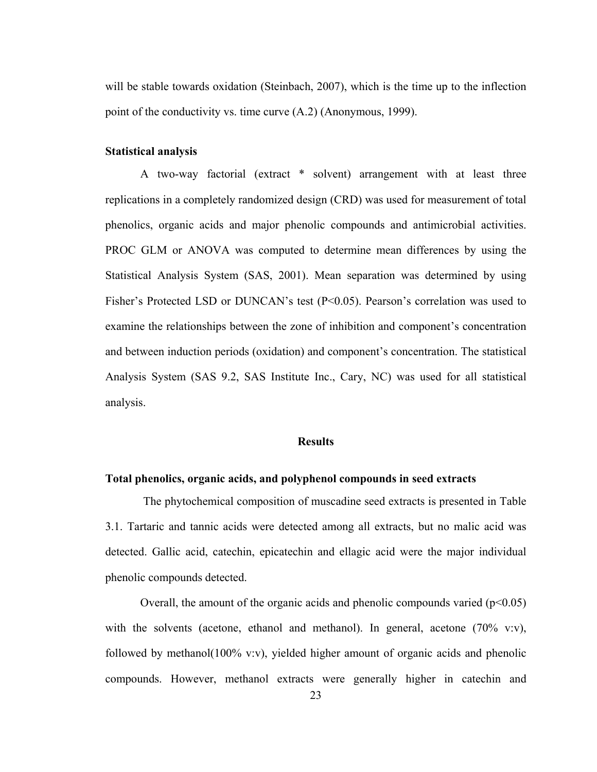will be stable towards oxidation (Steinbach, 2007), which is the time up to the inflection point of the conductivity vs. time curve (A.2) (Anonymous, 1999).

#### **Statistical analysis**

A two-way factorial (extract \* solvent) arrangement with at least three replications in a completely randomized design (CRD) was used for measurement of total phenolics, organic acids and major phenolic compounds and antimicrobial activities. PROC GLM or ANOVA was computed to determine mean differences by using the Statistical Analysis System (SAS, 2001). Mean separation was determined by using Fisher's Protected LSD or DUNCAN's test (P<0.05). Pearson's correlation was used to examine the relationships between the zone of inhibition and component's concentration and between induction periods (oxidation) and component's concentration. The statistical Analysis System (SAS 9.2, SAS Institute Inc., Cary, NC) was used for all statistical analysis.

#### **Results**

#### **Total phenolics, organic acids, and polyphenol compounds in seed extracts**

 The phytochemical composition of muscadine seed extracts is presented in Table 3.1. Tartaric and tannic acids were detected among all extracts, but no malic acid was detected. Gallic acid, catechin, epicatechin and ellagic acid were the major individual phenolic compounds detected.

Overall, the amount of the organic acids and phenolic compounds varied  $(p<0.05)$ with the solvents (acetone, ethanol and methanol). In general, acetone  $(70\%$  v:v), followed by methanol(100% v:v), yielded higher amount of organic acids and phenolic compounds. However, methanol extracts were generally higher in catechin and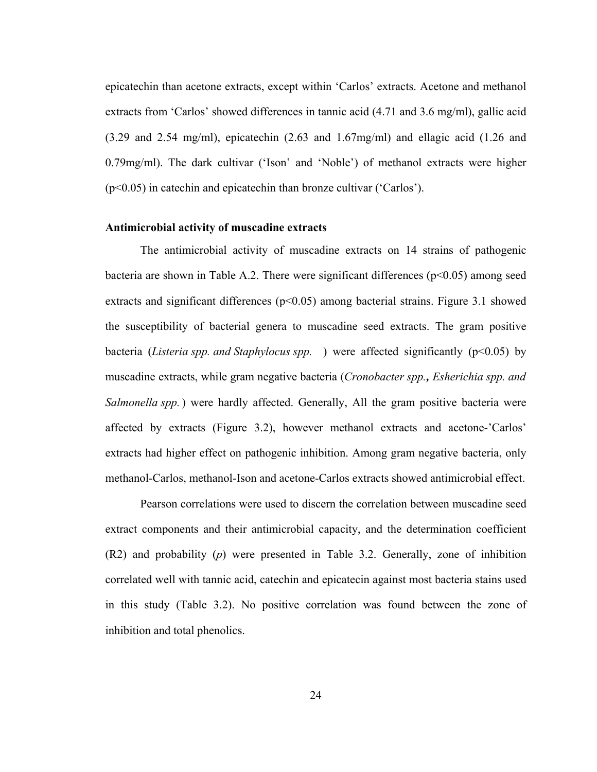epicatechin than acetone extracts, except within 'Carlos' extracts. Acetone and methanol extracts from 'Carlos' showed differences in tannic acid (4.71 and 3.6 mg/ml), gallic acid (3.29 and 2.54 mg/ml), epicatechin (2.63 and 1.67mg/ml) and ellagic acid (1.26 and 0.79mg/ml). The dark cultivar ('Ison' and 'Noble') of methanol extracts were higher (p<0.05) in catechin and epicatechin than bronze cultivar ('Carlos').

#### **Antimicrobial activity of muscadine extracts**

The antimicrobial activity of muscadine extracts on 14 strains of pathogenic bacteria are shown in Table A.2. There were significant differences  $(p<0.05)$  among seed extracts and significant differences  $(p<0.05)$  among bacterial strains. Figure 3.1 showed the susceptibility of bacterial genera to muscadine seed extracts. The gram positive bacteria (*Listeria spp. and Staphylocus spp.*) were affected significantly (p<0.05) by muscadine extracts, while gram negative bacteria (*Cronobacter spp., Esherichia spp. and Salmonella spp.*) were hardly affected. Generally, All the gram positive bacteria were affected by extracts (Figure 3.2), however methanol extracts and acetone-'Carlos' extracts had higher effect on pathogenic inhibition. Among gram negative bacteria, only methanol-Carlos, methanol-Ison and acetone-Carlos extracts showed antimicrobial effect.

Pearson correlations were used to discern the correlation between muscadine seed extract components and their antimicrobial capacity, and the determination coefficient (R2) and probability (*p*) were presented in Table 3.2. Generally, zone of inhibition correlated well with tannic acid, catechin and epicatecin against most bacteria stains used in this study (Table 3.2). No positive correlation was found between the zone of inhibition and total phenolics.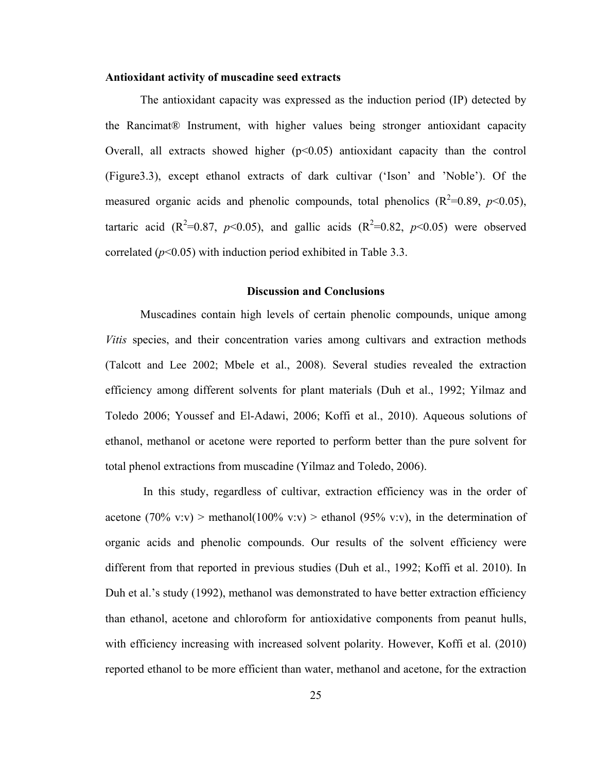#### **Antioxidant activity of muscadine seed extracts**

The antioxidant capacity was expressed as the induction period (IP) detected by the Rancimat® Instrument, with higher values being stronger antioxidant capacity Overall, all extracts showed higher  $(p<0.05)$  antioxidant capacity than the control (Figure3.3), except ethanol extracts of dark cultivar ('Ison' and 'Noble'). Of the measured organic acids and phenolic compounds, total phenolics  $(R^2=0.89, p<0.05)$ , tartaric acid ( $R^2=0.87$ ,  $p<0.05$ ), and gallic acids ( $R^2=0.82$ ,  $p<0.05$ ) were observed correlated  $(p<0.05)$  with induction period exhibited in Table 3.3.

#### **Discussion and Conclusions**

Muscadines contain high levels of certain phenolic compounds, unique among *Vitis* species, and their concentration varies among cultivars and extraction methods (Talcott and Lee 2002; Mbele et al., 2008). Several studies revealed the extraction efficiency among different solvents for plant materials (Duh et al., 1992; Yilmaz and Toledo 2006; Youssef and El-Adawi, 2006; Koffi et al., 2010). Aqueous solutions of ethanol, methanol or acetone were reported to perform better than the pure solvent for total phenol extractions from muscadine (Yilmaz and Toledo, 2006).

 In this study, regardless of cultivar, extraction efficiency was in the order of acetone (70% v:v) > methanol(100% v:v) > ethanol (95% v:v), in the determination of organic acids and phenolic compounds. Our results of the solvent efficiency were different from that reported in previous studies (Duh et al., 1992; Koffi et al. 2010). In Duh et al.'s study (1992), methanol was demonstrated to have better extraction efficiency than ethanol, acetone and chloroform for antioxidative components from peanut hulls, with efficiency increasing with increased solvent polarity. However, Koffi et al. (2010) reported ethanol to be more efficient than water, methanol and acetone, for the extraction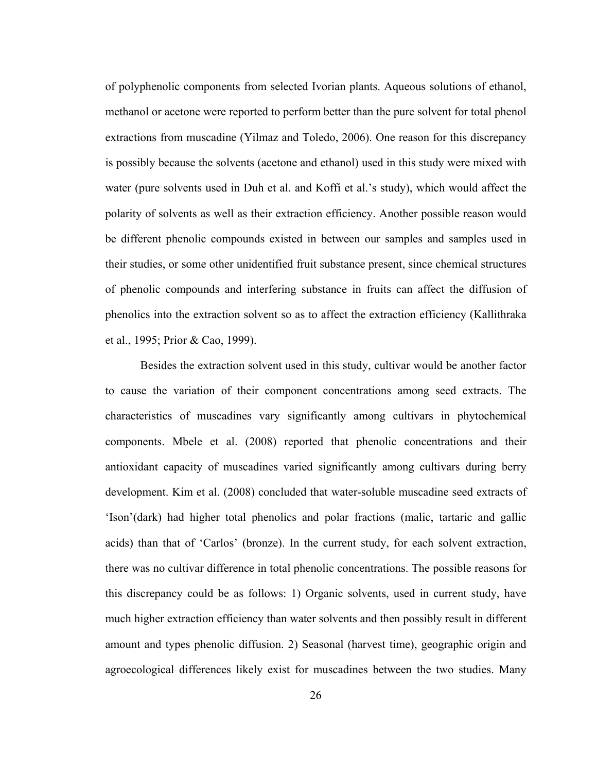of polyphenolic components from selected Ivorian plants. Aqueous solutions of ethanol, methanol or acetone were reported to perform better than the pure solvent for total phenol extractions from muscadine (Yilmaz and Toledo, 2006). One reason for this discrepancy is possibly because the solvents (acetone and ethanol) used in this study were mixed with water (pure solvents used in Duh et al. and Koffi et al.'s study), which would affect the polarity of solvents as well as their extraction efficiency. Another possible reason would be different phenolic compounds existed in between our samples and samples used in their studies, or some other unidentified fruit substance present, since chemical structures of phenolic compounds and interfering substance in fruits can affect the diffusion of phenolics into the extraction solvent so as to affect the extraction efficiency (Kallithraka et al., 1995; Prior & Cao, 1999).

Besides the extraction solvent used in this study, cultivar would be another factor to cause the variation of their component concentrations among seed extracts. The characteristics of muscadines vary significantly among cultivars in phytochemical components. Mbele et al. (2008) reported that phenolic concentrations and their antioxidant capacity of muscadines varied significantly among cultivars during berry development. Kim et al. (2008) concluded that water-soluble muscadine seed extracts of 'Ison'(dark) had higher total phenolics and polar fractions (malic, tartaric and gallic acids) than that of 'Carlos' (bronze). In the current study, for each solvent extraction, there was no cultivar difference in total phenolic concentrations. The possible reasons for this discrepancy could be as follows: 1) Organic solvents, used in current study, have much higher extraction efficiency than water solvents and then possibly result in different amount and types phenolic diffusion. 2) Seasonal (harvest time), geographic origin and agroecological differences likely exist for muscadines between the two studies. Many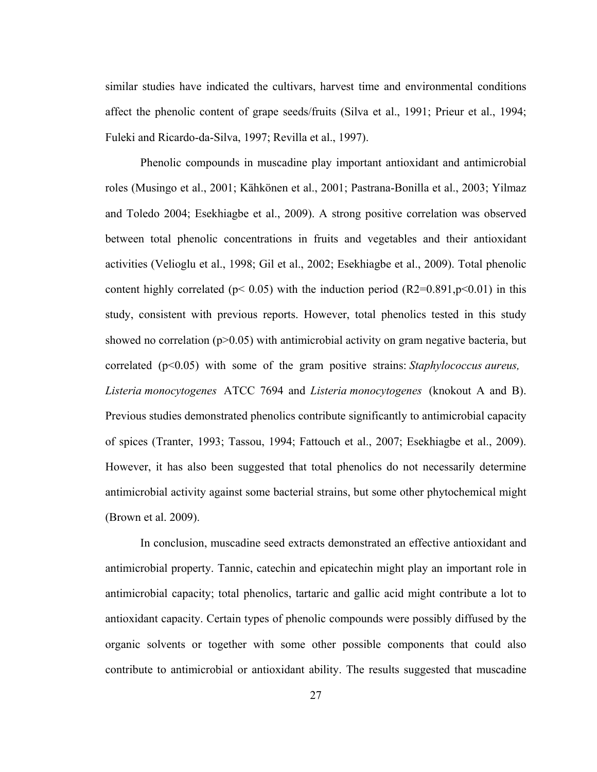similar studies have indicated the cultivars, harvest time and environmental conditions affect the phenolic content of grape seeds/fruits (Silva et al., 1991; Prieur et al., 1994; Fuleki and Ricardo-da-Silva, 1997; Revilla et al., 1997).

Phenolic compounds in muscadine play important antioxidant and antimicrobial roles (Musingo et al., 2001; Kähkönen et al., 2001; Pastrana-Bonilla et al., 2003; Yilmaz and Toledo 2004; Esekhiagbe et al., 2009). A strong positive correlation was observed between total phenolic concentrations in fruits and vegetables and their antioxidant activities (Velioglu et al., 1998; Gil et al., 2002; Esekhiagbe et al., 2009). Total phenolic content highly correlated ( $p$ < 0.05) with the induction period (R2=0.891, $p$ <0.01) in this study, consistent with previous reports. However, total phenolics tested in this study showed no correlation ( $p > 0.05$ ) with antimicrobial activity on gram negative bacteria, but correlated (p<0.05) with some of the gram positive strains: *Staphylococcus aureus, Listeria monocytogenes* ATCC 7694 and *Listeria monocytogenes* (knokout A and B). Previous studies demonstrated phenolics contribute significantly to antimicrobial capacity of spices (Tranter, 1993; Tassou, 1994; Fattouch et al., 2007; Esekhiagbe et al., 2009). However, it has also been suggested that total phenolics do not necessarily determine antimicrobial activity against some bacterial strains, but some other phytochemical might (Brown et al. 2009).

In conclusion, muscadine seed extracts demonstrated an effective antioxidant and antimicrobial property. Tannic, catechin and epicatechin might play an important role in antimicrobial capacity; total phenolics, tartaric and gallic acid might contribute a lot to antioxidant capacity. Certain types of phenolic compounds were possibly diffused by the organic solvents or together with some other possible components that could also contribute to antimicrobial or antioxidant ability. The results suggested that muscadine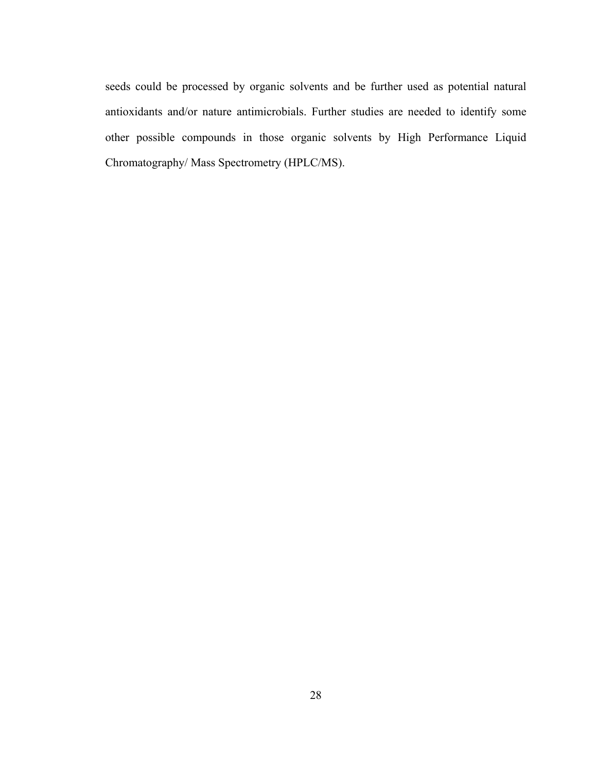seeds could be processed by organic solvents and be further used as potential natural antioxidants and/or nature antimicrobials. Further studies are needed to identify some other possible compounds in those organic solvents by High Performance Liquid Chromatography/ Mass Spectrometry (HPLC/MS).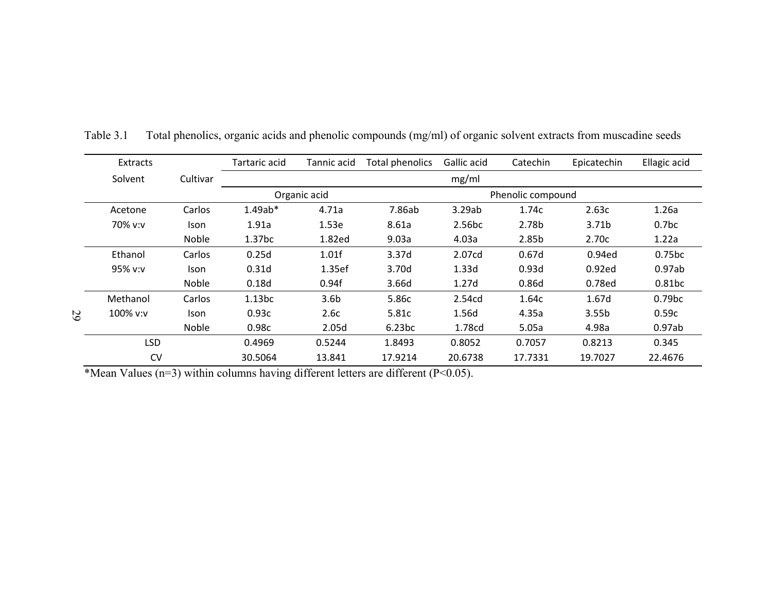|    | <b>Extracts</b> |             | Tartaric acid      | Tannic acid       | <b>Total phenolics</b> | Gallic acid       | Catechin | Epicatechin       | Ellagic acid       |
|----|-----------------|-------------|--------------------|-------------------|------------------------|-------------------|----------|-------------------|--------------------|
|    | Solvent         | Cultivar    |                    |                   |                        |                   |          |                   |                    |
|    |                 |             | Organic acid       | Phenolic compound |                        |                   |          |                   |                    |
|    | Acetone         | Carlos      | $1.49ab*$          | 4.71a             | 7.86ab                 | 3.29ab            | 1.74c    | 2.63c             | 1.26a              |
|    | 70% v:v         | <b>Ison</b> | 1.91a              | 1.53e             | 8.61a                  | 2.56bc            | 2.78b    | 3.71b             | 0.7 <sub>bc</sub>  |
|    |                 | Noble       | 1.37 <sub>bc</sub> | 1.82ed            | 9.03a                  | 4.03a             | 2.85b    | 2.70c             | 1.22a              |
|    | Ethanol         | Carlos      | 0.25d              | 1.01f             | 3.37d                  | 2.07cd            | 0.67d    | 0.94ed            | 0.75 <sub>bc</sub> |
|    | 95% v:v         | Ison        | 0.31d              | 1.35ef            | 3.70d                  | 1.33d             | 0.93d    | 0.92ed            | 0.97ab             |
|    |                 | Noble       | 0.18d              | 0.94f             | 3.66d                  | 1.27 <sub>d</sub> | 0.86d    | 0.78ed            | 0.81bc             |
|    | Methanol        | Carlos      | 1.13bc             | 3.6 <sub>b</sub>  | 5.86c                  | 2.54cd            | 1.64c    | 1.67d             | 0.79 <sub>bc</sub> |
| 67 | 100% v:v        | <b>Ison</b> | 0.93c              | 2.6c              | 5.81c                  | 1.56d             | 4.35a    | 3.55 <sub>b</sub> | 0.59c              |
|    |                 | Noble       | 0.98c              | 2.05d             | 6.23bc                 | 1.78cd            | 5.05a    | 4.98a             | 0.97ab             |
|    | <b>LSD</b>      |             | 0.4969             | 0.5244            | 1.8493                 | 0.8052            | 0.7057   | 0.8213            | 0.345              |
|    | <b>CV</b>       |             | 30.5064            | 13.841            | 17.9214                | 20.6738           | 17.7331  | 19.7027           | 22.4676            |

Table 3.1Total phenolics, organic acids and phenolic compounds (mg/ml) of organic solvent extracts from muscadine seeds

\*Mean Values (n=3) within columns having different letters are different (P<0.05).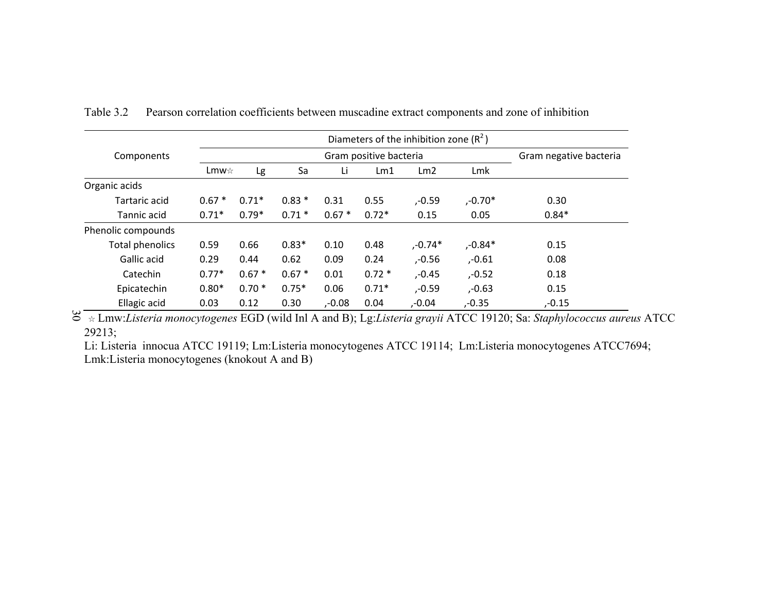|                        |         | Diameters of the inhibition zone $(R^2)$ |          |           |         |                 |            |           |
|------------------------|---------|------------------------------------------|----------|-----------|---------|-----------------|------------|-----------|
| Components             |         | Gram negative bacteria                   |          |           |         |                 |            |           |
|                        | Lmw☆    |                                          | Sa<br>Lg |           | Lm1     | Lm <sub>2</sub> | Lmk        |           |
| Organic acids          |         |                                          |          |           |         |                 |            |           |
| Tartaric acid          | $0.67*$ | $0.71*$                                  | $0.83*$  | 0.31      | 0.55    | ,-0.59          | $, -0.70*$ | 0.30      |
| Tannic acid            | $0.71*$ | $0.79*$                                  | $0.71*$  | $0.67*$   | $0.72*$ | 0.15            | 0.05       | $0.84*$   |
| Phenolic compounds     |         |                                          |          |           |         |                 |            |           |
| <b>Total phenolics</b> | 0.59    | 0.66                                     | $0.83*$  | 0.10      | 0.48    | $, -0.74*$      | $, -0.84*$ | 0.15      |
| Gallic acid            | 0.29    | 0.44                                     | 0.62     | 0.09      | 0.24    | $, -0.56$       | ,-0.61     | 0.08      |
| Catechin               | $0.77*$ | $0.67*$                                  | $0.67*$  | 0.01      | $0.72*$ | $, -0.45$       | $, -0.52$  | 0.18      |
| Epicatechin            | $0.80*$ | $0.70*$                                  | $0.75*$  | 0.06      | $0.71*$ | $, -0.59$       | $, -0.63$  | 0.15      |
| Ellagic acid           | 0.03    | 0.12                                     | 0.30     | $, -0.08$ | 0.04    | $, -0.04$       | $, -0.35$  | $, -0.15$ |

Table 3.2Pearson correlation coefficients between muscadine extract components and zone of inhibition

30 ☆ Lmw:*Listeria monocytogenes* EGD (wild Inl A and B); Lg:*Listeria grayii* ATCC 19120; Sa: *Staphylococcus aureus* ATCC 29213;

Li: Listeria innocua ATCC 19119; Lm:Listeria monocytogenes ATCC 19114; Lm:Listeria monocytogenes ATCC7694; Lmk:Listeria monocytogenes (knokout A and B)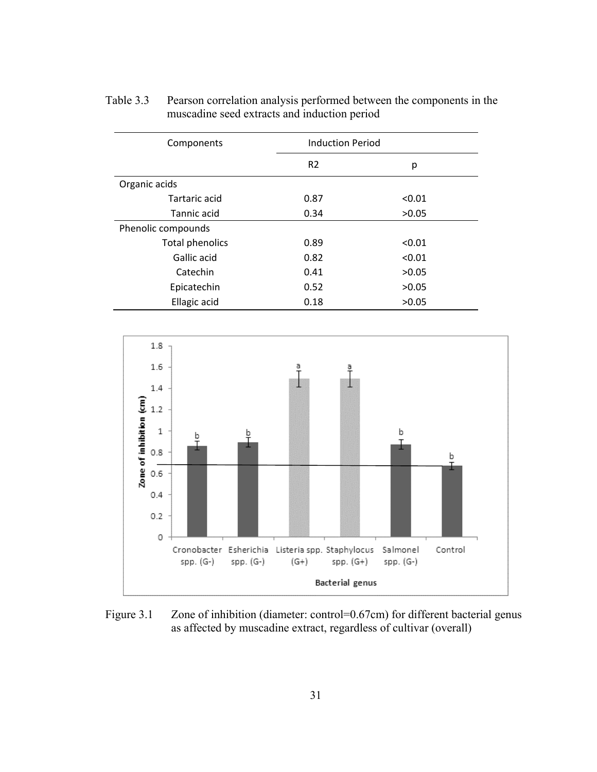| Components             | <b>Induction Period</b> |        |
|------------------------|-------------------------|--------|
|                        | R <sub>2</sub>          | р      |
| Organic acids          |                         |        |
| Tartaric acid          | 0.87                    | < 0.01 |
| Tannic acid            | 0.34                    | >0.05  |
| Phenolic compounds     |                         |        |
| <b>Total phenolics</b> | 0.89                    | < 0.01 |
| Gallic acid            | 0.82                    | < 0.01 |
| Catechin               | 0.41                    | >0.05  |
| Epicatechin            | 0.52                    | >0.05  |
| Ellagic acid           | 0.18                    | >0.05  |

Table 3.3 Pearson correlation analysis performed between the components in the muscadine seed extracts and induction period



Figure 3.1 Zone of inhibition (diameter: control=0.67cm) for different bacterial genus as affected by muscadine extract, regardless of cultivar (overall)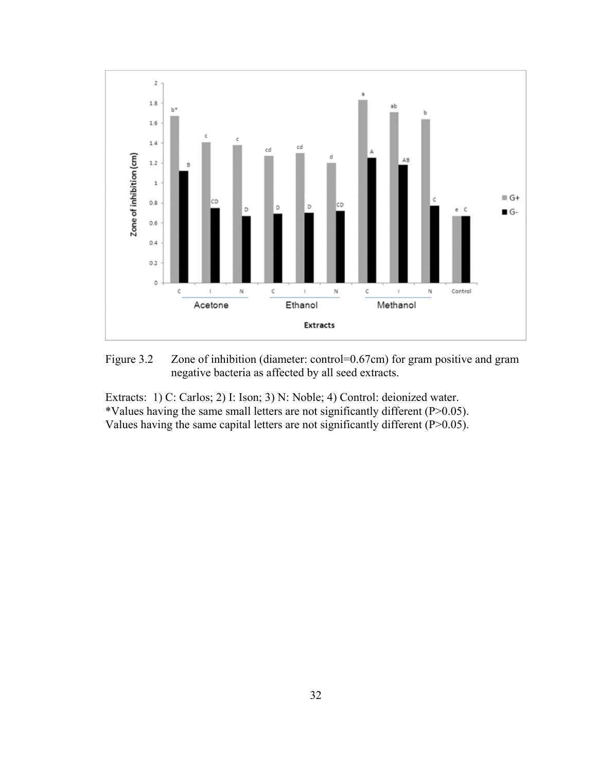

Figure 3.2 Zone of inhibition (diameter: control=0.67cm) for gram positive and gram negative bacteria as affected by all seed extracts.

Extracts: 1) C: Carlos; 2) I: Ison; 3) N: Noble; 4) Control: deionized water. \*Values having the same small letters are not significantly different (P>0.05). Values having the same capital letters are not significantly different (P>0.05).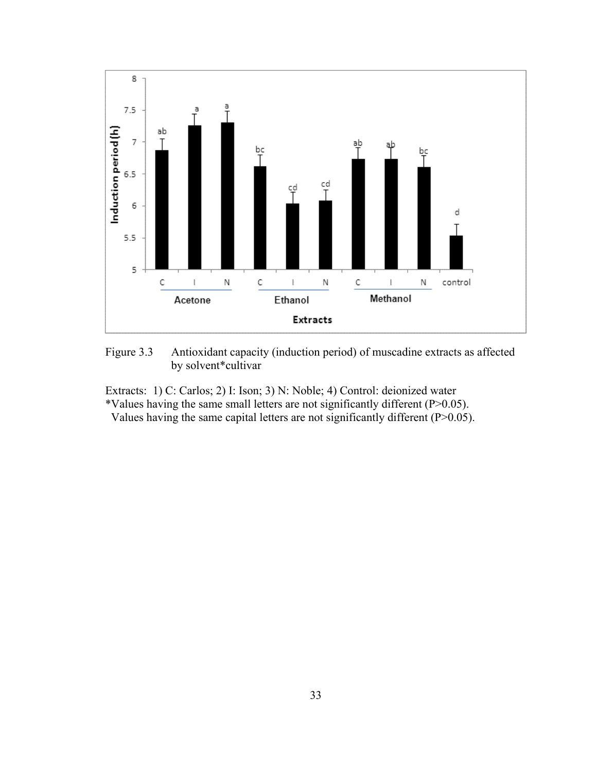

Figure 3.3 Antioxidant capacity (induction period) of muscadine extracts as affected by solvent\*cultivar

Extracts: 1) C: Carlos; 2) I: Ison; 3) N: Noble; 4) Control: deionized water

\*Values having the same small letters are not significantly different (P>0.05).

Values having the same capital letters are not significantly different (P>0.05).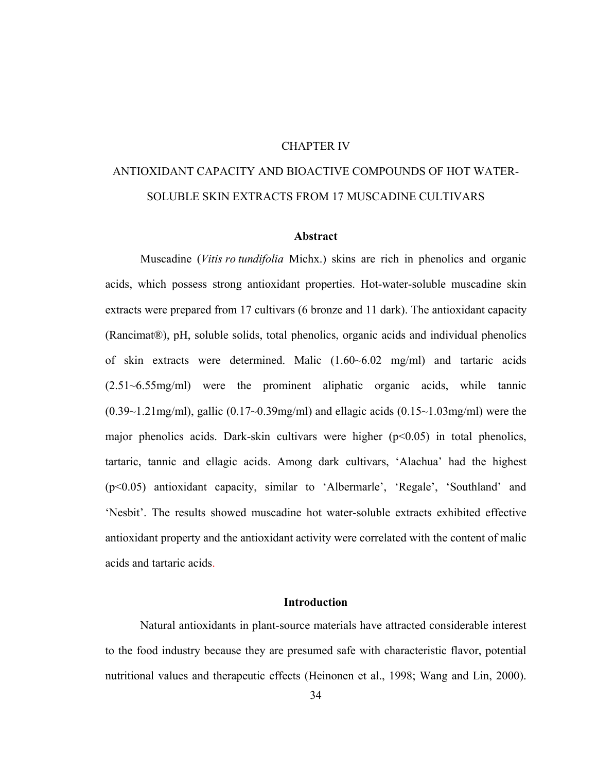### CHAPTER IV

# ANTIOXIDANT CAPACITY AND BIOACTIVE COMPOUNDS OF HOT WATER-SOLUBLE SKIN EXTRACTS FROM 17 MUSCADINE CULTIVARS

### **Abstract**

Muscadine (*Vitis ro tundifolia* Michx.) skins are rich in phenolics and organic acids, which possess strong antioxidant properties. Hot-water-soluble muscadine skin extracts were prepared from 17 cultivars (6 bronze and 11 dark). The antioxidant capacity (Rancimat®), pH, soluble solids, total phenolics, organic acids and individual phenolics of skin extracts were determined. Malic (1.60~6.02 mg/ml) and tartaric acids (2.51~6.55mg/ml) were the prominent aliphatic organic acids, while tannic  $(0.39 \sim 1.21 \text{mg/ml})$ , gallic  $(0.17 \sim 0.39 \text{mg/ml})$  and ellagic acids  $(0.15 \sim 1.03 \text{mg/ml})$  were the major phenolics acids. Dark-skin cultivars were higher  $(p<0.05)$  in total phenolics, tartaric, tannic and ellagic acids. Among dark cultivars, 'Alachua' had the highest (p<0.05) antioxidant capacity, similar to 'Albermarle', 'Regale', 'Southland' and 'Nesbit'. The results showed muscadine hot water-soluble extracts exhibited effective antioxidant property and the antioxidant activity were correlated with the content of malic acids and tartaric acids.

### **Introduction**

Natural antioxidants in plant-source materials have attracted considerable interest to the food industry because they are presumed safe with characteristic flavor, potential nutritional values and therapeutic effects (Heinonen et al., 1998; Wang and Lin, 2000).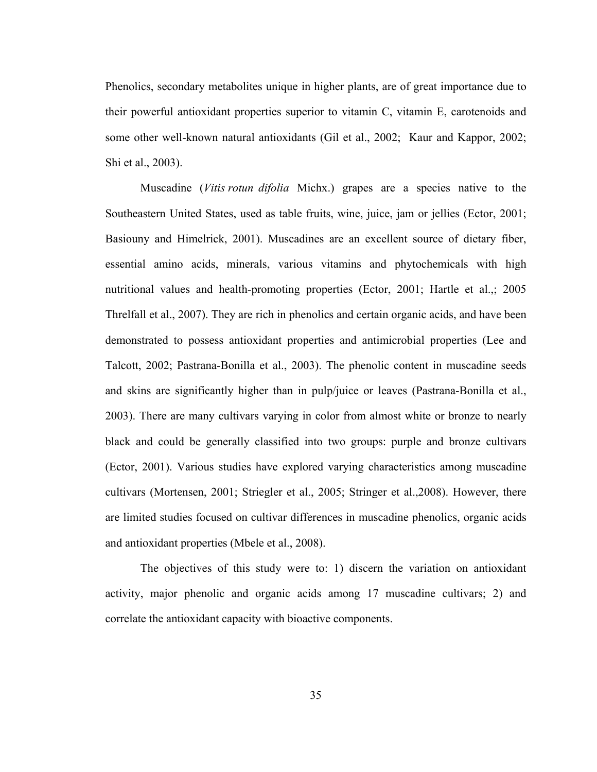Phenolics, secondary metabolites unique in higher plants, are of great importance due to their powerful antioxidant properties superior to vitamin C, vitamin E, carotenoids and some other well-known natural antioxidants (Gil et al., 2002; Kaur and Kappor, 2002; Shi et al., 2003).

Muscadine (*Vitis rotun difolia* Michx.) grapes are a species native to the Southeastern United States, used as table fruits, wine, juice, jam or jellies (Ector, 2001; Basiouny and Himelrick, 2001). Muscadines are an excellent source of dietary fiber, essential amino acids, minerals, various vitamins and phytochemicals with high nutritional values and health-promoting properties (Ector, 2001; Hartle et al.,; 2005 Threlfall et al., 2007). They are rich in phenolics and certain organic acids, and have been demonstrated to possess antioxidant properties and antimicrobial properties (Lee and Talcott, 2002; Pastrana-Bonilla et al., 2003). The phenolic content in muscadine seeds and skins are significantly higher than in pulp/juice or leaves (Pastrana-Bonilla et al., 2003). There are many cultivars varying in color from almost white or bronze to nearly black and could be generally classified into two groups: purple and bronze cultivars (Ector, 2001). Various studies have explored varying characteristics among muscadine cultivars (Mortensen, 2001; Striegler et al., 2005; Stringer et al.,2008). However, there are limited studies focused on cultivar differences in muscadine phenolics, organic acids and antioxidant properties (Mbele et al., 2008).

The objectives of this study were to: 1) discern the variation on antioxidant activity, major phenolic and organic acids among 17 muscadine cultivars; 2) and correlate the antioxidant capacity with bioactive components.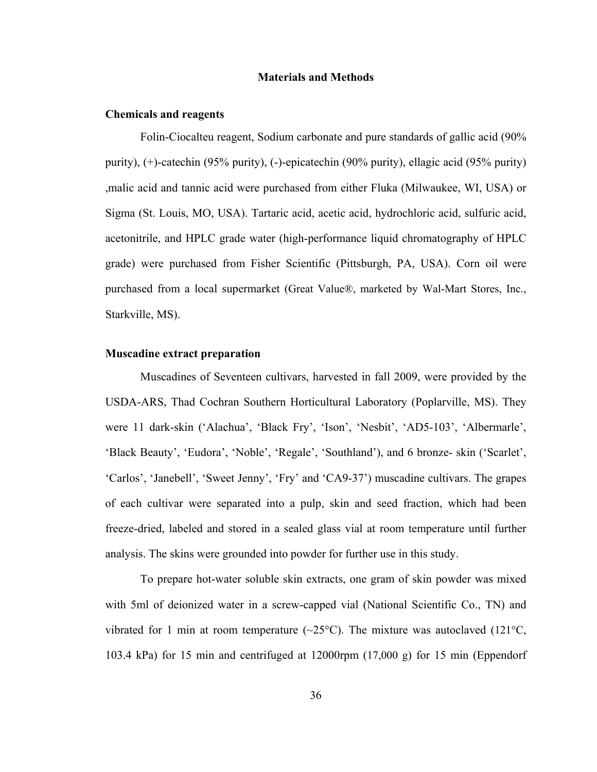#### **Materials and Methods**

#### **Chemicals and reagents**

Folin-Ciocalteu reagent, Sodium carbonate and pure standards of gallic acid (90% purity), (+)-catechin (95% purity), (-)-epicatechin (90% purity), ellagic acid (95% purity) ,malic acid and tannic acid were purchased from either Fluka (Milwaukee, WI, USA) or Sigma (St. Louis, MO, USA). Tartaric acid, acetic acid, hydrochloric acid, sulfuric acid, acetonitrile, and HPLC grade water (high-performance liquid chromatography of HPLC grade) were purchased from Fisher Scientific (Pittsburgh, PA, USA). Corn oil were purchased from a local supermarket (Great Value®, marketed by Wal-Mart Stores, Inc., Starkville, MS).

### **Muscadine extract preparation**

Muscadines of Seventeen cultivars, harvested in fall 2009, were provided by the USDA-ARS, Thad Cochran Southern Horticultural Laboratory (Poplarville, MS). They were 11 dark-skin ('Alachua', 'Black Fry', 'Ison', 'Nesbit', 'AD5-103', 'Albermarle', 'Black Beauty', 'Eudora', 'Noble', 'Regale', 'Southland'), and 6 bronze- skin ('Scarlet', 'Carlos', 'Janebell', 'Sweet Jenny', 'Fry' and 'CA9-37') muscadine cultivars. The grapes of each cultivar were separated into a pulp, skin and seed fraction, which had been freeze-dried, labeled and stored in a sealed glass vial at room temperature until further analysis. The skins were grounded into powder for further use in this study.

To prepare hot-water soluble skin extracts, one gram of skin powder was mixed with 5ml of deionized water in a screw-capped vial (National Scientific Co., TN) and vibrated for 1 min at room temperature  $(\sim 25^{\circ}C)$ . The mixture was autoclaved (121 $^{\circ}C$ , 103.4 kPa) for 15 min and centrifuged at 12000rpm (17,000 g) for 15 min (Eppendorf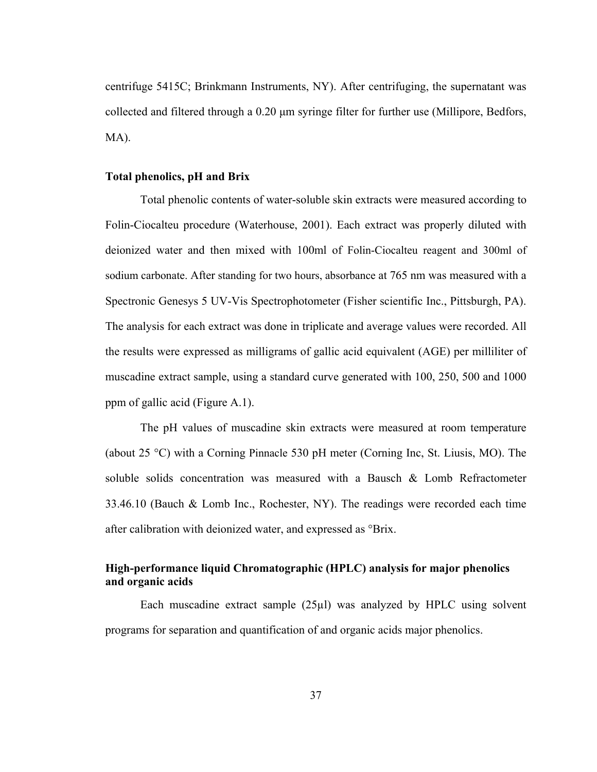centrifuge 5415C; Brinkmann Instruments, NY). After centrifuging, the supernatant was collected and filtered through a 0.20 μm syringe filter for further use (Millipore, Bedfors, MA).

### **Total phenolics, pH and Brix**

Total phenolic contents of water-soluble skin extracts were measured according to Folin-Ciocalteu procedure (Waterhouse, 2001). Each extract was properly diluted with deionized water and then mixed with 100ml of Folin-Ciocalteu reagent and 300ml of sodium carbonate. After standing for two hours, absorbance at 765 nm was measured with a Spectronic Genesys 5 UV-Vis Spectrophotometer (Fisher scientific Inc., Pittsburgh, PA). The analysis for each extract was done in triplicate and average values were recorded. All the results were expressed as milligrams of gallic acid equivalent (AGE) per milliliter of muscadine extract sample, using a standard curve generated with 100, 250, 500 and 1000 ppm of gallic acid (Figure A.1).

The pH values of muscadine skin extracts were measured at room temperature (about 25 °C) with a Corning Pinnacle 530 pH meter (Corning Inc, St. Liusis, MO). The soluble solids concentration was measured with a Bausch & Lomb Refractometer 33.46.10 (Bauch & Lomb Inc., Rochester, NY). The readings were recorded each time after calibration with deionized water, and expressed as °Brix.

### **High-performance liquid Chromatographic (HPLC) analysis for major phenolics and organic acids**

Each muscadine extract sample (25µl) was analyzed by HPLC using solvent programs for separation and quantification of and organic acids major phenolics.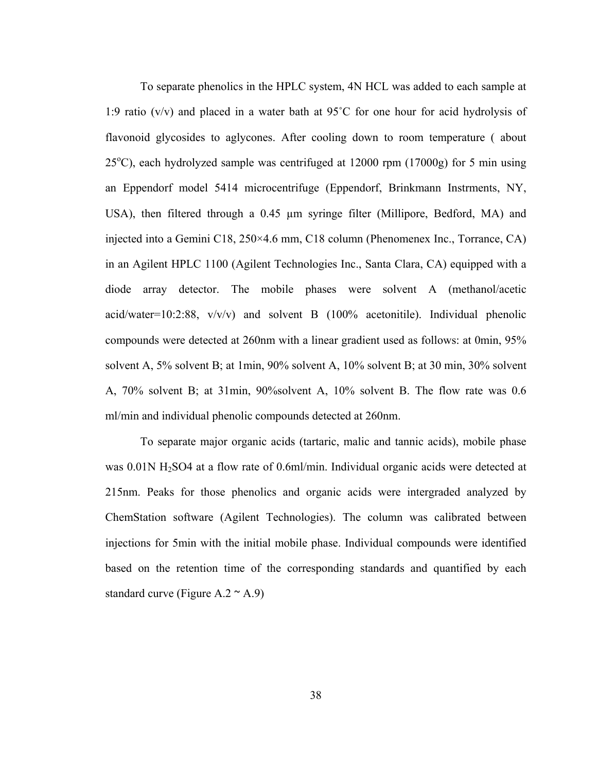To separate phenolics in the HPLC system, 4N HCL was added to each sample at 1:9 ratio (v/v) and placed in a water bath at 95˚C for one hour for acid hydrolysis of flavonoid glycosides to aglycones. After cooling down to room temperature ( about  $25^{\circ}$ C), each hydrolyzed sample was centrifuged at 12000 rpm (17000g) for 5 min using an Eppendorf model 5414 microcentrifuge (Eppendorf, Brinkmann Instrments, NY, USA), then filtered through a 0.45 µm syringe filter (Millipore, Bedford, MA) and injected into a Gemini C18, 250×4.6 mm, C18 column (Phenomenex Inc., Torrance, CA) in an Agilent HPLC 1100 (Agilent Technologies Inc., Santa Clara, CA) equipped with a diode array detector. The mobile phases were solvent A (methanol/acetic acid/water=10:2:88,  $v/v/v$  and solvent B (100% acetonitile). Individual phenolic compounds were detected at 260nm with a linear gradient used as follows: at 0min, 95% solvent A, 5% solvent B; at 1min, 90% solvent A, 10% solvent B; at 30 min, 30% solvent A, 70% solvent B; at 31min, 90%solvent A, 10% solvent B. The flow rate was 0.6 ml/min and individual phenolic compounds detected at 260nm.

To separate major organic acids (tartaric, malic and tannic acids), mobile phase was 0.01N H<sub>2</sub>SO4 at a flow rate of 0.6ml/min. Individual organic acids were detected at 215nm. Peaks for those phenolics and organic acids were intergraded analyzed by ChemStation software (Agilent Technologies). The column was calibrated between injections for 5min with the initial mobile phase. Individual compounds were identified based on the retention time of the corresponding standards and quantified by each standard curve (Figure A.2  $\sim$  A.9)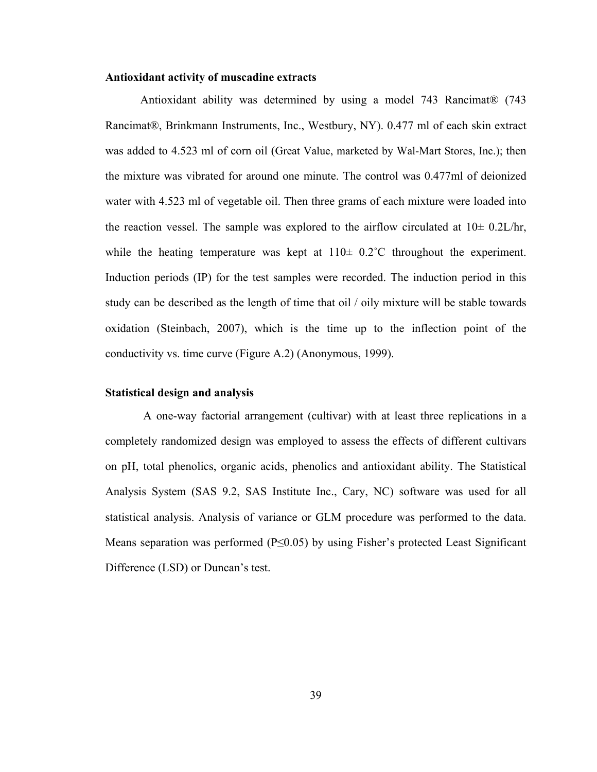### **Antioxidant activity of muscadine extracts**

Antioxidant ability was determined by using a model 743 Rancimat® (743 Rancimat®, Brinkmann Instruments, Inc., Westbury, NY). 0.477 ml of each skin extract was added to 4.523 ml of corn oil (Great Value, marketed by Wal-Mart Stores, Inc.); then the mixture was vibrated for around one minute. The control was 0.477ml of deionized water with 4.523 ml of vegetable oil. Then three grams of each mixture were loaded into the reaction vessel. The sample was explored to the airflow circulated at  $10\pm 0.2$ L/hr, while the heating temperature was kept at  $110 \pm 0.2$ °C throughout the experiment. Induction periods (IP) for the test samples were recorded. The induction period in this study can be described as the length of time that oil / oily mixture will be stable towards oxidation (Steinbach, 2007), which is the time up to the inflection point of the conductivity vs. time curve (Figure A.2) (Anonymous, 1999).

### **Statistical design and analysis**

 A one-way factorial arrangement (cultivar) with at least three replications in a completely randomized design was employed to assess the effects of different cultivars on pH, total phenolics, organic acids, phenolics and antioxidant ability. The Statistical Analysis System (SAS 9.2, SAS Institute Inc., Cary, NC) software was used for all statistical analysis. Analysis of variance or GLM procedure was performed to the data. Means separation was performed ( $P \le 0.05$ ) by using Fisher's protected Least Significant Difference (LSD) or Duncan's test.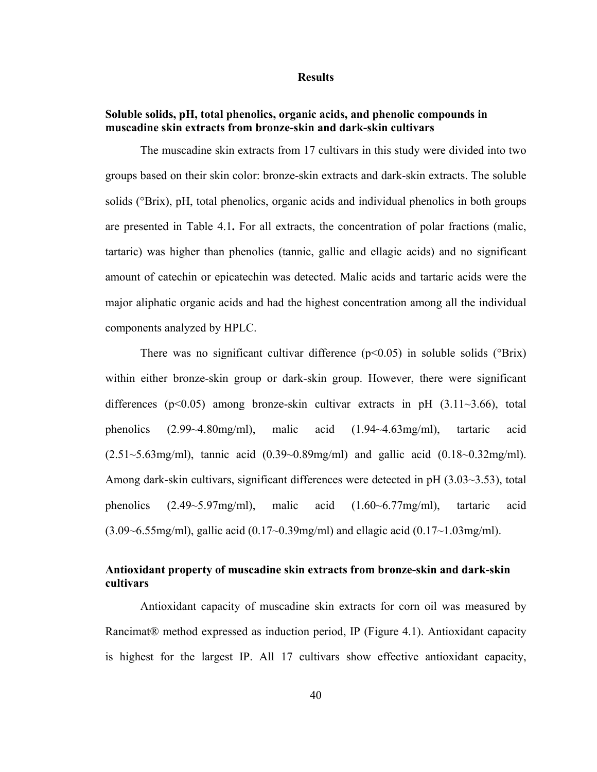#### **Results**

### **Soluble solids, pH, total phenolics, organic acids, and phenolic compounds in muscadine skin extracts from bronze-skin and dark-skin cultivars**

The muscadine skin extracts from 17 cultivars in this study were divided into two groups based on their skin color: bronze-skin extracts and dark-skin extracts. The soluble solids (°Brix), pH, total phenolics, organic acids and individual phenolics in both groups are presented in Table 4.1**.** For all extracts, the concentration of polar fractions (malic, tartaric) was higher than phenolics (tannic, gallic and ellagic acids) and no significant amount of catechin or epicatechin was detected. Malic acids and tartaric acids were the major aliphatic organic acids and had the highest concentration among all the individual components analyzed by HPLC.

There was no significant cultivar difference ( $p<0.05$ ) in soluble solids ( $\text{Brix}$ ) within either bronze-skin group or dark-skin group. However, there were significant differences ( $p<0.05$ ) among bronze-skin cultivar extracts in pH (3.11 $\sim$ 3.66), total phenolics (2.99~4.80mg/ml), malic acid (1.94~4.63mg/ml), tartaric acid  $(2.51~5.63$ mg/ml), tannic acid  $(0.39~0.89$ mg/ml) and gallic acid  $(0.18~0.32$ mg/ml). Among dark-skin cultivars, significant differences were detected in pH (3.03~3.53), total phenolics (2.49~5.97mg/ml), malic acid (1.60~6.77mg/ml), tartaric acid (3.09~6.55mg/ml), gallic acid (0.17~0.39mg/ml) and ellagic acid (0.17~1.03mg/ml).

### **Antioxidant property of muscadine skin extracts from bronze-skin and dark-skin cultivars**

Antioxidant capacity of muscadine skin extracts for corn oil was measured by Rancimat® method expressed as induction period, IP (Figure 4.1). Antioxidant capacity is highest for the largest IP. All 17 cultivars show effective antioxidant capacity,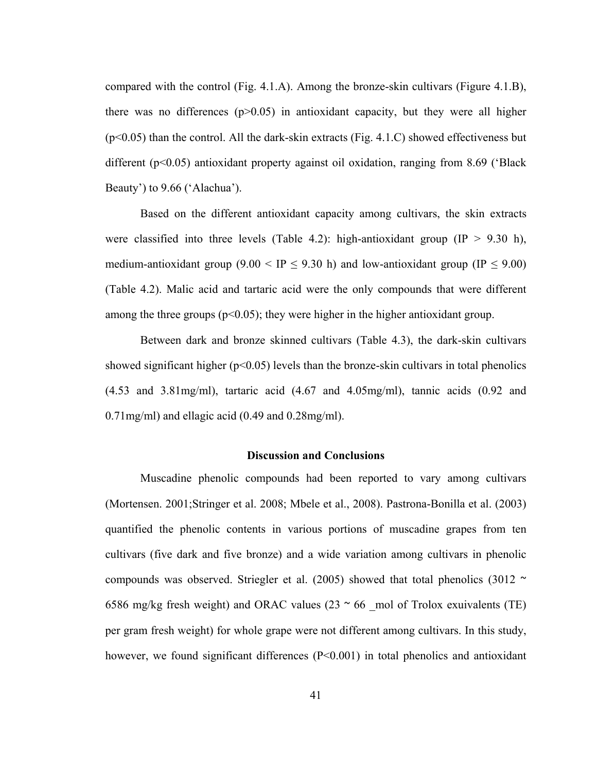compared with the control (Fig.  $4.1.A$ ). Among the bronze-skin cultivars (Figure  $4.1.B$ ), there was no differences  $(p>0.05)$  in antioxidant capacity, but they were all higher (p<0.05) than the control. All the dark-skin extracts (Fig. 4.1.C) showed effectiveness but different (p<0.05) antioxidant property against oil oxidation, ranging from 8.69 ('Black Beauty') to 9.66 ('Alachua').

Based on the different antioxidant capacity among cultivars, the skin extracts were classified into three levels (Table 4.2): high-antioxidant group (IP  $> 9.30$  h), medium-antioxidant group  $(9.00 < IP < 9.30$  h) and low-antioxidant group  $(IP < 9.00)$ (Table 4.2). Malic acid and tartaric acid were the only compounds that were different among the three groups ( $p<0.05$ ); they were higher in the higher antioxidant group.

Between dark and bronze skinned cultivars (Table 4.3), the dark-skin cultivars showed significant higher ( $p<0.05$ ) levels than the bronze-skin cultivars in total phenolics (4.53 and 3.81mg/ml), tartaric acid (4.67 and 4.05mg/ml), tannic acids (0.92 and 0.71mg/ml) and ellagic acid (0.49 and 0.28mg/ml).

#### **Discussion and Conclusions**

Muscadine phenolic compounds had been reported to vary among cultivars (Mortensen. 2001;Stringer et al. 2008; Mbele et al., 2008). Pastrona-Bonilla et al. (2003) quantified the phenolic contents in various portions of muscadine grapes from ten cultivars (five dark and five bronze) and a wide variation among cultivars in phenolic compounds was observed. Striegler et al. (2005) showed that total phenolics (3012  $\sim$ 6586 mg/kg fresh weight) and ORAC values (23  $\sim$  66 mol of Trolox exuivalents (TE) per gram fresh weight) for whole grape were not different among cultivars. In this study, however, we found significant differences (P<0.001) in total phenolics and antioxidant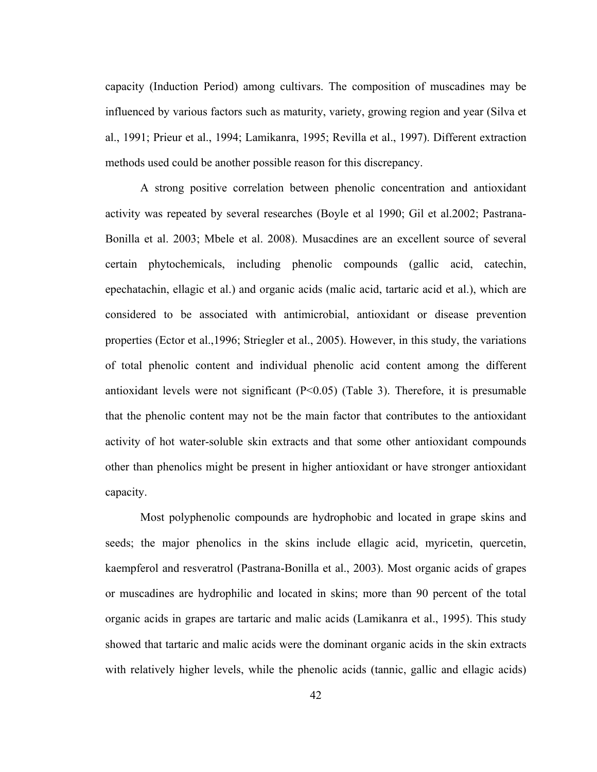capacity (Induction Period) among cultivars. The composition of muscadines may be influenced by various factors such as maturity, variety, growing region and year (Silva et al., 1991; Prieur et al., 1994; Lamikanra, 1995; Revilla et al., 1997). Different extraction methods used could be another possible reason for this discrepancy.

A strong positive correlation between phenolic concentration and antioxidant activity was repeated by several researches (Boyle et al 1990; Gil et al.2002; Pastrana-Bonilla et al. 2003; Mbele et al. 2008). Musacdines are an excellent source of several certain phytochemicals, including phenolic compounds (gallic acid, catechin, epechatachin, ellagic et al.) and organic acids (malic acid, tartaric acid et al.), which are considered to be associated with antimicrobial, antioxidant or disease prevention properties (Ector et al.,1996; Striegler et al., 2005). However, in this study, the variations of total phenolic content and individual phenolic acid content among the different antioxidant levels were not significant  $(P<0.05)$  (Table 3). Therefore, it is presumable that the phenolic content may not be the main factor that contributes to the antioxidant activity of hot water-soluble skin extracts and that some other antioxidant compounds other than phenolics might be present in higher antioxidant or have stronger antioxidant capacity.

Most polyphenolic compounds are hydrophobic and located in grape skins and seeds; the major phenolics in the skins include ellagic acid, myricetin, quercetin, kaempferol and resveratrol (Pastrana-Bonilla et al., 2003). Most organic acids of grapes or muscadines are hydrophilic and located in skins; more than 90 percent of the total organic acids in grapes are tartaric and malic acids (Lamikanra et al., 1995). This study showed that tartaric and malic acids were the dominant organic acids in the skin extracts with relatively higher levels, while the phenolic acids (tannic, gallic and ellagic acids)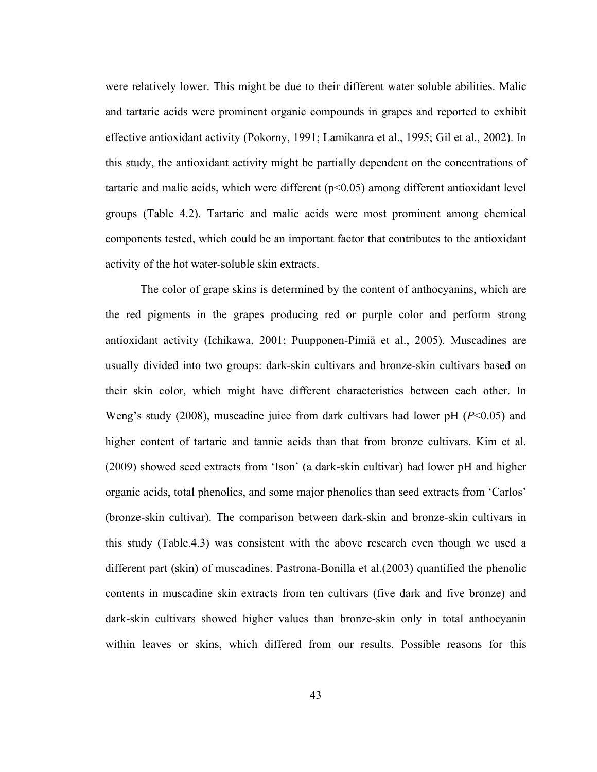were relatively lower. This might be due to their different water soluble abilities. Malic and tartaric acids were prominent organic compounds in grapes and reported to exhibit effective antioxidant activity (Pokorny, 1991; Lamikanra et al., 1995; Gil et al., 2002). In this study, the antioxidant activity might be partially dependent on the concentrations of tartaric and malic acids, which were different  $(p<0.05)$  among different antioxidant level groups (Table 4.2). Tartaric and malic acids were most prominent among chemical components tested, which could be an important factor that contributes to the antioxidant activity of the hot water-soluble skin extracts.

The color of grape skins is determined by the content of anthocyanins, which are the red pigments in the grapes producing red or purple color and perform strong antioxidant activity (Ichikawa, 2001; Puupponen-Pimiä et al., 2005). Muscadines are usually divided into two groups: dark-skin cultivars and bronze-skin cultivars based on their skin color, which might have different characteristics between each other. In Weng's study (2008), muscadine juice from dark cultivars had lower pH (*P*<0.05) and higher content of tartaric and tannic acids than that from bronze cultivars. Kim et al. (2009) showed seed extracts from 'Ison' (a dark-skin cultivar) had lower pH and higher organic acids, total phenolics, and some major phenolics than seed extracts from 'Carlos' (bronze-skin cultivar). The comparison between dark-skin and bronze-skin cultivars in this study (Table.4.3) was consistent with the above research even though we used a different part (skin) of muscadines. Pastrona-Bonilla et al.(2003) quantified the phenolic contents in muscadine skin extracts from ten cultivars (five dark and five bronze) and dark-skin cultivars showed higher values than bronze-skin only in total anthocyanin within leaves or skins, which differed from our results. Possible reasons for this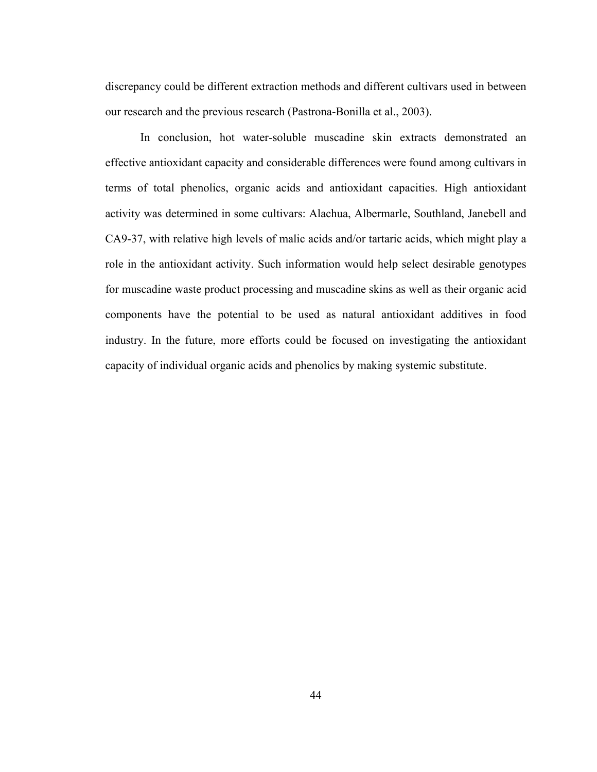discrepancy could be different extraction methods and different cultivars used in between our research and the previous research (Pastrona-Bonilla et al., 2003).

In conclusion, hot water-soluble muscadine skin extracts demonstrated an effective antioxidant capacity and considerable differences were found among cultivars in terms of total phenolics, organic acids and antioxidant capacities. High antioxidant activity was determined in some cultivars: Alachua, Albermarle, Southland, Janebell and CA9-37, with relative high levels of malic acids and/or tartaric acids, which might play a role in the antioxidant activity. Such information would help select desirable genotypes for muscadine waste product processing and muscadine skins as well as their organic acid components have the potential to be used as natural antioxidant additives in food industry. In the future, more efforts could be focused on investigating the antioxidant capacity of individual organic acids and phenolics by making systemic substitute.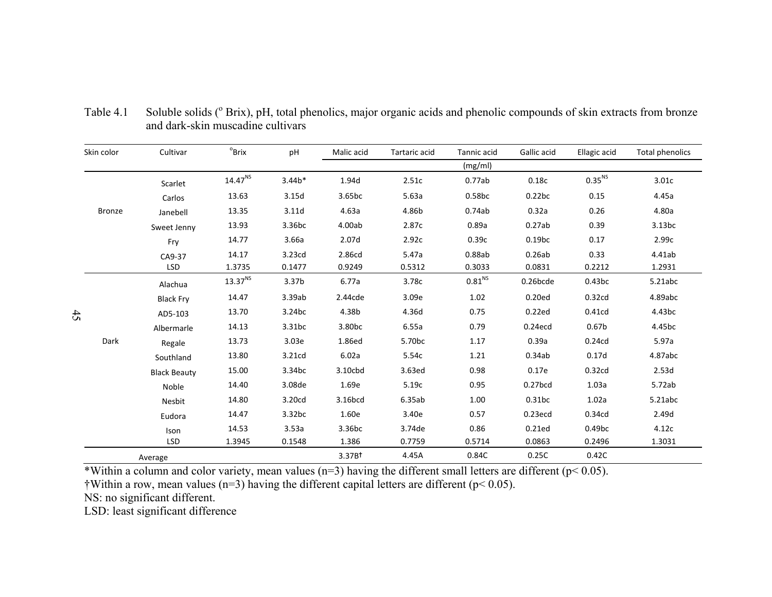| Skin color    | Cultivar            | $^{\circ}$ Brix     | pH                 | Malic acid         | Tartaric acid      | Tannic acid        | Gallic acid        | Ellagic acid       | Total phenolics |
|---------------|---------------------|---------------------|--------------------|--------------------|--------------------|--------------------|--------------------|--------------------|-----------------|
|               |                     |                     |                    |                    |                    | (mg/ml)            |                    |                    |                 |
|               | Scarlet             | 14.47 <sup>NS</sup> | $3.44b*$           | 1.94d              | 2.51c              | 0.77ab             | 0.18c              | 0.35 <sup>NS</sup> | 3.01c           |
|               | Carlos              | 13.63               | 3.15d              | 3.65bc             | 5.63a              | 0.58bc             | 0.22bc             | 0.15               | 4.45a           |
| <b>Bronze</b> | Janebell            | 13.35               | 3.11d              | 4.63a              | 4.86b              | 0.74ab             | 0.32a              | 0.26               | 4.80a           |
|               | Sweet Jenny         | 13.93               | 3.36 <sub>bc</sub> | 4.00ab             | 2.87c              | 0.89a              | 0.27ab             | 0.39               | 3.13bc          |
|               | Fry                 | 14.77               | 3.66a              | 2.07d              | 2.92c              | 0.39c              | 0.19 <sub>bc</sub> | 0.17               | 2.99c           |
|               | CA9-37              | 14.17               | 3.23cd             | 2.86cd             | 5.47a              | 0.88ab             | 0.26ab             | 0.33               | 4.41ab          |
|               | <b>LSD</b>          | 1.3735              | 0.1477             | 0.9249             | 0.5312             | 0.3033             | 0.0831             | 0.2212             | 1.2931          |
|               | Alachua             | 13.37 <sup>NS</sup> | 3.37 <sub>b</sub>  | 6.77a              | 3.78c              | 0.81 <sup>NS</sup> | $0.26$ bcde        | 0.43bc             | 5.21abc         |
|               | <b>Black Fry</b>    | 14.47               | 3.39ab             | 2.44cde            | 3.09e              | 1.02               | 0.20ed             | 0.32cd             | 4.89abc         |
| 45            | AD5-103             | 13.70               | 3.24bc             | 4.38b              | 4.36d              | 0.75               | 0.22ed             | 0.41cd             | 4.43bc          |
|               | Albermarle          | 14.13               | 3.31bc             | 3.80 <sub>bc</sub> | 6.55a              | 0.79               | $0.24$ ecd         | 0.67 <sub>b</sub>  | 4.45bc          |
| Dark          | Regale              | 13.73               | 3.03e              | 1.86ed             | 5.70 <sub>bc</sub> | 1.17               | 0.39a              | 0.24 <sub>cd</sub> | 5.97a           |
|               | Southland           | 13.80               | 3.21cd             | 6.02a              | 5.54c              | 1.21               | 0.34ab             | 0.17d              | 4.87abc         |
|               | <b>Black Beauty</b> | 15.00               | 3.34bc             | 3.10cbd            | 3.63ed             | 0.98               | 0.17e              | 0.32cd             | 2.53d           |
|               | Noble               | 14.40               | 3.08de             | 1.69e              | 5.19c              | 0.95               | $0.27$ bcd         | 1.03a              | 5.72ab          |
|               | Nesbit              | 14.80               | 3.20cd             | 3.16bcd            | 6.35ab             | 1.00               | 0.31bc             | 1.02a              | 5.21abc         |
|               | Eudora              | 14.47               | 3.32bc             | 1.60e              | 3.40e              | 0.57               | $0.23$ ecd         | 0.34cd             | 2.49d           |
|               | Ison                | 14.53               | 3.53a              | 3.36 <sub>bc</sub> | 3.74de             | 0.86               | 0.21ed             | 0.49 <sub>bc</sub> | 4.12c           |
|               | <b>LSD</b>          | 1.3945              | 0.1548             | 1.386              | 0.7759             | 0.5714             | 0.0863             | 0.2496             | 1.3031          |
|               | Average             |                     |                    | 3.37B <sup>†</sup> | 4.45A              | 0.84C              | 0.25C              | 0.42C              |                 |

Table 4.1Soluble solids ( $^{\circ}$  Brix), pH, total phenolics, major organic acids and phenolic compounds of skin extracts from bronze and dark-skin muscadine cultivars

\*Within a column and color variety, mean values (n=3) having the different small letters are different ( $p$ < 0.05).

 $\dagger$ Within a row, mean values (n=3) having the different capital letters are different (p< 0.05).

NS: no significant different.

LSD: least significant difference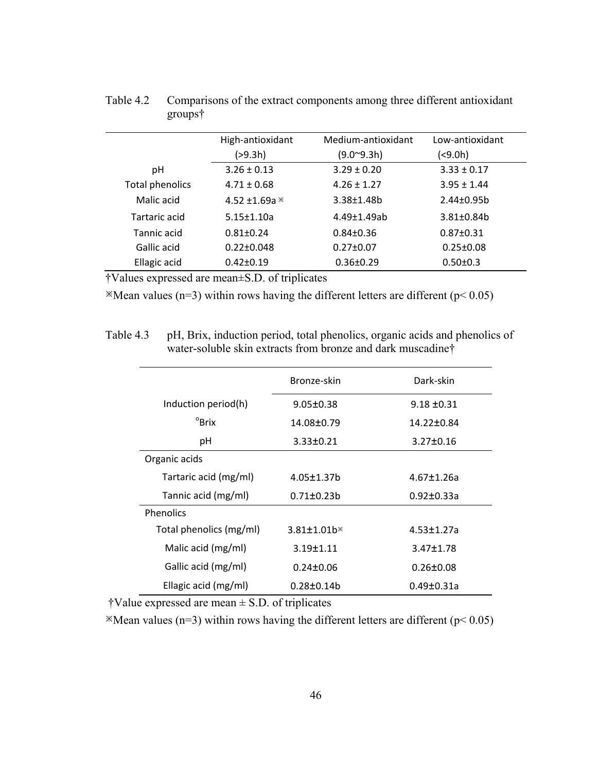|                 | High-antioxidant | Medium-antioxidant  | Low-antioxidant |
|-----------------|------------------|---------------------|-----------------|
|                 | (>9.3h)          | $(9.0^{\circ}9.3h)$ | (<9.0h)         |
| рH              | $3.26 \pm 0.13$  | $3.29 \pm 0.20$     | $3.33 \pm 0.17$ |
| Total phenolics | $4.71 \pm 0.68$  | $4.26 \pm 1.27$     | $3.95 \pm 1.44$ |
| Malic acid      | 4.52 ±1.69a $*$  | $3.38 \pm 1.48$ b   | $2.44 \pm 0.95$ |
| Tartaric acid   | $5.15 \pm 1.10a$ | $4.49 \pm 1.49$ ab  | $3.81 \pm 0.84$ |
| Tannic acid     | $0.81 \pm 0.24$  | $0.84 \pm 0.36$     | $0.87 \pm 0.31$ |
| Gallic acid     | $0.22 \pm 0.048$ | $0.27 \pm 0.07$     | $0.25 \pm 0.08$ |
| Ellagic acid    | $0.42 \pm 0.19$  | $0.36 \pm 0.29$     | $0.50 \pm 0.3$  |

Table 4.2 Comparisons of the extract components among three different antioxidant groups†

†Values expressed are mean±S.D. of triplicates

 $\mathbb{R}$ Mean values (n=3) within rows having the different letters are different (p< 0.05)

Table 4.3 pH, Brix, induction period, total phenolics, organic acids and phenolics of water-soluble skin extracts from bronze and dark muscadine†

|                         | Bronze-skin                    | Dark-skin        |
|-------------------------|--------------------------------|------------------|
| Induction period(h)     | $9.05 \pm 0.38$                | $9.18 \pm 0.31$  |
| $^{\circ}$ Brix         | 14.08±0.79                     | 14.22±0.84       |
| рH                      | 3.33±0.21                      | $3.27 \pm 0.16$  |
| Organic acids           |                                |                  |
| Tartaric acid (mg/ml)   | $4.05 \pm 1.37$ b              | $4.67 \pm 1.26a$ |
| Tannic acid (mg/ml)     | $0.71 \pm 0.23 b$              | $0.92 \pm 0.33a$ |
| <b>Phenolics</b>        |                                |                  |
| Total phenolics (mg/ml) | $3.81 \pm 1.01$ b <sup>*</sup> | $4.53 \pm 1.27a$ |
| Malic acid (mg/ml)      | $3.19 \pm 1.11$                | $3.47 \pm 1.78$  |
| Gallic acid (mg/ml)     | $0.24 \pm 0.06$                | $0.26 \pm 0.08$  |
| Ellagic acid (mg/ml)    | $0.28 \pm 0.14$                | 0.49±0.31a       |

 $\dagger$ Value expressed are mean  $\pm$  S.D. of triplicates

 $\mathbb{R}$ Mean values (n=3) within rows having the different letters are different (p< 0.05)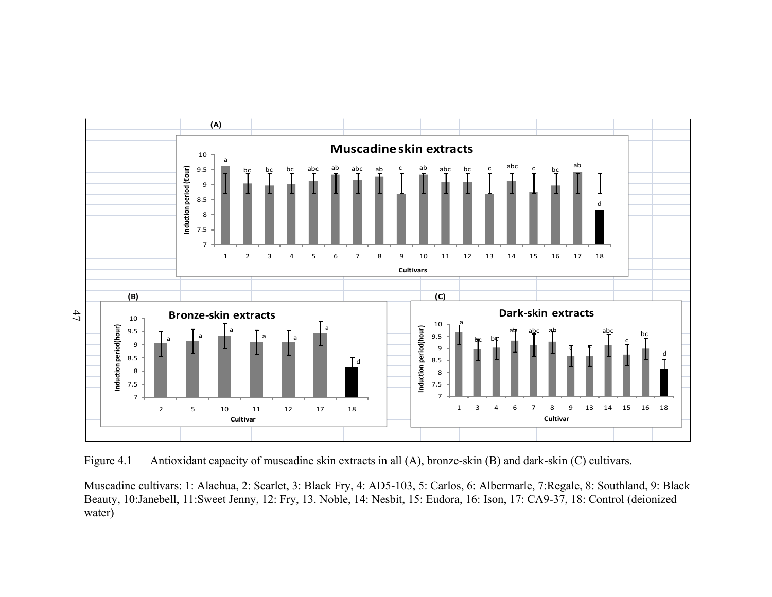

Figure 4.1 Antioxidant capacity of muscadine skin extracts in all (A), bronze-skin (B) and dark-skin (C) cultivars.

Muscadine cultivars: 1: Alachua, 2: Scarlet, 3: Black Fry, 4: AD5-103, 5: Carlos, 6: Albermarle, 7:Regale, 8: Southland, 9: Black Beauty, 10:Janebell, 11:Sweet Jenny, 12: Fry, 13. Noble, 14: Nesbit, 15: Eudora, 16: Ison, 17: CA9-37, 18: Control (deionized water)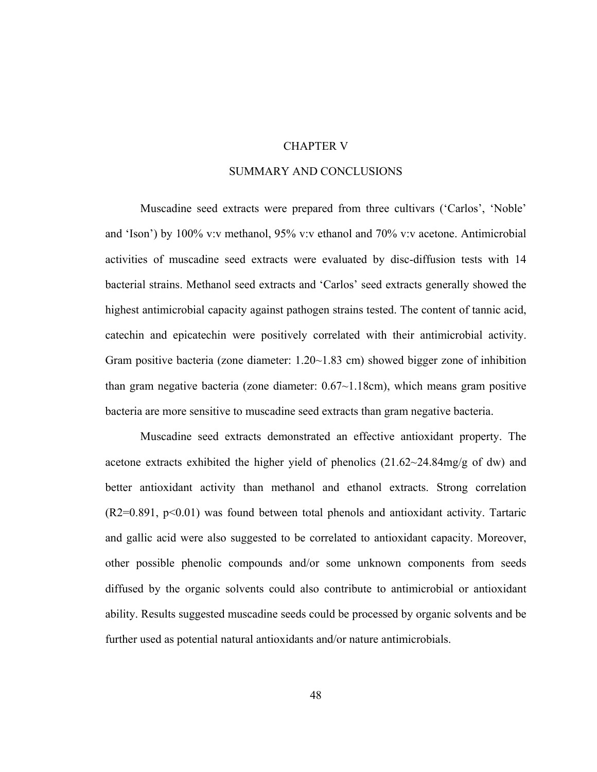### CHAPTER V

### SUMMARY AND CONCLUSIONS

Muscadine seed extracts were prepared from three cultivars ('Carlos', 'Noble' and 'Ison') by 100% v:v methanol, 95% v:v ethanol and 70% v:v acetone. Antimicrobial activities of muscadine seed extracts were evaluated by disc-diffusion tests with 14 bacterial strains. Methanol seed extracts and 'Carlos' seed extracts generally showed the highest antimicrobial capacity against pathogen strains tested. The content of tannic acid, catechin and epicatechin were positively correlated with their antimicrobial activity. Gram positive bacteria (zone diameter: 1.20~1.83 cm) showed bigger zone of inhibition than gram negative bacteria (zone diameter: 0.67~1.18cm), which means gram positive bacteria are more sensitive to muscadine seed extracts than gram negative bacteria.

Muscadine seed extracts demonstrated an effective antioxidant property. The acetone extracts exhibited the higher yield of phenolics  $(21.62 \sim 24.84 \text{ mg/g of dw})$  and better antioxidant activity than methanol and ethanol extracts. Strong correlation  $(R2=0.891, p<0.01)$  was found between total phenols and antioxidant activity. Tartaric and gallic acid were also suggested to be correlated to antioxidant capacity. Moreover, other possible phenolic compounds and/or some unknown components from seeds diffused by the organic solvents could also contribute to antimicrobial or antioxidant ability. Results suggested muscadine seeds could be processed by organic solvents and be further used as potential natural antioxidants and/or nature antimicrobials.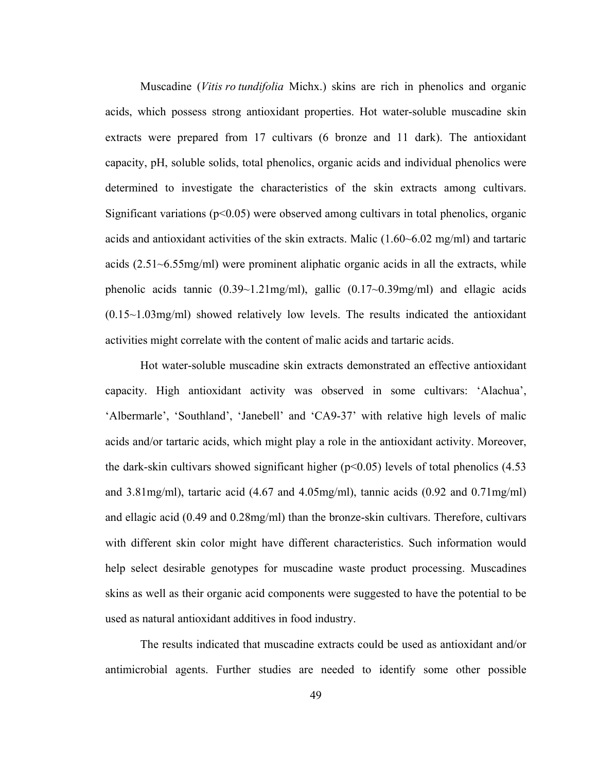Muscadine (*Vitis ro tundifolia* Michx.) skins are rich in phenolics and organic acids, which possess strong antioxidant properties. Hot water-soluble muscadine skin extracts were prepared from 17 cultivars (6 bronze and 11 dark). The antioxidant capacity, pH, soluble solids, total phenolics, organic acids and individual phenolics were determined to investigate the characteristics of the skin extracts among cultivars. Significant variations ( $p<0.05$ ) were observed among cultivars in total phenolics, organic acids and antioxidant activities of the skin extracts. Malic (1.60~6.02 mg/ml) and tartaric acids (2.51~6.55mg/ml) were prominent aliphatic organic acids in all the extracts, while phenolic acids tannic (0.39~1.21mg/ml), gallic (0.17~0.39mg/ml) and ellagic acids (0.15~1.03mg/ml) showed relatively low levels. The results indicated the antioxidant activities might correlate with the content of malic acids and tartaric acids.

Hot water-soluble muscadine skin extracts demonstrated an effective antioxidant capacity. High antioxidant activity was observed in some cultivars: 'Alachua', 'Albermarle', 'Southland', 'Janebell' and 'CA9-37' with relative high levels of malic acids and/or tartaric acids, which might play a role in the antioxidant activity. Moreover, the dark-skin cultivars showed significant higher  $(p<0.05)$  levels of total phenolics (4.53) and 3.81mg/ml), tartaric acid (4.67 and 4.05mg/ml), tannic acids (0.92 and 0.71mg/ml) and ellagic acid (0.49 and 0.28mg/ml) than the bronze-skin cultivars. Therefore, cultivars with different skin color might have different characteristics. Such information would help select desirable genotypes for muscadine waste product processing. Muscadines skins as well as their organic acid components were suggested to have the potential to be used as natural antioxidant additives in food industry.

The results indicated that muscadine extracts could be used as antioxidant and/or antimicrobial agents. Further studies are needed to identify some other possible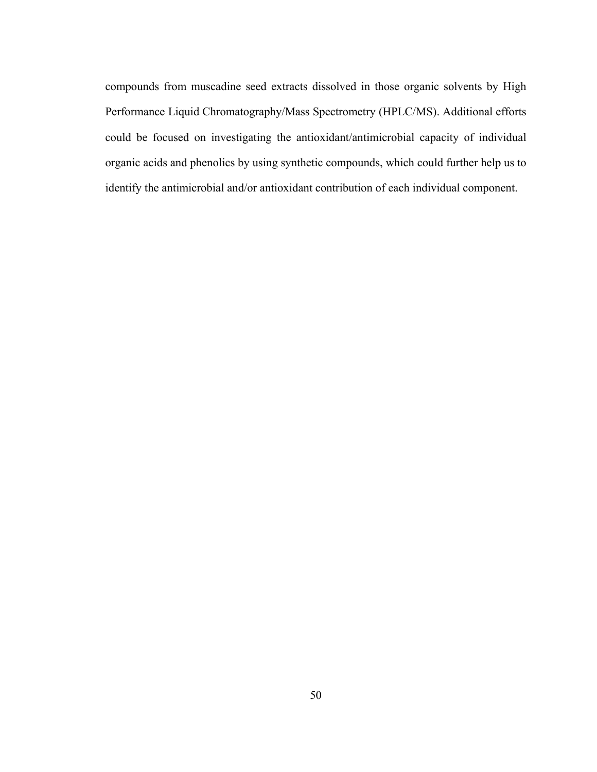compounds from muscadine seed extracts dissolved in those organic solvents by High Performance Liquid Chromatography/Mass Spectrometry (HPLC/MS). Additional efforts could be focused on investigating the antioxidant/antimicrobial capacity of individual organic acids and phenolics by using synthetic compounds, which could further help us to identify the antimicrobial and/or antioxidant contribution of each individual component.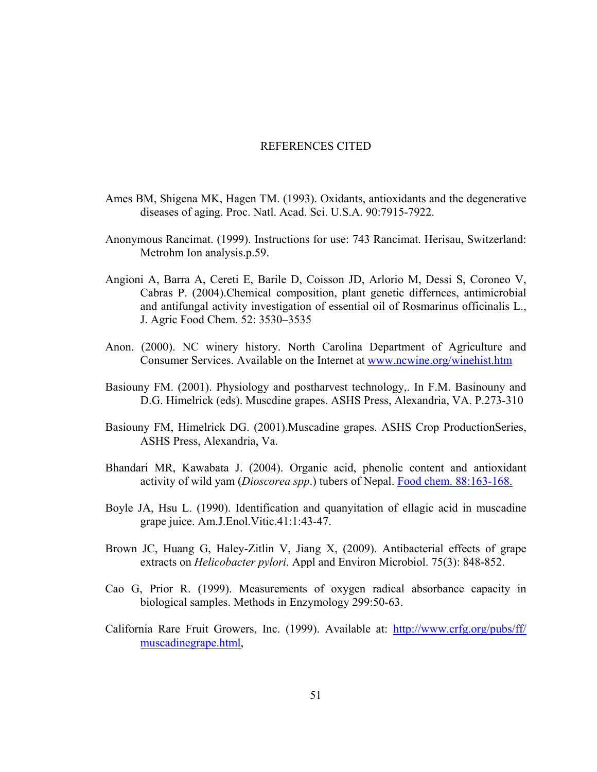#### REFERENCES CITED

- Ames BM, Shigena MK, Hagen TM. (1993). Oxidants, antioxidants and the degenerative diseases of aging. Proc. Natl. Acad. Sci. U.S.A. 90:7915-7922.
- Anonymous Rancimat. (1999). Instructions for use: 743 Rancimat. Herisau, Switzerland: Metrohm Ion analysis.p.59.
- Angioni A, Barra A, Cereti E, Barile D, Coisson JD, Arlorio M, Dessi S, Coroneo V, Cabras P. (2004).Chemical composition, plant genetic differnces, antimicrobial and antifungal activity investigation of essential oil of Rosmarinus officinalis L., J. Agric Food Chem. 52: 3530–3535
- Anon. (2000). NC winery history. North Carolina Department of Agriculture and Consumer Services. Available on the Internet at www.ncwine.org/winehist.htm
- Basiouny FM. (2001). Physiology and postharvest technology,. In F.M. Basinouny and D.G. Himelrick (eds). Muscdine grapes. ASHS Press, Alexandria, VA. P.273-310
- Basiouny FM, Himelrick DG. (2001).Muscadine grapes. ASHS Crop ProductionSeries, ASHS Press, Alexandria, Va.
- Bhandari MR, Kawabata J. (2004). Organic acid, phenolic content and antioxidant activity of wild yam (*Dioscorea spp*.) tubers of Nepal. Food chem. 88:163-168.
- Boyle JA, Hsu L. (1990). Identification and quanyitation of ellagic acid in muscadine grape juice. Am.J.Enol.Vitic.41:1:43-47.
- Brown JC, Huang G, Haley-Zitlin V, Jiang X, (2009). Antibacterial effects of grape extracts on *Helicobacter pylori*. Appl and Environ Microbiol. 75(3): 848-852.
- Cao G, Prior R. (1999). Measurements of oxygen radical absorbance capacity in biological samples. Methods in Enzymology 299:50-63.
- California Rare Fruit Growers, Inc. (1999). Available at: http://www.crfg.org/pubs/ff/ muscadinegrape.html,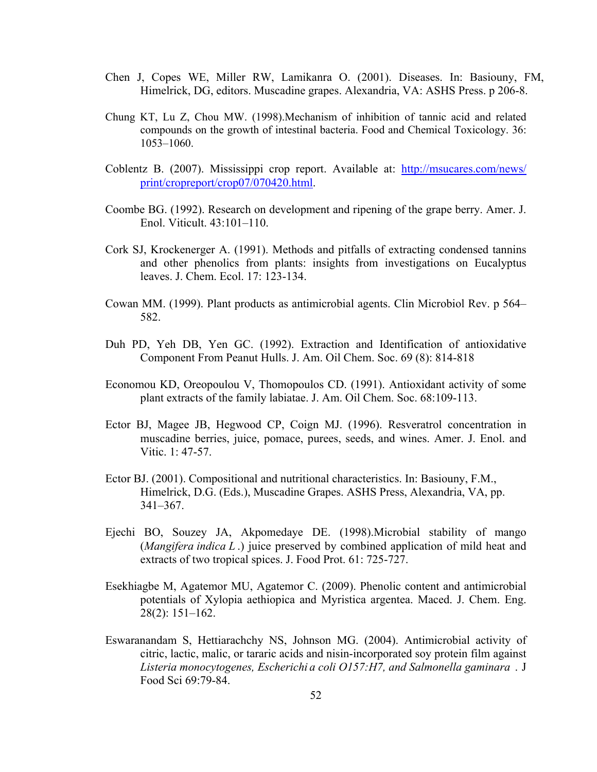- Chen J, Copes WE, Miller RW, Lamikanra O. (2001). Diseases. In: Basiouny, FM, Himelrick, DG, editors. Muscadine grapes. Alexandria, VA: ASHS Press. p 206-8.
- Chung KT, Lu Z, Chou MW. (1998).Mechanism of inhibition of tannic acid and related compounds on the growth of intestinal bacteria. Food and Chemical Toxicology. 36: 1053–1060.
- Coblentz B. (2007). Mississippi crop report. Available at: http://msucares.com/news/ print/cropreport/crop07/070420.html.
- Coombe BG. (1992). Research on development and ripening of the grape berry. Amer. J. Enol. Viticult. 43:101–110.
- Cork SJ, Krockenerger A. (1991). Methods and pitfalls of extracting condensed tannins and other phenolics from plants: insights from investigations on Eucalyptus leaves. J. Chem. Ecol. 17: 123-134.
- Cowan MM. (1999). Plant products as antimicrobial agents. Clin Microbiol Rev. p 564– 582.
- Duh PD, Yeh DB, Yen GC. (1992). Extraction and Identification of antioxidative Component From Peanut Hulls. J. Am. Oil Chem. Soc. 69 (8): 814-818
- Economou KD, Oreopoulou V, Thomopoulos CD. (1991). Antioxidant activity of some plant extracts of the family labiatae. J. Am. Oil Chem. Soc. 68:109-113.
- Ector BJ, Magee JB, Hegwood CP, Coign MJ. (1996). Resveratrol concentration in muscadine berries, juice, pomace, purees, seeds, and wines. Amer. J. Enol. and Vitic. 1: 47-57.
- Ector BJ. (2001). Compositional and nutritional characteristics. In: Basiouny, F.M., Himelrick, D.G. (Eds.), Muscadine Grapes. ASHS Press, Alexandria, VA, pp. 341–367.
- Ejechi BO, Souzey JA, Akpomedaye DE. (1998).Microbial stability of mango (*Mangifera indica L* .) juice preserved by combined application of mild heat and extracts of two tropical spices. J. Food Prot. 61: 725-727.
- Esekhiagbe M, Agatemor MU, Agatemor C. (2009). Phenolic content and antimicrobial potentials of Xylopia aethiopica and Myristica argentea. Maced. J. Chem. Eng. 28(2): 151–162.
- Eswaranandam S, Hettiarachchy NS, Johnson MG. (2004). Antimicrobial activity of citric, lactic, malic, or tararic acids and nisin-incorporated soy protein film against *Listeria monocytogenes, Escherichi a coli O157:H7, and Salmonella gaminara* . J Food Sci 69:79-84.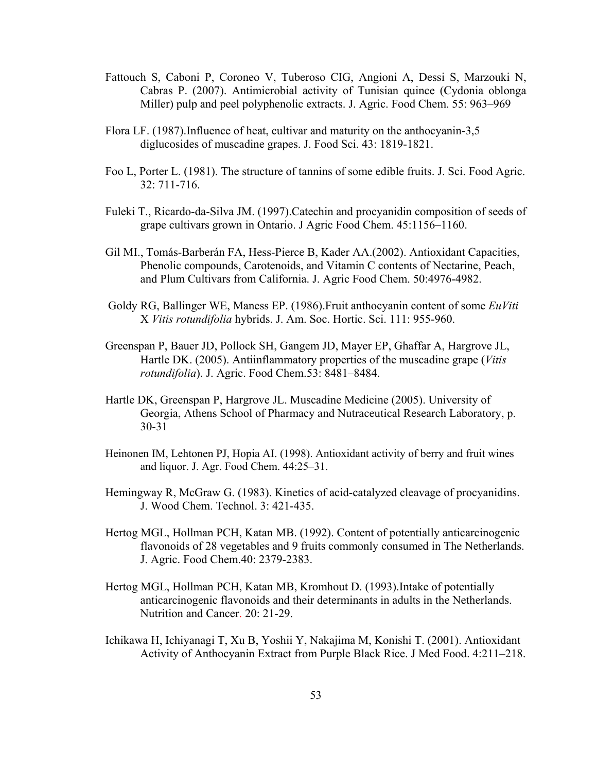- Fattouch S, Caboni P, Coroneo V, Tuberoso CIG, Angioni A, Dessi S, Marzouki N, Cabras P. (2007). Antimicrobial activity of Tunisian quince (Cydonia oblonga Miller) pulp and peel polyphenolic extracts. J. Agric. Food Chem. 55: 963–969
- Flora LF. (1987).Influence of heat, cultivar and maturity on the anthocyanin-3,5 diglucosides of muscadine grapes. J. Food Sci. 43: 1819-1821.
- Foo L, Porter L. (1981). The structure of tannins of some edible fruits. J. Sci. Food Agric. 32: 711-716.
- Fuleki T., Ricardo-da-Silva JM. (1997).Catechin and procyanidin composition of seeds of grape cultivars grown in Ontario. J Agric Food Chem. 45:1156–1160.
- Gil MI., Tomás-Barberán FA, Hess-Pierce B, Kader AA.(2002). Antioxidant Capacities, Phenolic compounds, Carotenoids, and Vitamin C contents of Nectarine, Peach, and Plum Cultivars from California. J. Agric Food Chem. 50:4976-4982.
- Goldy RG, Ballinger WE, Maness EP. (1986).Fruit anthocyanin content of some *EuViti*  X *Vitis rotundifolia* hybrids. J. Am. Soc. Hortic. Sci. 111: 955-960.
- Greenspan P, Bauer JD, Pollock SH, Gangem JD, Mayer EP, Ghaffar A, Hargrove JL, Hartle DK. (2005). Antiinflammatory properties of the muscadine grape (*Vitis rotundifolia*). J. Agric. Food Chem.53: 8481–8484.
- Hartle DK, Greenspan P, Hargrove JL. Muscadine Medicine (2005). University of Georgia, Athens School of Pharmacy and Nutraceutical Research Laboratory, p. 30-31
- Heinonen IM, Lehtonen PJ, Hopia AI. (1998). Antioxidant activity of berry and fruit wines and liquor. J. Agr. Food Chem. 44:25–31.
- Hemingway R, McGraw G. (1983). Kinetics of acid-catalyzed cleavage of procyanidins. J. Wood Chem. Technol. 3: 421-435.
- Hertog MGL, Hollman PCH, Katan MB. (1992). Content of potentially anticarcinogenic flavonoids of 28 vegetables and 9 fruits commonly consumed in The Netherlands. J. Agric. Food Chem.40: 2379-2383.
- Hertog MGL, Hollman PCH, Katan MB, Kromhout D. (1993).Intake of potentially anticarcinogenic flavonoids and their determinants in adults in the Netherlands. Nutrition and Cancer. 20: 21-29.
- Ichikawa H, Ichiyanagi T, Xu B, Yoshii Y, Nakajima M, Konishi T. (2001). Antioxidant Activity of Anthocyanin Extract from Purple Black Rice. J Med Food. 4:211–218.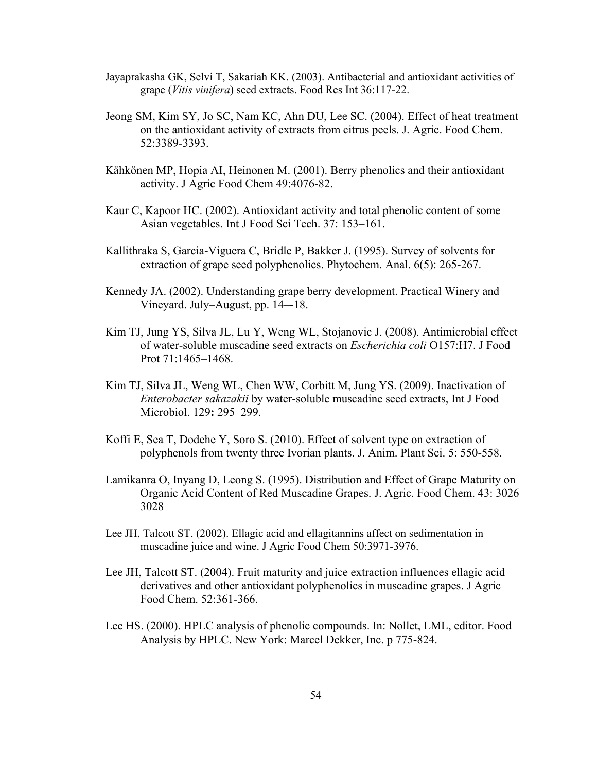- Jayaprakasha GK, Selvi T, Sakariah KK. (2003). Antibacterial and antioxidant activities of grape (*Vitis vinifera*) seed extracts. Food Res Int 36:117-22.
- Jeong SM, Kim SY, Jo SC, Nam KC, Ahn DU, Lee SC. (2004). Effect of heat treatment on the antioxidant activity of extracts from citrus peels. J. Agric. Food Chem. 52:3389-3393.
- Kähkönen MP, Hopia AI, Heinonen M. (2001). Berry phenolics and their antioxidant activity. J Agric Food Chem 49:4076-82.
- Kaur C, Kapoor HC. (2002). Antioxidant activity and total phenolic content of some Asian vegetables. Int J Food Sci Tech. 37: 153–161.
- Kallithraka S, Garcia-Viguera C, Bridle P, Bakker J. (1995). Survey of solvents for extraction of grape seed polyphenolics. Phytochem. Anal. 6(5): 265-267.
- Kennedy JA. (2002). Understanding grape berry development. Practical Winery and Vineyard. July–August, pp. 14–-18.
- Kim TJ, Jung YS, Silva JL, Lu Y, Weng WL, Stojanovic J. (2008). Antimicrobial effect of water-soluble muscadine seed extracts on *Escherichia coli* O157:H7. J Food Prot 71:1465–1468.
- Kim TJ, Silva JL, Weng WL, Chen WW, Corbitt M, Jung YS. (2009). Inactivation of *Enterobacter sakazakii* by water-soluble muscadine seed extracts, Int J Food Microbiol. 129**:** 295–299.
- Koffi E, Sea T, Dodehe Y, Soro S. (2010). Effect of solvent type on extraction of polyphenols from twenty three Ivorian plants. J. Anim. Plant Sci. 5: 550-558.
- Lamikanra O, Inyang D, Leong S. (1995). Distribution and Effect of Grape Maturity on Organic Acid Content of Red Muscadine Grapes. J. Agric. Food Chem. 43: 3026– 3028
- Lee JH, Talcott ST. (2002). Ellagic acid and ellagitannins affect on sedimentation in muscadine juice and wine. J Agric Food Chem 50:3971-3976.
- Lee JH, Talcott ST. (2004). Fruit maturity and juice extraction influences ellagic acid derivatives and other antioxidant polyphenolics in muscadine grapes. J Agric Food Chem. 52:361-366.
- Lee HS. (2000). HPLC analysis of phenolic compounds. In: Nollet, LML, editor. Food Analysis by HPLC. New York: Marcel Dekker, Inc. p 775-824.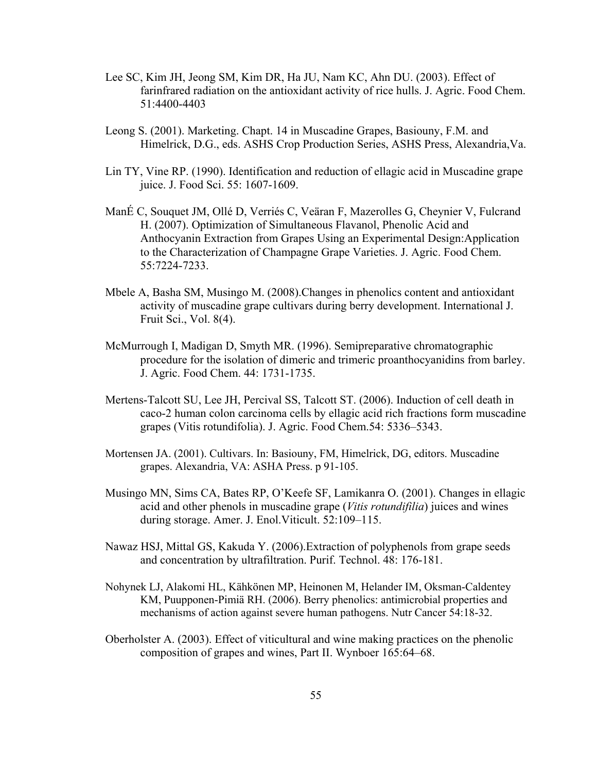- Lee SC, Kim JH, Jeong SM, Kim DR, Ha JU, Nam KC, Ahn DU. (2003). Effect of farinfrared radiation on the antioxidant activity of rice hulls. J. Agric. Food Chem. 51:4400-4403
- Leong S. (2001). Marketing. Chapt. 14 in Muscadine Grapes, Basiouny, F.M. and Himelrick, D.G., eds. ASHS Crop Production Series, ASHS Press, Alexandria,Va.
- Lin TY, Vine RP. (1990). Identification and reduction of ellagic acid in Muscadine grape juice. J. Food Sci. 55: 1607-1609.
- ManÉ C, Souquet JM, Ollé D, Verriés C, Veäran F, Mazerolles G, Cheynier V, Fulcrand H. (2007). Optimization of Simultaneous Flavanol, Phenolic Acid and Anthocyanin Extraction from Grapes Using an Experimental Design:Application to the Characterization of Champagne Grape Varieties. J. Agric. Food Chem. 55:7224-7233.
- Mbele A, Basha SM, Musingo M. (2008).Changes in phenolics content and antioxidant activity of muscadine grape cultivars during berry development. International J. Fruit Sci., Vol. 8(4).
- McMurrough I, Madigan D, Smyth MR. (1996). Semipreparative chromatographic procedure for the isolation of dimeric and trimeric proanthocyanidins from barley. J. Agric. Food Chem. 44: 1731-1735.
- Mertens-Talcott SU, Lee JH, Percival SS, Talcott ST. (2006). Induction of cell death in caco-2 human colon carcinoma cells by ellagic acid rich fractions form muscadine grapes (Vitis rotundifolia). J. Agric. Food Chem.54: 5336–5343.
- Mortensen JA. (2001). Cultivars. In: Basiouny, FM, Himelrick, DG, editors. Muscadine grapes. Alexandria, VA: ASHA Press. p 91-105.
- Musingo MN, Sims CA, Bates RP, O'Keefe SF, Lamikanra O. (2001). Changes in ellagic acid and other phenols in muscadine grape (*Vitis rotundifilia*) juices and wines during storage. Amer. J. Enol.Viticult. 52:109–115.
- Nawaz HSJ, Mittal GS, Kakuda Y. (2006).Extraction of polyphenols from grape seeds and concentration by ultrafiltration. Purif. Technol. 48: 176-181.
- Nohynek LJ, Alakomi HL, Kähkönen MP, Heinonen M, Helander IM, Oksman-Caldentey KM, Puupponen-Pimiä RH. (2006). Berry phenolics: antimicrobial properties and mechanisms of action against severe human pathogens. Nutr Cancer 54:18-32.
- Oberholster A. (2003). Effect of viticultural and wine making practices on the phenolic composition of grapes and wines, Part II. Wynboer 165:64–68.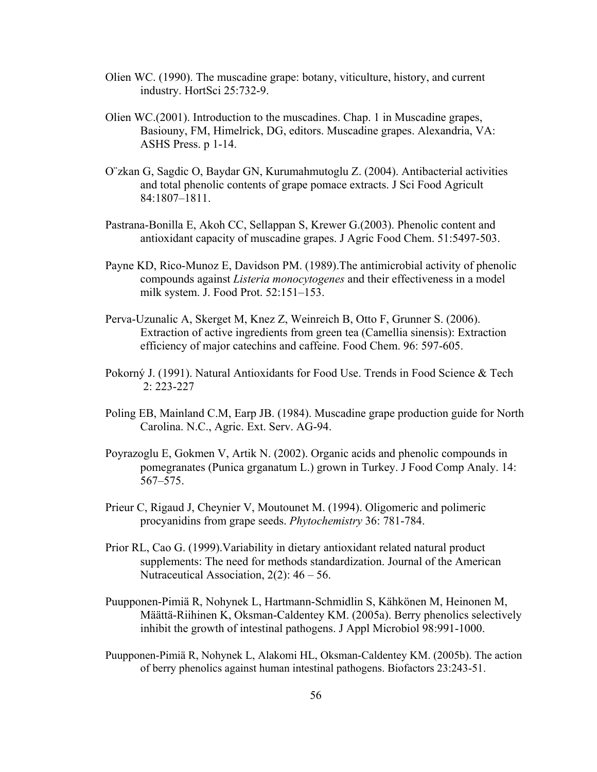- Olien WC. (1990). The muscadine grape: botany, viticulture, history, and current industry. HortSci 25:732-9.
- Olien WC.(2001). Introduction to the muscadines. Chap. 1 in Muscadine grapes, Basiouny, FM, Himelrick, DG, editors. Muscadine grapes. Alexandria, VA: ASHS Press. p 1-14.
- O¨zkan G, Sagdic O, Baydar GN, Kurumahmutoglu Z. (2004). Antibacterial activities and total phenolic contents of grape pomace extracts. J Sci Food Agricult 84:1807–1811.
- Pastrana-Bonilla E, Akoh CC, Sellappan S, Krewer G.(2003). Phenolic content and antioxidant capacity of muscadine grapes. J Agric Food Chem. 51:5497-503.
- Payne KD, Rico-Munoz E, Davidson PM. (1989).The antimicrobial activity of phenolic compounds against *Listeria monocytogenes* and their effectiveness in a model milk system. J. Food Prot. 52:151–153.
- Perva-Uzunalic A, Skerget M, Knez Z, Weinreich B, Otto F, Grunner S. (2006). Extraction of active ingredients from green tea (Camellia sinensis): Extraction efficiency of major catechins and caffeine. Food Chem. 96: 597-605.
- Pokorný J. (1991). Natural Antioxidants for Food Use. Trends in Food Science & Tech 2: 223-227
- Poling EB, Mainland C.M, Earp JB. (1984). Muscadine grape production guide for North Carolina. N.C., Agric. Ext. Serv. AG-94.
- Poyrazoglu E, Gokmen V, Artik N. (2002). Organic acids and phenolic compounds in pomegranates (Punica grganatum L.) grown in Turkey. J Food Comp Analy. 14: 567–575.
- Prieur C, Rigaud J, Cheynier V, Moutounet M. (1994). Oligomeric and polimeric procyanidins from grape seeds. *Phytochemistry* 36: 781-784.
- Prior RL, Cao G. (1999).Variability in dietary antioxidant related natural product supplements: The need for methods standardization. Journal of the American Nutraceutical Association, 2(2): 46 – 56.
- Puupponen-Pimiä R, Nohynek L, Hartmann-Schmidlin S, Kähkönen M, Heinonen M, Määttä-Riihinen K, Oksman-Caldentey KM. (2005a). Berry phenolics selectively inhibit the growth of intestinal pathogens. J Appl Microbiol 98:991-1000.
- Puupponen-Pimiä R, Nohynek L, Alakomi HL, Oksman-Caldentey KM. (2005b). The action of berry phenolics against human intestinal pathogens. Biofactors 23:243-51.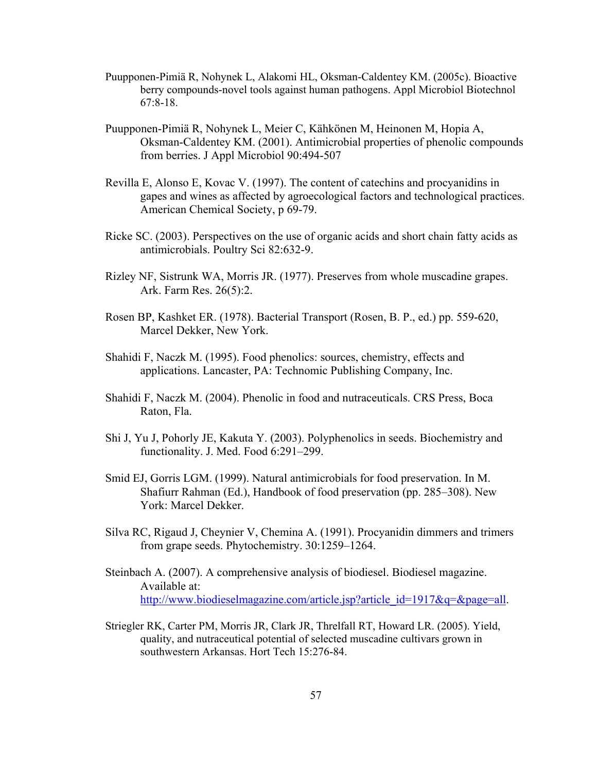- Puupponen-Pimiä R, Nohynek L, Alakomi HL, Oksman-Caldentey KM. (2005c). Bioactive berry compounds-novel tools against human pathogens. Appl Microbiol Biotechnol 67:8-18.
- Puupponen-Pimiä R, Nohynek L, Meier C, Kähkönen M, Heinonen M, Hopia A, Oksman-Caldentey KM. (2001). Antimicrobial properties of phenolic compounds from berries. J Appl Microbiol 90:494-507
- Revilla E, Alonso E, Kovac V. (1997). The content of catechins and procyanidins in gapes and wines as affected by agroecological factors and technological practices. American Chemical Society, p 69-79.
- Ricke SC. (2003). Perspectives on the use of organic acids and short chain fatty acids as antimicrobials. Poultry Sci 82:632-9.
- Rizley NF, Sistrunk WA, Morris JR. (1977). Preserves from whole muscadine grapes. Ark. Farm Res. 26(5):2.
- Rosen BP, Kashket ER. (1978). Bacterial Transport (Rosen, B. P., ed.) pp. 559-620, Marcel Dekker, New York.
- Shahidi F, Naczk M. (1995). Food phenolics: sources, chemistry, effects and applications. Lancaster, PA: Technomic Publishing Company, Inc.
- Shahidi F, Naczk M. (2004). Phenolic in food and nutraceuticals. CRS Press, Boca Raton, Fla.
- Shi J, Yu J, Pohorly JE, Kakuta Y. (2003). Polyphenolics in seeds. Biochemistry and functionality. J. Med. Food 6:291–299.
- Smid EJ, Gorris LGM. (1999). Natural antimicrobials for food preservation. In M. Shafiurr Rahman (Ed.), Handbook of food preservation (pp. 285–308). New York: Marcel Dekker.
- Silva RC, Rigaud J, Cheynier V, Chemina A. (1991). Procyanidin dimmers and trimers from grape seeds. Phytochemistry. 30:1259–1264.
- Steinbach A. (2007). A comprehensive analysis of biodiesel. Biodiesel magazine. Available at: http://www.biodieselmagazine.com/article.jsp?article\_id=1917&q=&page=all.
- Striegler RK, Carter PM, Morris JR, Clark JR, Threlfall RT, Howard LR. (2005). Yield, quality, and nutraceutical potential of selected muscadine cultivars grown in southwestern Arkansas. Hort Tech 15:276-84.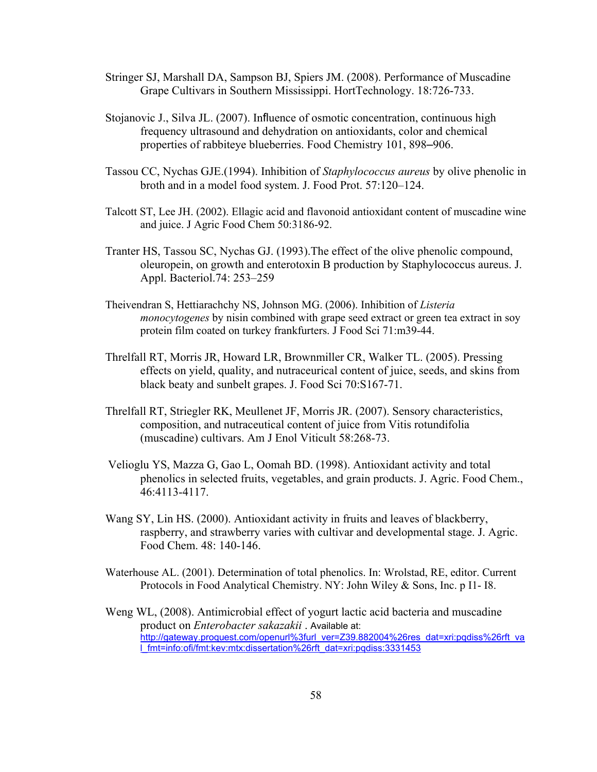- Stringer SJ, Marshall DA, Sampson BJ, Spiers JM. (2008). Performance of Muscadine Grape Cultivars in Southern Mississippi. HortTechnology. 18:726-733.
- Stojanovic J., Silva JL. (2007). Influence of osmotic concentration, continuous high frequency ultrasound and dehydration on antioxidants, color and chemical properties of rabbiteye blueberries. Food Chemistry 101, 898–906.
- Tassou CC, Nychas GJE.(1994). Inhibition of *Staphylococcus aureus* by olive phenolic in broth and in a model food system. J. Food Prot. 57:120–124.
- Talcott ST, Lee JH. (2002). Ellagic acid and flavonoid antioxidant content of muscadine wine and juice. J Agric Food Chem 50:3186-92.
- Tranter HS, Tassou SC, Nychas GJ. (1993).The effect of the olive phenolic compound, oleuropein, on growth and enterotoxin B production by Staphylococcus aureus. J. Appl. Bacteriol.74: 253–259
- Theivendran S, Hettiarachchy NS, Johnson MG. (2006). Inhibition of *Listeria monocytogenes* by nisin combined with grape seed extract or green tea extract in soy protein film coated on turkey frankfurters. J Food Sci 71:m39-44.
- Threlfall RT, Morris JR, Howard LR, Brownmiller CR, Walker TL. (2005). Pressing effects on yield, quality, and nutraceurical content of juice, seeds, and skins from black beaty and sunbelt grapes. J. Food Sci 70:S167-71.
- Threlfall RT, Striegler RK, Meullenet JF, Morris JR. (2007). Sensory characteristics, composition, and nutraceutical content of juice from Vitis rotundifolia (muscadine) cultivars. Am J Enol Viticult 58:268-73.
- Velioglu YS, Mazza G, Gao L, Oomah BD. (1998). Antioxidant activity and total phenolics in selected fruits, vegetables, and grain products. J. Agric. Food Chem., 46:4113-4117.
- Wang SY, Lin HS. (2000). Antioxidant activity in fruits and leaves of blackberry, raspberry, and strawberry varies with cultivar and developmental stage. J. Agric. Food Chem. 48: 140-146.
- Waterhouse AL. (2001). Determination of total phenolics. In: Wrolstad, RE, editor. Current Protocols in Food Analytical Chemistry. NY: John Wiley & Sons, Inc. p I1- I8.
- Weng WL, (2008). Antimicrobial effect of yogurt lactic acid bacteria and muscadine product on *Enterobacter sakazakii* . Available at: http://gateway.proquest.com/openurl%3furl\_ver=Z39.882004%26res\_dat=xri:pqdiss%26rft\_va l\_fmt=info:ofi/fmt:kev:mtx:dissertation%26rft\_dat=xri:pqdiss:3331453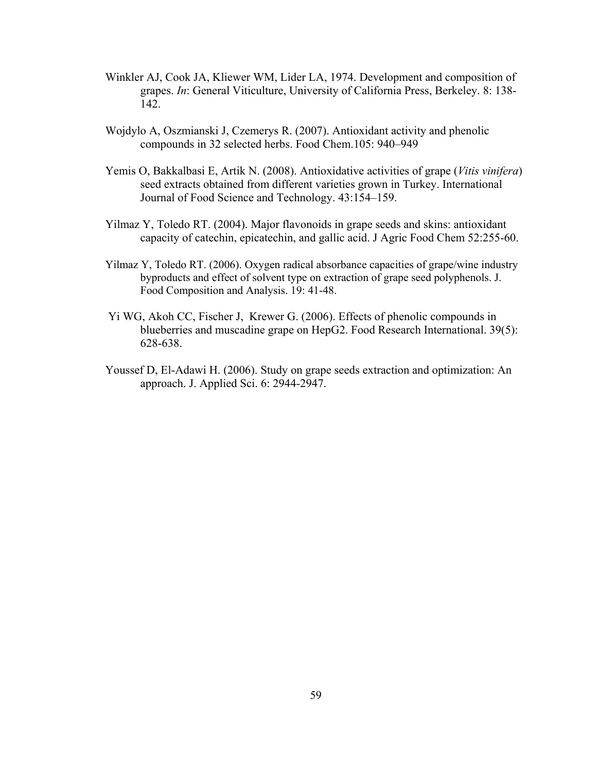- Winkler AJ, Cook JA, Kliewer WM, Lider LA, 1974. Development and composition of grapes. *In*: General Viticulture, University of California Press, Berkeley. 8: 138- 142.
- Wojdylo A, Oszmianski J, Czemerys R. (2007). Antioxidant activity and phenolic compounds in 32 selected herbs. Food Chem.105: 940–949
- Yemis O, Bakkalbasi E, Artik N. (2008). Antioxidative activities of grape (*Vitis vinifera*) seed extracts obtained from different varieties grown in Turkey. International Journal of Food Science and Technology. 43:154–159.
- Yilmaz Y, Toledo RT. (2004). Major flavonoids in grape seeds and skins: antioxidant capacity of catechin, epicatechin, and gallic acid. J Agric Food Chem 52:255-60.
- Yilmaz Y, Toledo RT. (2006). Oxygen radical absorbance capacities of grape/wine industry byproducts and effect of solvent type on extraction of grape seed polyphenols. J. Food Composition and Analysis. 19: 41-48.
- Yi WG, Akoh CC, Fischer J, Krewer G. (2006). Effects of phenolic compounds in blueberries and muscadine grape on HepG2. Food Research International. 39(5): 628-638.
- Youssef D, El-Adawi H. (2006). Study on grape seeds extraction and optimization: An approach. J. Applied Sci. 6: 2944-2947.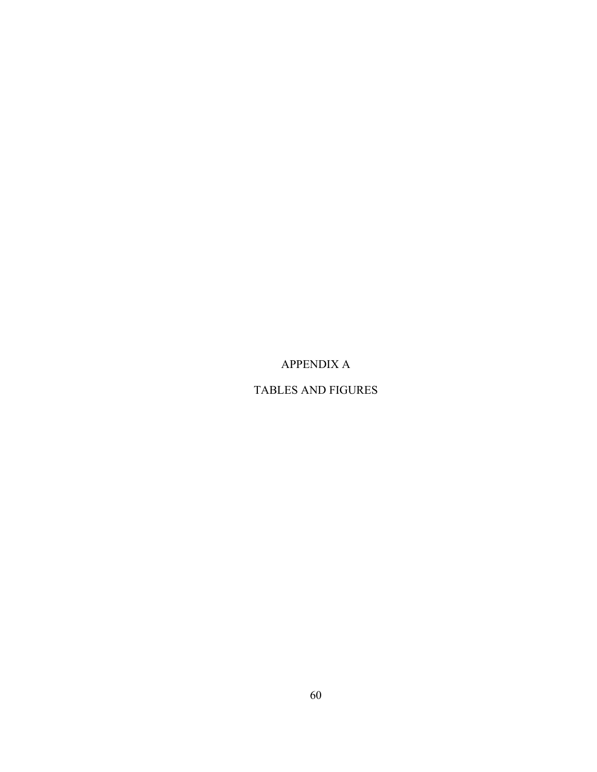## APPENDIX A

### TABLES AND FIGURES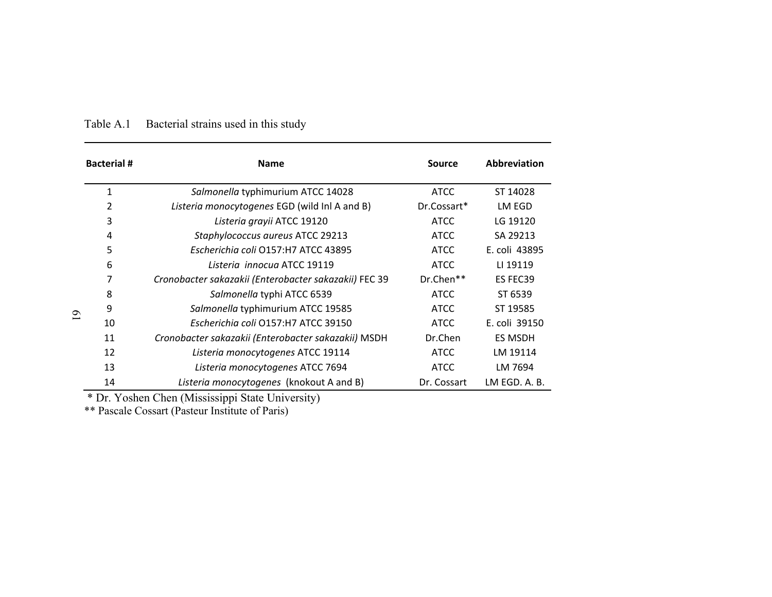| <b>Bacterial #</b> | <b>Name</b>                                           | Source      | Abbreviation  |
|--------------------|-------------------------------------------------------|-------------|---------------|
| 1                  | Salmonella typhimurium ATCC 14028                     | <b>ATCC</b> | ST 14028      |
| 2                  | Listeria monocytogenes EGD (wild Inl A and B)         | Dr.Cossart* | LM EGD        |
| 3                  | Listeria grayii ATCC 19120                            | <b>ATCC</b> | LG 19120      |
| 4                  | Staphylococcus aureus ATCC 29213                      | <b>ATCC</b> | SA 29213      |
| 5                  | Escherichia coli O157:H7 ATCC 43895                   | <b>ATCC</b> | E. coli 43895 |
| 6                  | Listeria innocua ATCC 19119                           | <b>ATCC</b> | LI 19119      |
| 7                  | Cronobacter sakazakii (Enterobacter sakazakii) FEC 39 | Dr.Chen**   | ES FEC39      |
| 8                  | Salmonella typhi ATCC 6539                            | <b>ATCC</b> | ST 6539       |
| 9                  | Salmonella typhimurium ATCC 19585                     | <b>ATCC</b> | ST 19585      |
| 10                 | Escherichia coli O157:H7 ATCC 39150                   | <b>ATCC</b> | E. coli 39150 |
| 11                 | Cronobacter sakazakii (Enterobacter sakazakii) MSDH   | Dr.Chen     | ES MSDH       |
| 12                 | Listeria monocytogenes ATCC 19114                     | <b>ATCC</b> | LM 19114      |
| 13                 | Listeria monocytogenes ATCC 7694                      | <b>ATCC</b> | LM 7694       |
| 14                 | Listeria monocytogenes (knokout A and B)              | Dr. Cossart | LM EGD. A. B. |

#### Table A.1Bacterial strains used in this study

\* Dr. Yoshen Chen (Mississippi State University)

\*\* Pascale Cossart (Pasteur Institute of Paris)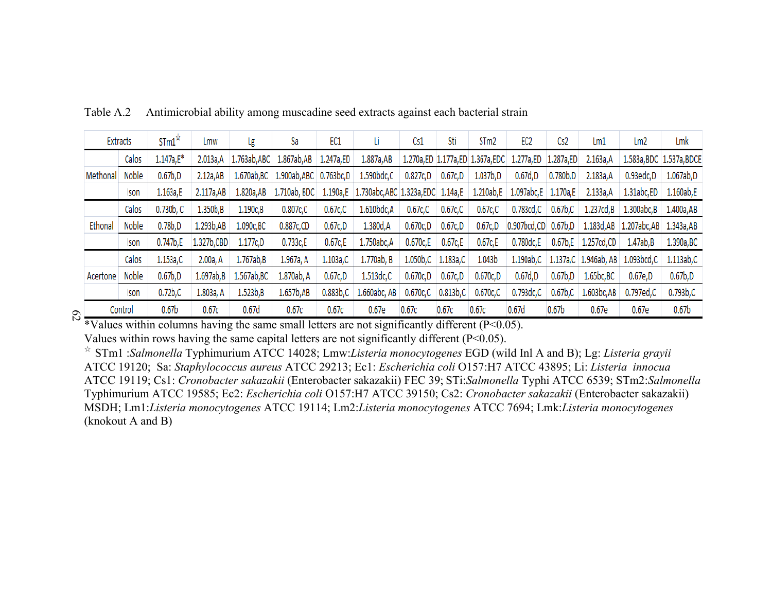| Extracts | $STM^{\hat{x}}$     | Lmw        | Lg          | Sa          | EC1         | Li                                                                             | Cs1          | Sti         | STm2                                                                                         | EC <sub>2</sub>                         | Cs2                            | Lm1                                                                                            | Lm <sub>2</sub>                 | Lmk                                                                                                         |
|----------|---------------------|------------|-------------|-------------|-------------|--------------------------------------------------------------------------------|--------------|-------------|----------------------------------------------------------------------------------------------|-----------------------------------------|--------------------------------|------------------------------------------------------------------------------------------------|---------------------------------|-------------------------------------------------------------------------------------------------------------|
| Calos    | $1.147a,E*$         | 2.013a,A   |             |             |             | 1.887a, AB                                                                     |              |             |                                                                                              |                                         |                                | 2.163a, A                                                                                      |                                 | 1.583a, BDC 1.537a, BDCE                                                                                    |
| Noble    | 0.67 <sub>b,D</sub> | 2.12a, AB  |             |             |             | 1.590bdc,C                                                                     |              | 0.67c,D     | 1.037b,D                                                                                     | 0.67d,D                                 | 0.780 <sub>b,D</sub>           | 2.183a, A                                                                                      | 0.93edc,D                       | 1.067ab, D                                                                                                  |
| Ison     | 1.163a,E            | 2.117a,AB  | 1.820a, AB  |             |             |                                                                                |              |             |                                                                                              |                                         |                                | 2.133a, A                                                                                      | 1.31abc,ED                      | 1.160ab,E                                                                                                   |
| Calos    | 0.730b, C           | 1.350b,B   | 1.190c, B   | 0.807c,C    | $0.67c$ , C | 1.610bdc,A                                                                     | 0.67c,C      | $0.67c$ , C | $0.67c$ , C                                                                                  |                                         | 0.67b, C                       | 1.237cd, B                                                                                     | 1.300abc, B                     | 1.400a, AB                                                                                                  |
| Noble    | 0.78 <sub>b,D</sub> | 1.293b, AB | 1.090c, BC  | 0.887c,CD   | 0.67c,D     | 1.380d, A                                                                      | 0.670c, D    | 0.67c,D     | 0.67c,D                                                                                      |                                         |                                |                                                                                                |                                 |                                                                                                             |
| Ison     | 0.747b,E            |            | 1.177c, D   | 0.733c,E    | 0.67c, E    | 1.750abc, A                                                                    | 0.670c,E     | 0.67c, E    | 0.67c,E                                                                                      | 0.780dc,E                               |                                |                                                                                                | 1.47ab,B                        | 1.390a, BC                                                                                                  |
| Calos    | 1.153a,C            | 2.00a, A   | 1.767ab,B   | 1.967a, A   | 1.103a,C    | 1.770ab, B                                                                     |              |             | 1.043b                                                                                       |                                         |                                |                                                                                                |                                 | 1.113ab,C                                                                                                   |
| Noble    | 0.67 <sub>b,D</sub> | 1.697ab,B  | 1.567ab, BC | 1.870ab, A  | 0.67c,D     | 1.513dc,C                                                                      | 0.670c, D    | 0.67c,D     | 0.670c,D                                                                                     | 0.67d,D                                 | 0.67b,D                        | 1.65bc,BC                                                                                      | 0.67e,D                         | 0.67 <sub>b,D</sub>                                                                                         |
| Ison     | $0.72b$ C           | 1.803a, A  | 1.523b,B    | 1.657b, AB  | 0.883b, C   |                                                                                |              |             | $0.670c$ , C                                                                                 | 0.793dc,C                               |                                | 1.603bc,AB                                                                                     | 0.797ed,C                       | $0.793b$ , $C$                                                                                              |
| Control  | 0.67 <sub>b</sub>   | 0.67c      | 0.67d       | 0.67c       | 0.67c       | 0.67e                                                                          |              | 0.67c       |                                                                                              |                                         | 0.67 <sub>b</sub>              | 0.67e                                                                                          | 0.67e                           | 0.67 <sub>b</sub>                                                                                           |
|          |                     |            |             | 1.327b, CBD |             | 1.763ab, ABC 1.867ab, AB 1.247a, ED<br>1.670ab, BC   1.900ab, ABC   0.763bc, D | 1.660abc, AB | 0.67c       | 0.827c,D<br>1.710ab, BDC   1.190a,E   1.730abc, ABC   1.323a, EDC   1.14a, E<br>$0.670c$ , C | 1.050b,C 1.183a,C<br>0.813b, C<br>0.67c | 1.210ab,E<br>0.67 <sub>d</sub> | 1.270a,ED 1.177a,ED 1.367a,EDC 1.277a,ED 1.287a,ED<br>1.097abc, E 1.170a, E<br>$0.783cd$ , $C$ | 0.907bcd,CD 0.67b,D<br>0.67b, C | 1.183d, AB 1.207abc, AB 1.343a, AB<br>0.67b,E 1.257cd,CD<br>1.190ab,C   1.137a,C   1.946ab, AB   1.093bcd,C |

Table A.2Antimicrobial ability among muscadine seed extracts against each bacterial strain

\*Values within columns having the same small letters are not significantly different (P<0.05). Values within rows having the same capital letters are not significantly different (P<0.05).

☆ STm1 :*Salmonella* Typhimurium ATCC 14028; Lmw:*Listeria monocytogenes* EGD (wild Inl A and B); Lg: *Listeria grayii* ATCC 19120; Sa: *Staphylococcus aureus* ATCC 29213; Ec1: *Escherichia coli* O157:H7 ATCC 43895; Li: *Listeria innocua* ATCC 19119; Cs1: *Cronobacter sakazakii* (Enterobacter sakazakii) FEC 39; STi:*Salmonella* Typhi ATCC 6539; STm2:*Salmonella* Typhimurium ATCC 19585; Ec2: *Escherichia coli* O157:H7 ATCC 39150; Cs2: *Cronobacter sakazakii* (Enterobacter sakazakii) MSDH; Lm1:*Listeria monocytogenes* ATCC 19114; Lm2:*Listeria monocytogenes* ATCC 7694; Lmk:*Listeria monocytogenes* (knokout A and B)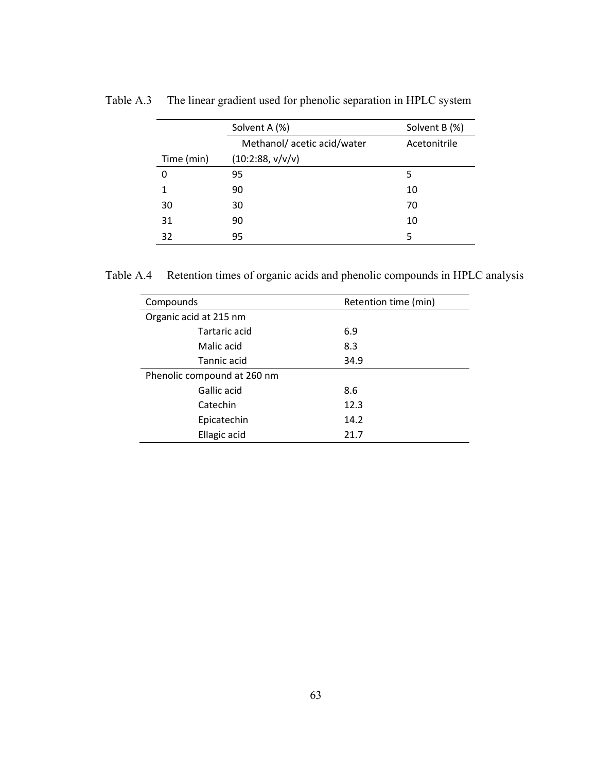|            | Solvent A (%)              | Solvent B (%) |
|------------|----------------------------|---------------|
|            | Methanol/acetic acid/water | Acetonitrile  |
| Time (min) | (10:2:88, v/v/v)           |               |
| 0          | 95                         | 5             |
| 1          | 90                         | 10            |
| 30         | 30                         | 70            |
| 31         | 90                         | 10            |
| 32         | 95                         | 5             |

Table A.3 The linear gradient used for phenolic separation in HPLC system

Table A.4 Retention times of organic acids and phenolic compounds in HPLC analysis

| Compounds                   | Retention time (min) |  |
|-----------------------------|----------------------|--|
| Organic acid at 215 nm      |                      |  |
| Tartaric acid               | 6.9                  |  |
| Malic acid                  | 8.3                  |  |
| Tannic acid                 | 34.9                 |  |
| Phenolic compound at 260 nm |                      |  |
| Gallic acid                 | 8.6                  |  |
| Catechin                    | 12.3                 |  |
| Epicatechin                 | 14.2                 |  |
| Ellagic acid                | 21.7                 |  |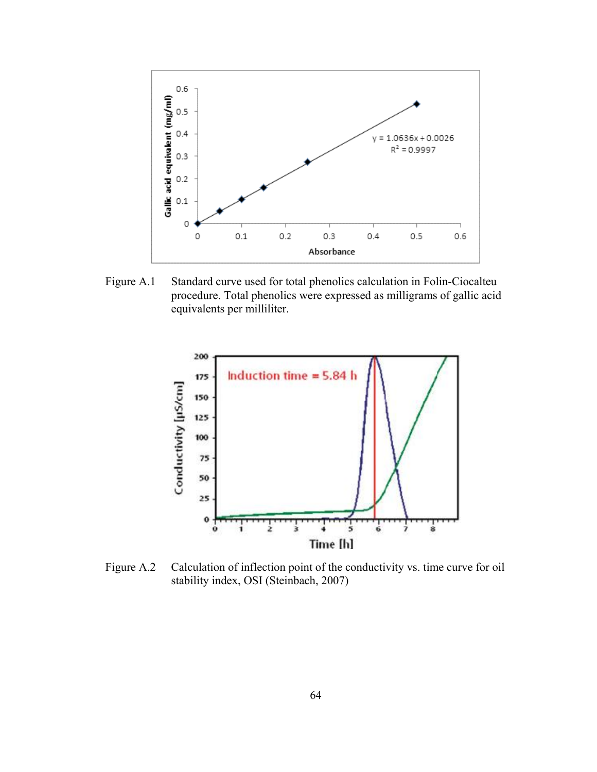

Figure A.1 Standard curve used for total phenolics calculation in Folin-Ciocalteu procedure. Total phenolics were expressed as milligrams of gallic acid equivalents per milliliter.



Figure A.2 Calculation of inflection point of the conductivity vs. time curve for oil stability index, OSI (Steinbach, 2007)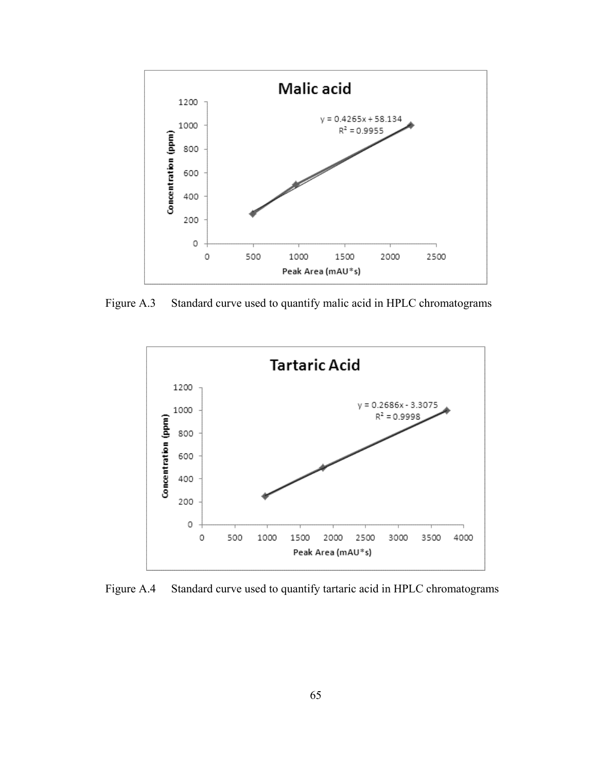

Figure A.3 Standard curve used to quantify malic acid in HPLC chromatograms



Figure A.4 Standard curve used to quantify tartaric acid in HPLC chromatograms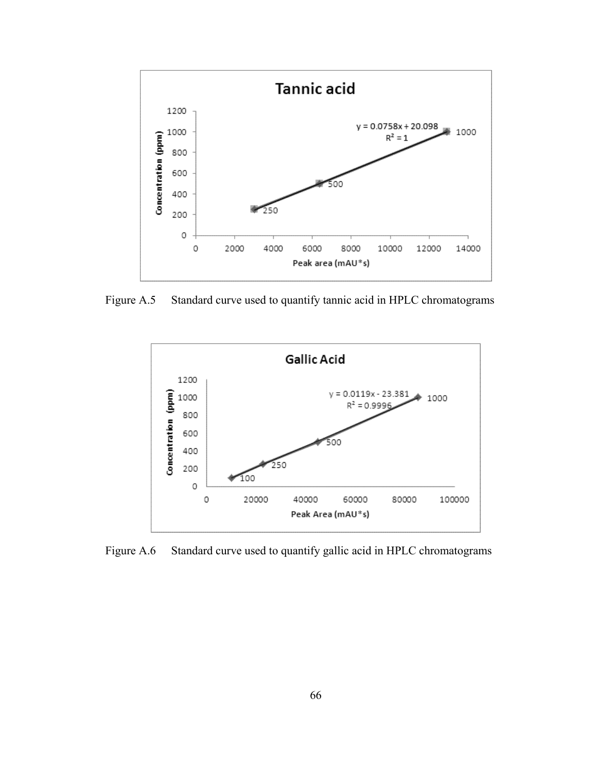

Figure A.5 Standard curve used to quantify tannic acid in HPLC chromatograms



Figure A.6 Standard curve used to quantify gallic acid in HPLC chromatograms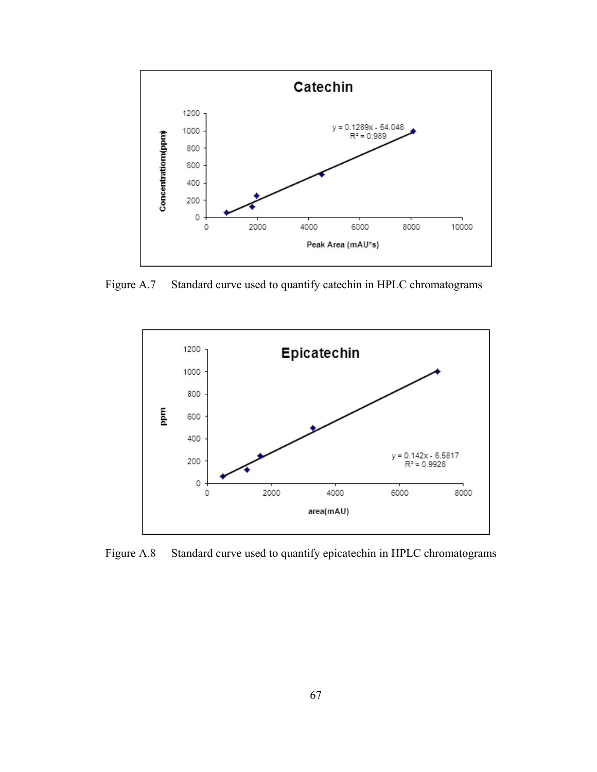

Figure A.7 Standard curve used to quantify catechin in HPLC chromatograms



Figure A.8 Standard curve used to quantify epicatechin in HPLC chromatograms